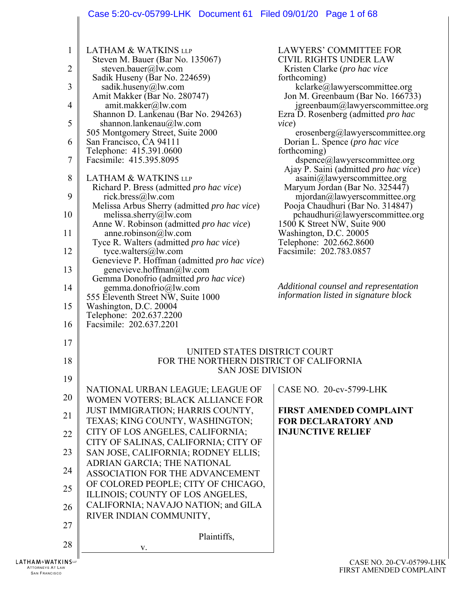# Case 5:20-cv-05799-LHK Document 61 Filed 09/01/20 Page 1 of 68

| 1  | <b>LATHAM &amp; WATKINS LLP</b>                                             | <b>LAWYERS' COMMITTEE FOR</b>                                                  |
|----|-----------------------------------------------------------------------------|--------------------------------------------------------------------------------|
| 2  | Steven M. Bauer (Bar No. 135067)<br>steven.bauer@lw.com                     | <b>CIVIL RIGHTS UNDER LAW</b><br>Kristen Clarke (pro hac vice                  |
| 3  | Sadik Huseny (Bar No. 224659)<br>sadik.huseny@lw.com                        | forthcoming)<br>kclarke@lawyerscommittee.org                                   |
| 4  | Amit Makker (Bar No. 280747)<br>amit.makker@lw.com                          | Jon M. Greenbaum (Bar No. 166733)<br>igreenbaum@lawyerscommittee.org           |
| 5  | Shannon D. Lankenau (Bar No. 294263)<br>shannon.lankenau@lw.com             | Ezra D. Rosenberg (admitted pro hac<br>vice)                                   |
|    | 505 Montgomery Street, Suite 2000                                           | erosenberg@lawyerscommittee.org                                                |
| 6  | San Francisco, CA 94111<br>Telephone: 415.391.0600                          | Dorian L. Spence ( <i>pro hac vice</i><br>forthcoming)                         |
| 7  | Facsimile: 415.395.8095                                                     | dspence@lawyerscommittee.org<br>Ajay P. Saini (admitted pro hac vice)          |
| 8  | <b>LATHAM &amp; WATKINS LLP</b><br>Richard P. Bress (admitted pro hac vice) | asaini@lawyerscommittee.org<br>Maryum Jordan (Bar No. 325447)                  |
| 9  | rick.bress@lw.com                                                           | mjordan@lawyerscommittee.org                                                   |
| 10 | Melissa Arbus Sherry (admitted pro hac vice)<br>melissa.sherry@lw.com       | Pooja Chaudhuri (Bar No. 314847)<br>pchaudhuri@lawyerscommittee.org            |
| 11 | Anne W. Robinson (admitted pro hac vice)<br>anne.robinson $@$ lw.com        | 1500 K Street NW, Suite 900<br>Washington, D.C. 20005                          |
| 12 | Tyce R. Walters (admitted pro hac vice)<br>tyce.walters@lw.com              | Telephone: 202.662.8600<br>Facsimile: 202.783.0857                             |
|    | Genevieve P. Hoffman (admitted pro hac vice)                                |                                                                                |
| 13 | genevieve.hoffman@lw.com<br>Gemma Donofrio (admitted pro hac vice)          |                                                                                |
| 14 | gemma.donofrio@lw.com<br>555 Eleventh Street NW, Suite 1000                 | Additional counsel and representation<br>information listed in signature block |
| 15 | Washington, D.C. 20004<br>Telephone: 202.637.2200                           |                                                                                |
| 16 | Facsimile: 202.637.2201                                                     |                                                                                |
| 17 |                                                                             |                                                                                |
| 18 | UNITED STATES DISTRICT COURT<br>FOR THE NORTHERN DISTRICT OF CALIFORNIA     |                                                                                |
| 19 | <b>SAN JOSE DIVISION</b>                                                    |                                                                                |
| 20 | NATIONAL URBAN LEAGUE; LEAGUE OF<br>WOMEN VOTERS; BLACK ALLIANCE FOR        | CASE NO. 20-cv-5799-LHK                                                        |
| 21 | JUST IMMIGRATION; HARRIS COUNTY,                                            | <b>FIRST AMENDED COMPLAINT</b>                                                 |
|    | TEXAS; KING COUNTY, WASHINGTON;<br>CITY OF LOS ANGELES, CALIFORNIA;         | <b>FOR DECLARATORY AND</b><br><b>INJUNCTIVE RELIEF</b>                         |
| 22 | CITY OF SALINAS, CALIFORNIA; CITY OF                                        |                                                                                |
| 23 | SAN JOSE, CALIFORNIA; RODNEY ELLIS;<br>ADRIAN GARCIA; THE NATIONAL          |                                                                                |
| 24 | ASSOCIATION FOR THE ADVANCEMENT                                             |                                                                                |
| 25 | OF COLORED PEOPLE; CITY OF CHICAGO,<br>ILLINOIS; COUNTY OF LOS ANGELES,     |                                                                                |
| 26 | CALIFORNIA; NAVAJO NATION; and GILA                                         |                                                                                |
| 27 | RIVER INDIAN COMMUNITY,                                                     |                                                                                |
| 28 | Plaintiffs,                                                                 |                                                                                |
|    | V.                                                                          |                                                                                |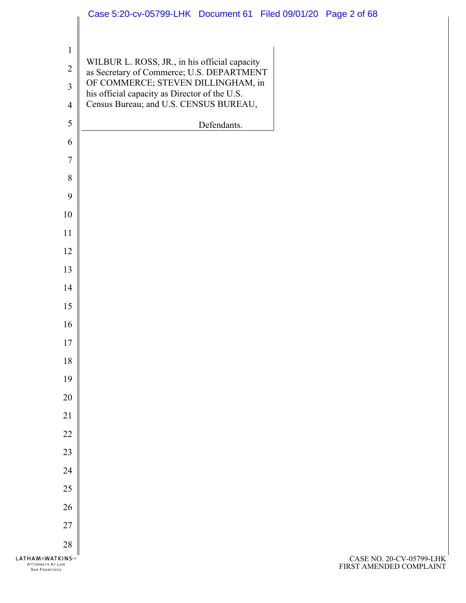|                                                                    | Case 5:20-cv-05799-LHK Document 61 Filed 09/01/20 Page 2 of 68                                                                   |             |                                    |
|--------------------------------------------------------------------|----------------------------------------------------------------------------------------------------------------------------------|-------------|------------------------------------|
| $\mathbf{1}$<br>$\overline{2}$<br>$\overline{3}$                   | WILBUR L. ROSS, JR., in his official capacity<br>as Secretary of Commerce; U.S. DEPARTMENT<br>OF COMMERCE; STEVEN DILLINGHAM, in |             |                                    |
| $\overline{4}$                                                     | his official capacity as Director of the U.S.<br>Census Bureau; and U.S. CENSUS BUREAU,                                          |             |                                    |
| 5                                                                  |                                                                                                                                  | Defendants. |                                    |
| 6                                                                  |                                                                                                                                  |             |                                    |
| $\overline{7}$                                                     |                                                                                                                                  |             |                                    |
| 8                                                                  |                                                                                                                                  |             |                                    |
| 9                                                                  |                                                                                                                                  |             |                                    |
| 10                                                                 |                                                                                                                                  |             |                                    |
| 11                                                                 |                                                                                                                                  |             |                                    |
| 12                                                                 |                                                                                                                                  |             |                                    |
| 13                                                                 |                                                                                                                                  |             |                                    |
| 14                                                                 |                                                                                                                                  |             |                                    |
| 15                                                                 |                                                                                                                                  |             |                                    |
| 16                                                                 |                                                                                                                                  |             |                                    |
| $17\,$                                                             |                                                                                                                                  |             |                                    |
| 18                                                                 |                                                                                                                                  |             |                                    |
| 19                                                                 |                                                                                                                                  |             |                                    |
| 20                                                                 |                                                                                                                                  |             |                                    |
| 21                                                                 |                                                                                                                                  |             |                                    |
| 22                                                                 |                                                                                                                                  |             |                                    |
| 23                                                                 |                                                                                                                                  |             |                                    |
| 24                                                                 |                                                                                                                                  |             |                                    |
| $25\,$                                                             |                                                                                                                                  |             |                                    |
| 26                                                                 |                                                                                                                                  |             |                                    |
| $27\,$                                                             |                                                                                                                                  |             |                                    |
| 28                                                                 |                                                                                                                                  |             |                                    |
| <b>HAM&amp;WATKINS</b><br>ATTORNEYS AT LAW<br><b>SAN FRANCISCO</b> |                                                                                                                                  |             | CASE NO. 20<br><b>FIRST AMENDI</b> |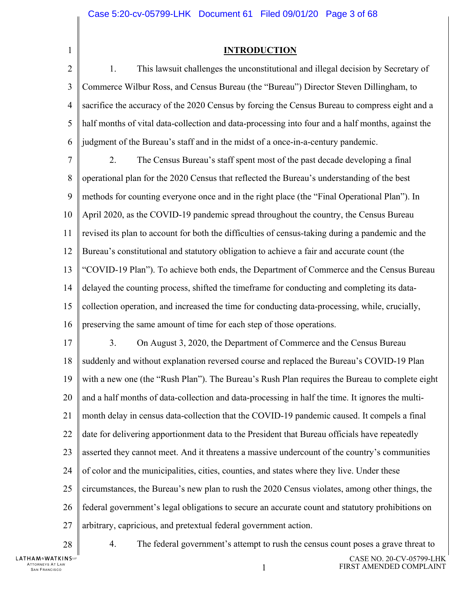1

#### **INTRODUCTION**

 $\overline{2}$ 3 4 5 6 1. This lawsuit challenges the unconstitutional and illegal decision by Secretary of Commerce Wilbur Ross, and Census Bureau (the "Bureau") Director Steven Dillingham, to sacrifice the accuracy of the 2020 Census by forcing the Census Bureau to compress eight and a half months of vital data-collection and data-processing into four and a half months, against the judgment of the Bureau's staff and in the midst of a once-in-a-century pandemic.

7 8 9 10 11 12 13 14 15 16 2. The Census Bureau's staff spent most of the past decade developing a final operational plan for the 2020 Census that reflected the Bureau's understanding of the best methods for counting everyone once and in the right place (the "Final Operational Plan"). In April 2020, as the COVID-19 pandemic spread throughout the country, the Census Bureau revised its plan to account for both the difficulties of census-taking during a pandemic and the Bureau's constitutional and statutory obligation to achieve a fair and accurate count (the "COVID-19 Plan"). To achieve both ends, the Department of Commerce and the Census Bureau delayed the counting process, shifted the timeframe for conducting and completing its datacollection operation, and increased the time for conducting data-processing, while, crucially, preserving the same amount of time for each step of those operations.

17 18 19 20 21 22 23 24 25 26 27 3. On August 3, 2020, the Department of Commerce and the Census Bureau suddenly and without explanation reversed course and replaced the Bureau's COVID-19 Plan with a new one (the "Rush Plan"). The Bureau's Rush Plan requires the Bureau to complete eight and a half months of data-collection and data-processing in half the time. It ignores the multimonth delay in census data-collection that the COVID-19 pandemic caused. It compels a final date for delivering apportionment data to the President that Bureau officials have repeatedly asserted they cannot meet. And it threatens a massive undercount of the country's communities of color and the municipalities, cities, counties, and states where they live. Under these circumstances, the Bureau's new plan to rush the 2020 Census violates, among other things, the federal government's legal obligations to secure an accurate count and statutory prohibitions on arbitrary, capricious, and pretextual federal government action.

28

4. The federal government's attempt to rush the census count poses a grave threat to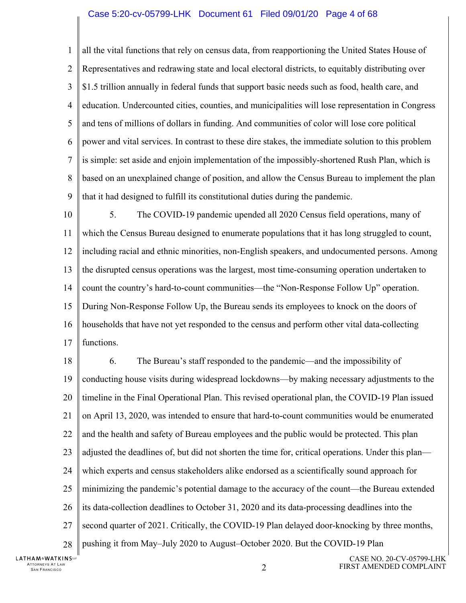#### Case 5:20-cv-05799-LHK Document 61 Filed 09/01/20 Page 4 of 68

1  $\mathcal{D}_{\mathcal{L}}$ 3 4 5 6 7 8 9 all the vital functions that rely on census data, from reapportioning the United States House of Representatives and redrawing state and local electoral districts, to equitably distributing over \$1.5 trillion annually in federal funds that support basic needs such as food, health care, and education. Undercounted cities, counties, and municipalities will lose representation in Congress and tens of millions of dollars in funding. And communities of color will lose core political power and vital services. In contrast to these dire stakes, the immediate solution to this problem is simple: set aside and enjoin implementation of the impossibly-shortened Rush Plan, which is based on an unexplained change of position, and allow the Census Bureau to implement the plan that it had designed to fulfill its constitutional duties during the pandemic.

10 11 12 13 14 15 16 17 5. The COVID-19 pandemic upended all 2020 Census field operations, many of which the Census Bureau designed to enumerate populations that it has long struggled to count, including racial and ethnic minorities, non-English speakers, and undocumented persons. Among the disrupted census operations was the largest, most time-consuming operation undertaken to count the country's hard-to-count communities—the "Non-Response Follow Up" operation. During Non-Response Follow Up, the Bureau sends its employees to knock on the doors of households that have not yet responded to the census and perform other vital data-collecting functions.

18 19 20 21 22 23 24 25 26 27 28 6. The Bureau's staff responded to the pandemic—and the impossibility of conducting house visits during widespread lockdowns—by making necessary adjustments to the timeline in the Final Operational Plan. This revised operational plan, the COVID-19 Plan issued on April 13, 2020, was intended to ensure that hard-to-count communities would be enumerated and the health and safety of Bureau employees and the public would be protected. This plan adjusted the deadlines of, but did not shorten the time for, critical operations. Under this plan which experts and census stakeholders alike endorsed as a scientifically sound approach for minimizing the pandemic's potential damage to the accuracy of the count—the Bureau extended its data-collection deadlines to October 31, 2020 and its data-processing deadlines into the second quarter of 2021. Critically, the COVID-19 Plan delayed door-knocking by three months, pushing it from May–July 2020 to August–October 2020. But the COVID-19 Plan

**LATHAM&WATKINS** ATTORNEYS AT LAW TTORNEYS AT LAW  $\,$  2  $\,$  2  $\,$  2  $\,$  2  $\,$  2  $\,$  2  $\,$  2  $\,$  2  $\,$  2  $\,$  2  $\,$  2  $\,$  2  $\,$  2  $\,$  2  $\,$  2  $\,$  2  $\,$  2  $\,$  2  $\,$  2  $\,$  2  $\,$  2  $\,$  2  $\,$  2  $\,$  2  $\,$  2  $\,$  2  $\,$  2  $\,$  2  $\,$  2  $\$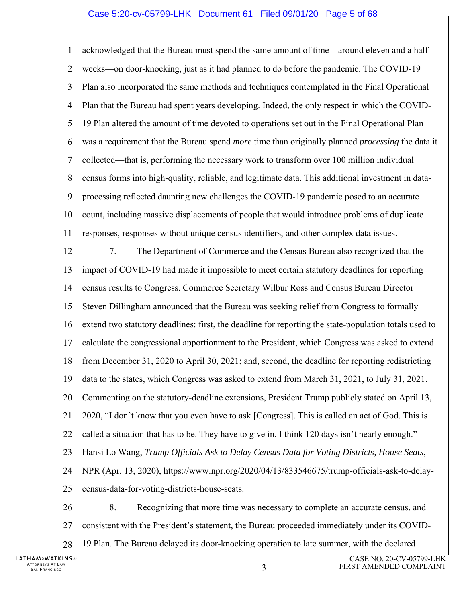#### Case 5:20-cv-05799-LHK Document 61 Filed 09/01/20 Page 5 of 68

1  $\mathcal{D}_{\mathcal{L}}$ 3 4 5 6 7 8 9 10 11 acknowledged that the Bureau must spend the same amount of time—around eleven and a half weeks—on door-knocking, just as it had planned to do before the pandemic. The COVID-19 Plan also incorporated the same methods and techniques contemplated in the Final Operational Plan that the Bureau had spent years developing. Indeed, the only respect in which the COVID-19 Plan altered the amount of time devoted to operations set out in the Final Operational Plan was a requirement that the Bureau spend *more* time than originally planned *processing* the data it collected—that is, performing the necessary work to transform over 100 million individual census forms into high-quality, reliable, and legitimate data. This additional investment in dataprocessing reflected daunting new challenges the COVID-19 pandemic posed to an accurate count, including massive displacements of people that would introduce problems of duplicate responses, responses without unique census identifiers, and other complex data issues.

12 13 14 15 16 17 18 19 20 21 22 23 24 25 26 27 7. The Department of Commerce and the Census Bureau also recognized that the impact of COVID-19 had made it impossible to meet certain statutory deadlines for reporting census results to Congress. Commerce Secretary Wilbur Ross and Census Bureau Director Steven Dillingham announced that the Bureau was seeking relief from Congress to formally extend two statutory deadlines: first, the deadline for reporting the state-population totals used to calculate the congressional apportionment to the President, which Congress was asked to extend from December 31, 2020 to April 30, 2021; and, second, the deadline for reporting redistricting data to the states, which Congress was asked to extend from March 31, 2021, to July 31, 2021. Commenting on the statutory-deadline extensions, President Trump publicly stated on April 13, 2020, "I don't know that you even have to ask [Congress]. This is called an act of God. This is called a situation that has to be. They have to give in. I think 120 days isn't nearly enough." Hansi Lo Wang, *Trump Officials Ask to Delay Census Data for Voting Districts, House Seats*, NPR (Apr. 13, 2020), https://www.npr.org/2020/04/13/833546675/trump-officials-ask-to-delaycensus-data-for-voting-districts-house-seats. 8. Recognizing that more time was necessary to complete an accurate census, and consistent with the President's statement, the Bureau proceeded immediately under its COVID-

28 19 Plan. The Bureau delayed its door-knocking operation to late summer, with the declared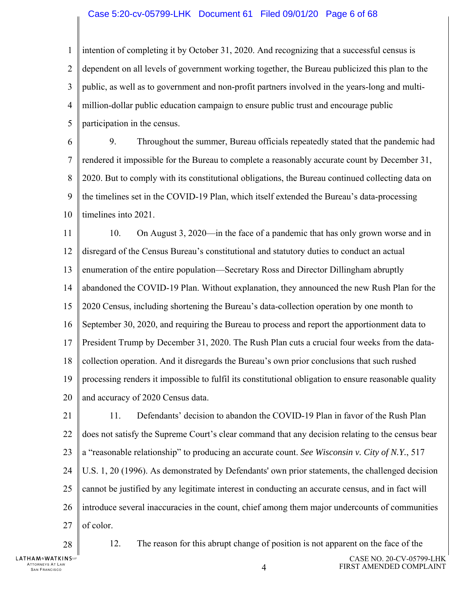#### Case 5:20-cv-05799-LHK Document 61 Filed 09/01/20 Page 6 of 68

1  $\mathcal{D}_{\mathcal{L}}$ 3 4 5 intention of completing it by October 31, 2020. And recognizing that a successful census is dependent on all levels of government working together, the Bureau publicized this plan to the public, as well as to government and non-profit partners involved in the years-long and multimillion-dollar public education campaign to ensure public trust and encourage public participation in the census.

6 7 8 9 10 9. Throughout the summer, Bureau officials repeatedly stated that the pandemic had rendered it impossible for the Bureau to complete a reasonably accurate count by December 31, 2020. But to comply with its constitutional obligations, the Bureau continued collecting data on the timelines set in the COVID-19 Plan, which itself extended the Bureau's data-processing timelines into 2021.

11 12 13 14 15 16 17 18 19 20 10. On August 3, 2020—in the face of a pandemic that has only grown worse and in disregard of the Census Bureau's constitutional and statutory duties to conduct an actual enumeration of the entire population—Secretary Ross and Director Dillingham abruptly abandoned the COVID-19 Plan. Without explanation, they announced the new Rush Plan for the 2020 Census, including shortening the Bureau's data-collection operation by one month to September 30, 2020, and requiring the Bureau to process and report the apportionment data to President Trump by December 31, 2020. The Rush Plan cuts a crucial four weeks from the datacollection operation. And it disregards the Bureau's own prior conclusions that such rushed processing renders it impossible to fulfil its constitutional obligation to ensure reasonable quality and accuracy of 2020 Census data.

21 22 23 24 25 26 27 11. Defendants' decision to abandon the COVID-19 Plan in favor of the Rush Plan does not satisfy the Supreme Court's clear command that any decision relating to the census bear a "reasonable relationship" to producing an accurate count. *See Wisconsin v. City of N.Y.*, 517 U.S. 1, 20 (1996). As demonstrated by Defendants' own prior statements, the challenged decision cannot be justified by any legitimate interest in conducting an accurate census, and in fact will introduce several inaccuracies in the count, chief among them major undercounts of communities of color.

28

12. The reason for this abrupt change of position is not apparent on the face of the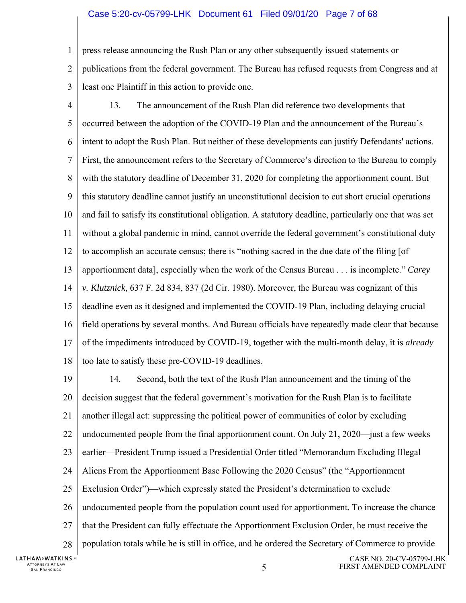#### Case 5:20-cv-05799-LHK Document 61 Filed 09/01/20 Page 7 of 68

- 1 press release announcing the Rush Plan or any other subsequently issued statements or
- $\mathcal{D}_{\mathcal{L}}$ 3 publications from the federal government. The Bureau has refused requests from Congress and at least one Plaintiff in this action to provide one.
- 4 5 6 7 8 9 10 11 12 13 14 15 16 17 18 13. The announcement of the Rush Plan did reference two developments that occurred between the adoption of the COVID-19 Plan and the announcement of the Bureau's intent to adopt the Rush Plan. But neither of these developments can justify Defendants' actions. First, the announcement refers to the Secretary of Commerce's direction to the Bureau to comply with the statutory deadline of December 31, 2020 for completing the apportionment count. But this statutory deadline cannot justify an unconstitutional decision to cut short crucial operations and fail to satisfy its constitutional obligation. A statutory deadline, particularly one that was set without a global pandemic in mind, cannot override the federal government's constitutional duty to accomplish an accurate census; there is "nothing sacred in the due date of the filing [of apportionment data], especially when the work of the Census Bureau . . . is incomplete." *Carey v. Klutznick*, 637 F. 2d 834, 837 (2d Cir. 1980). Moreover, the Bureau was cognizant of this deadline even as it designed and implemented the COVID-19 Plan, including delaying crucial field operations by several months. And Bureau officials have repeatedly made clear that because of the impediments introduced by COVID-19, together with the multi-month delay, it is *already*  too late to satisfy these pre-COVID-19 deadlines.
- 19 20 21 22 23 24 25 26 27 28 14. Second, both the text of the Rush Plan announcement and the timing of the decision suggest that the federal government's motivation for the Rush Plan is to facilitate another illegal act: suppressing the political power of communities of color by excluding undocumented people from the final apportionment count. On July 21, 2020—just a few weeks earlier—President Trump issued a Presidential Order titled "Memorandum Excluding Illegal Aliens From the Apportionment Base Following the 2020 Census" (the "Apportionment Exclusion Order")—which expressly stated the President's determination to exclude undocumented people from the population count used for apportionment. To increase the chance that the President can fully effectuate the Apportionment Exclusion Order, he must receive the population totals while he is still in office, and he ordered the Secretary of Commerce to provide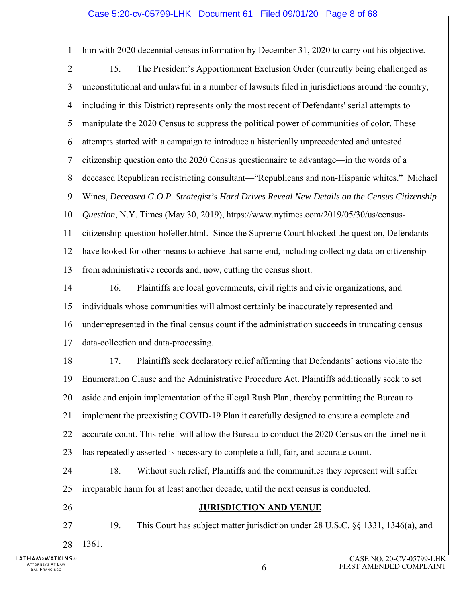1 him with 2020 decennial census information by December 31, 2020 to carry out his objective.  $\mathfrak{D}$ 15. The President's Apportionment Exclusion Order (currently being challenged as 3 unconstitutional and unlawful in a number of lawsuits filed in jurisdictions around the country, 4 including in this District) represents only the most recent of Defendants' serial attempts to 5 manipulate the 2020 Census to suppress the political power of communities of color. These 6 attempts started with a campaign to introduce a historically unprecedented and untested 7 citizenship question onto the 2020 Census questionnaire to advantage—in the words of a 8 deceased Republican redistricting consultant—"Republicans and non-Hispanic whites." Michael 9 Wines, *Deceased G.O.P. Strategist's Hard Drives Reveal New Details on the Census Citizenship*  10 *Question*, N.Y. Times (May 30, 2019), https://www.nytimes.com/2019/05/30/us/census-11 citizenship-question-hofeller.html. Since the Supreme Court blocked the question, Defendants 12 have looked for other means to achieve that same end, including collecting data on citizenship 13 from administrative records and, now, cutting the census short. 14 16. Plaintiffs are local governments, civil rights and civic organizations, and 15 individuals whose communities will almost certainly be inaccurately represented and 16 underrepresented in the final census count if the administration succeeds in truncating census 17 data-collection and data-processing. 18 17. Plaintiffs seek declaratory relief affirming that Defendants' actions violate the 19 Enumeration Clause and the Administrative Procedure Act. Plaintiffs additionally seek to set 20 aside and enjoin implementation of the illegal Rush Plan, thereby permitting the Bureau to 21 implement the preexisting COVID-19 Plan it carefully designed to ensure a complete and 22 accurate count. This relief will allow the Bureau to conduct the 2020 Census on the timeline it 23 has repeatedly asserted is necessary to complete a full, fair, and accurate count. 24 18. Without such relief, Plaintiffs and the communities they represent will suffer 25 irreparable harm for at least another decade, until the next census is conducted. 26 **JURISDICTION AND VENUE**  27 19. This Court has subject matter jurisdiction under 28 U.S.C. §§ 1331, 1346(a), and 1361. 28 **LATHAM&WATKINS** CASE NO. 20-CV-05799-LHK ATTORNEYS AT LAW

FIRST AMENDED COMPLAINT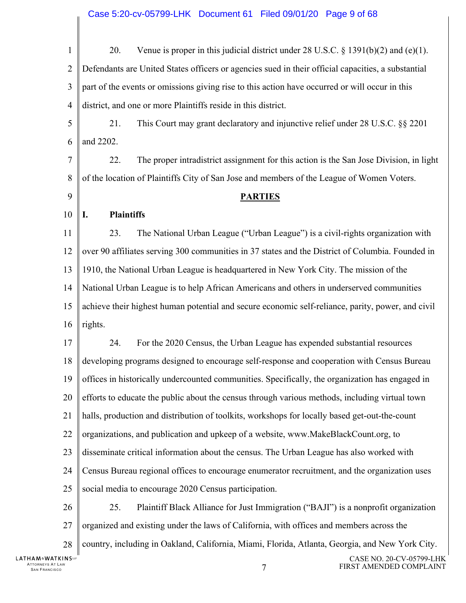#### Case 5:20-cv-05799-LHK Document 61 Filed 09/01/20 Page 9 of 68

20. Venue is proper in this judicial district under 28 U.S.C. § 1391(b)(2) and (e)(1). 1  $\overline{2}$ Defendants are United States officers or agencies sued in their official capacities, a substantial 3 part of the events or omissions giving rise to this action have occurred or will occur in this 4 district, and one or more Plaintiffs reside in this district. 5 21. This Court may grant declaratory and injunctive relief under 28 U.S.C. §§ 2201 and 2202. 6 7 22. The proper intradistrict assignment for this action is the San Jose Division, in light 8 of the location of Plaintiffs City of San Jose and members of the League of Women Voters. 9 **PARTIES I. Plaintiffs**  10 11 23. The National Urban League ("Urban League") is a civil-rights organization with 12 over 90 affiliates serving 300 communities in 37 states and the District of Columbia. Founded in 13 1910, the National Urban League is headquartered in New York City. The mission of the 14 National Urban League is to help African Americans and others in underserved communities 15 achieve their highest human potential and secure economic self-reliance, parity, power, and civil 16 rights. 24. For the 2020 Census, the Urban League has expended substantial resources 17 18 developing programs designed to encourage self-response and cooperation with Census Bureau 19 offices in historically undercounted communities. Specifically, the organization has engaged in 20 efforts to educate the public about the census through various methods, including virtual town 21 halls, production and distribution of toolkits, workshops for locally based get-out-the-count 22 organizations, and publication and upkeep of a website, www.MakeBlackCount.org, to 23 disseminate critical information about the census. The Urban League has also worked with 24 Census Bureau regional offices to encourage enumerator recruitment, and the organization uses 25 social media to encourage 2020 Census participation. 26 25. Plaintiff Black Alliance for Just Immigration ("BAJI") is a nonprofit organization 27 organized and existing under the laws of California, with offices and members across the country, including in Oakland, California, Miami, Florida, Atlanta, Georgia, and New York City. 28 **LATHAM&WATKINS** CASE NO. 20-CV-05799-LHK ATTORNEYS AT LAW SAN FRANCISCO 7 FIRST AMENDED COMPLAINT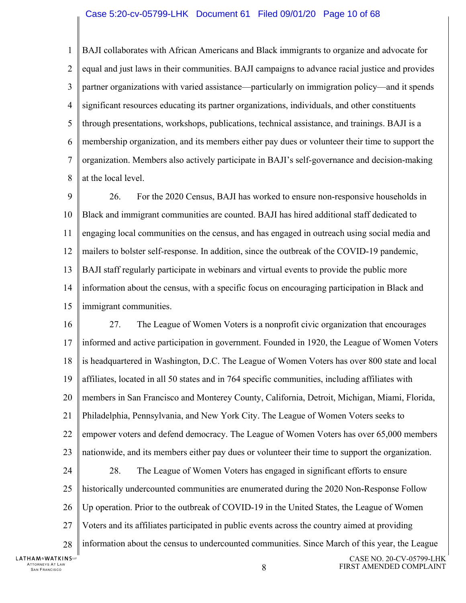#### Case 5:20-cv-05799-LHK Document 61 Filed 09/01/20 Page 10 of 68

1  $\mathcal{D}_{\mathcal{L}}$ 3 4 5 6 7 8 BAJI collaborates with African Americans and Black immigrants to organize and advocate for equal and just laws in their communities. BAJI campaigns to advance racial justice and provides partner organizations with varied assistance—particularly on immigration policy—and it spends significant resources educating its partner organizations, individuals, and other constituents through presentations, workshops, publications, technical assistance, and trainings. BAJI is a membership organization, and its members either pay dues or volunteer their time to support the organization. Members also actively participate in BAJI's self-governance and decision-making at the local level.

9 10 11 12 13 14 15 26. For the 2020 Census, BAJI has worked to ensure non-responsive households in Black and immigrant communities are counted. BAJI has hired additional staff dedicated to engaging local communities on the census, and has engaged in outreach using social media and mailers to bolster self-response. In addition, since the outbreak of the COVID-19 pandemic, BAJI staff regularly participate in webinars and virtual events to provide the public more information about the census, with a specific focus on encouraging participation in Black and immigrant communities.

16 27. The League of Women Voters is a nonprofit civic organization that encourages 17 informed and active participation in government. Founded in 1920, the League of Women Voters 18 is headquartered in Washington, D.C. The League of Women Voters has over 800 state and local 19 affiliates, located in all 50 states and in 764 specific communities, including affiliates with 20 members in San Francisco and Monterey County, California, Detroit, Michigan, Miami, Florida, 21 Philadelphia, Pennsylvania, and New York City. The League of Women Voters seeks to 22 empower voters and defend democracy. The League of Women Voters has over 65,000 members 23 nationwide, and its members either pay dues or volunteer their time to support the organization. 24 28. The League of Women Voters has engaged in significant efforts to ensure 25 historically undercounted communities are enumerated during the 2020 Non-Response Follow 26 Up operation. Prior to the outbreak of COVID-19 in the United States, the League of Women 27 Voters and its affiliates participated in public events across the country aimed at providing information about the census to undercounted communities. Since March of this year, the League 28 **LATHAM&WATKINS** CASE NO. 20-CV-05799-LHK ATTORNEYS AT LAW TORNEYS AT LAW<br>SAN FRANCISCO **8** FIRST AMENDED COMPLAINT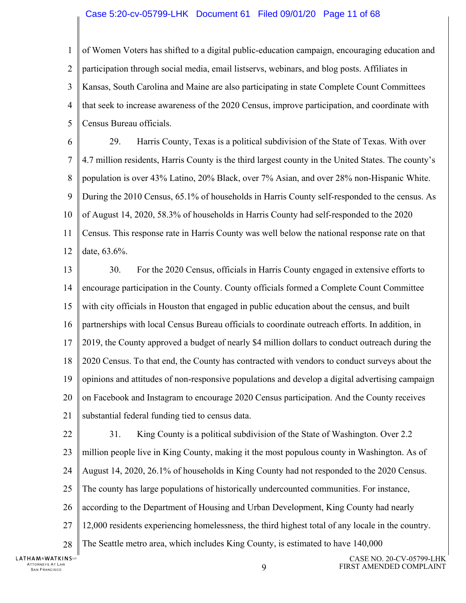#### Case 5:20-cv-05799-LHK Document 61 Filed 09/01/20 Page 11 of 68

1  $\mathcal{D}_{\mathcal{L}}$ 3 4 5 of Women Voters has shifted to a digital public-education campaign, encouraging education and participation through social media, email listservs, webinars, and blog posts. Affiliates in Kansas, South Carolina and Maine are also participating in state Complete Count Committees that seek to increase awareness of the 2020 Census, improve participation, and coordinate with Census Bureau officials.

6 7 8 9 10 11 12 29. Harris County, Texas is a political subdivision of the State of Texas. With over 4.7 million residents, Harris County is the third largest county in the United States. The county's population is over 43% Latino, 20% Black, over 7% Asian, and over 28% non-Hispanic White. During the 2010 Census, 65.1% of households in Harris County self-responded to the census. As of August 14, 2020, 58.3% of households in Harris County had self-responded to the 2020 Census. This response rate in Harris County was well below the national response rate on that date, 63.6%.

13 14 15 16 17 18 19 20 21 30. For the 2020 Census, officials in Harris County engaged in extensive efforts to encourage participation in the County. County officials formed a Complete Count Committee with city officials in Houston that engaged in public education about the census, and built partnerships with local Census Bureau officials to coordinate outreach efforts. In addition, in 2019, the County approved a budget of nearly \$4 million dollars to conduct outreach during the 2020 Census. To that end, the County has contracted with vendors to conduct surveys about the opinions and attitudes of non-responsive populations and develop a digital advertising campaign on Facebook and Instagram to encourage 2020 Census participation. And the County receives substantial federal funding tied to census data.

22 23 24 25 26 27 28 31. King County is a political subdivision of the State of Washington. Over 2.2 million people live in King County, making it the most populous county in Washington. As of August 14, 2020, 26.1% of households in King County had not responded to the 2020 Census. The county has large populations of historically undercounted communities. For instance, according to the Department of Housing and Urban Development, King County had nearly 12,000 residents experiencing homelessness, the third highest total of any locale in the country. The Seattle metro area, which includes King County, is estimated to have 140,000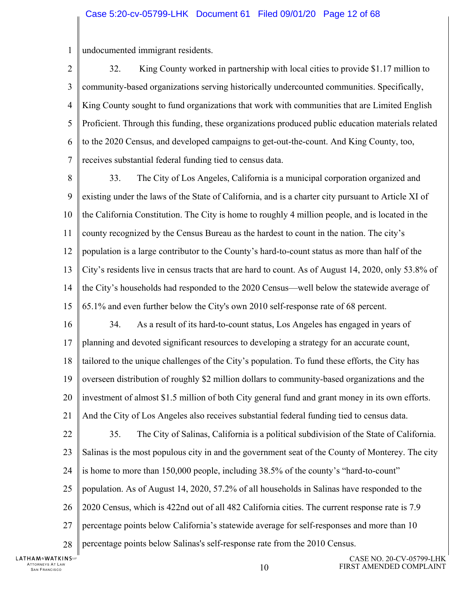#### Case 5:20-cv-05799-LHK Document 61 Filed 09/01/20 Page 12 of 68

1 undocumented immigrant residents.

 $\mathfrak{D}$ 3 4 5 6 7 32. King County worked in partnership with local cities to provide \$1.17 million to community-based organizations serving historically undercounted communities. Specifically, King County sought to fund organizations that work with communities that are Limited English Proficient. Through this funding, these organizations produced public education materials related to the 2020 Census, and developed campaigns to get-out-the-count. And King County, too, receives substantial federal funding tied to census data.

8 9 10 11 12 13 14 15 33. The City of Los Angeles, California is a municipal corporation organized and existing under the laws of the State of California, and is a charter city pursuant to Article XI of the California Constitution. The City is home to roughly 4 million people, and is located in the county recognized by the Census Bureau as the hardest to count in the nation. The city's population is a large contributor to the County's hard-to-count status as more than half of the City's residents live in census tracts that are hard to count. As of August 14, 2020, only 53.8% of the City's households had responded to the 2020 Census—well below the statewide average of 65.1% and even further below the City's own 2010 self-response rate of 68 percent.

16 17 18 19 20 21 34. As a result of its hard-to-count status, Los Angeles has engaged in years of planning and devoted significant resources to developing a strategy for an accurate count, tailored to the unique challenges of the City's population. To fund these efforts, the City has overseen distribution of roughly \$2 million dollars to community-based organizations and the investment of almost \$1.5 million of both City general fund and grant money in its own efforts. And the City of Los Angeles also receives substantial federal funding tied to census data.

22 23 24 25 26 27 28 35. The City of Salinas, California is a political subdivision of the State of California. Salinas is the most populous city in and the government seat of the County of Monterey. The city is home to more than 150,000 people, including 38.5% of the county's "hard-to-count" population. As of August 14, 2020, 57.2% of all households in Salinas have responded to the 2020 Census, which is 422nd out of all 482 California cities. The current response rate is 7.9 percentage points below California's statewide average for self-responses and more than 10 percentage points below Salinas's self-response rate from the 2010 Census.

**LATHAM&WATKINS** ATTORNEYS AT LAW  $10$  SAN FRANCISCO  $10$ 

CASE NO. 20-CV-05799-LHK FIRST AMENDED COMPLAINT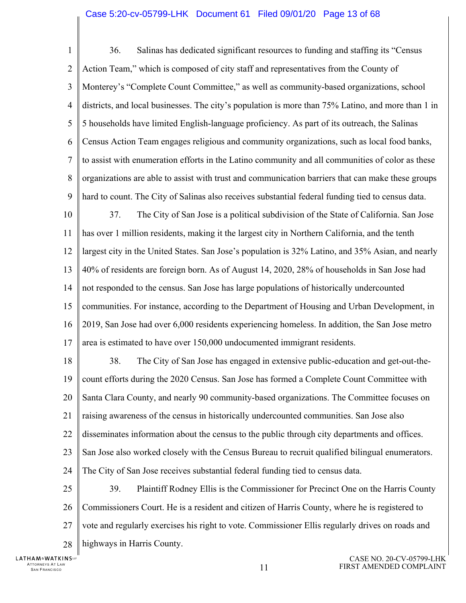#### Case 5:20-cv-05799-LHK Document 61 Filed 09/01/20 Page 13 of 68

1  $\mathcal{D}_{\mathcal{L}}$ 3 4 5 6 7 8 9 36. Salinas has dedicated significant resources to funding and staffing its "Census Action Team," which is composed of city staff and representatives from the County of Monterey's "Complete Count Committee," as well as community-based organizations, school districts, and local businesses. The city's population is more than 75% Latino, and more than 1 in 5 households have limited English-language proficiency. As part of its outreach, the Salinas Census Action Team engages religious and community organizations, such as local food banks, to assist with enumeration efforts in the Latino community and all communities of color as these organizations are able to assist with trust and communication barriers that can make these groups hard to count. The City of Salinas also receives substantial federal funding tied to census data.

10 11 12 13 14 15 16 17 37. The City of San Jose is a political subdivision of the State of California. San Jose has over 1 million residents, making it the largest city in Northern California, and the tenth largest city in the United States. San Jose's population is 32% Latino, and 35% Asian, and nearly 40% of residents are foreign born. As of August 14, 2020, 28% of households in San Jose had not responded to the census. San Jose has large populations of historically undercounted communities. For instance, according to the Department of Housing and Urban Development, in 2019, San Jose had over 6,000 residents experiencing homeless. In addition, the San Jose metro area is estimated to have over 150,000 undocumented immigrant residents.

18 19 20 21 22 23 24 25 38. The City of San Jose has engaged in extensive public-education and get-out-thecount efforts during the 2020 Census. San Jose has formed a Complete Count Committee with Santa Clara County, and nearly 90 community-based organizations. The Committee focuses on raising awareness of the census in historically undercounted communities. San Jose also disseminates information about the census to the public through city departments and offices. San Jose also worked closely with the Census Bureau to recruit qualified bilingual enumerators. The City of San Jose receives substantial federal funding tied to census data. 39. Plaintiff Rodney Ellis is the Commissioner for Precinct One on the Harris County

26 27 28 Commissioners Court. He is a resident and citizen of Harris County, where he is registered to vote and regularly exercises his right to vote. Commissioner Ellis regularly drives on roads and highways in Harris County.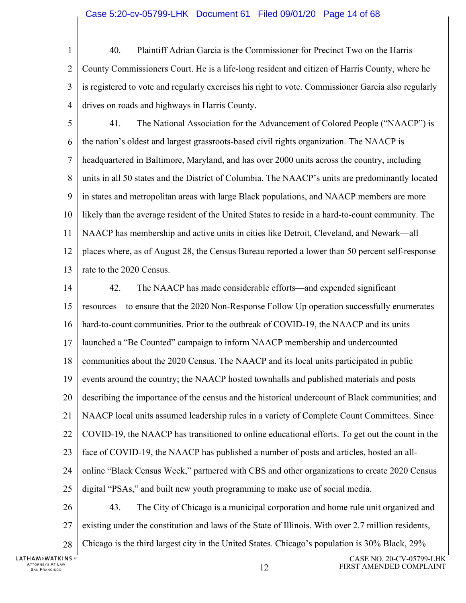- 1  $\mathcal{D}_{\mathcal{L}}$ 3 4 40. Plaintiff Adrian Garcia is the Commissioner for Precinct Two on the Harris County Commissioners Court. He is a life-long resident and citizen of Harris County, where he is registered to vote and regularly exercises his right to vote. Commissioner Garcia also regularly drives on roads and highways in Harris County.
- 5 6 7 8 9 10 11 12 13 41. The National Association for the Advancement of Colored People ("NAACP") is the nation's oldest and largest grassroots-based civil rights organization. The NAACP is headquartered in Baltimore, Maryland, and has over 2000 units across the country, including units in all 50 states and the District of Columbia. The NAACP's units are predominantly located in states and metropolitan areas with large Black populations, and NAACP members are more likely than the average resident of the United States to reside in a hard-to-count community. The NAACP has membership and active units in cities like Detroit, Cleveland, and Newark—all places where, as of August 28, the Census Bureau reported a lower than 50 percent self-response rate to the 2020 Census.
- 14 15 16 17 18 19 20 21 22 23 24 25 26 27 28 42. The NAACP has made considerable efforts—and expended significant resources—to ensure that the 2020 Non-Response Follow Up operation successfully enumerates hard-to-count communities. Prior to the outbreak of COVID-19, the NAACP and its units launched a "Be Counted" campaign to inform NAACP membership and undercounted communities about the 2020 Census. The NAACP and its local units participated in public events around the country; the NAACP hosted townhalls and published materials and posts describing the importance of the census and the historical undercount of Black communities; and NAACP local units assumed leadership rules in a variety of Complete Count Committees. Since COVID-19, the NAACP has transitioned to online educational efforts. To get out the count in the face of COVID-19, the NAACP has published a number of posts and articles, hosted an allonline "Black Census Week," partnered with CBS and other organizations to create 2020 Census digital "PSAs," and built new youth programming to make use of social media. 43. The City of Chicago is a municipal corporation and home rule unit organized and existing under the constitution and laws of the State of Illinois. With over 2.7 million residents, Chicago is the third largest city in the United States. Chicago's population is 30% Black, 29%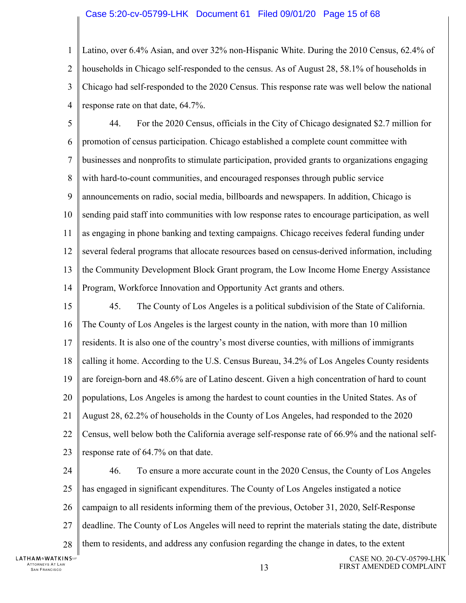#### Case 5:20-cv-05799-LHK Document 61 Filed 09/01/20 Page 15 of 68

1  $\mathcal{D}_{\mathcal{L}}$ 3 4 Latino, over 6.4% Asian, and over 32% non-Hispanic White. During the 2010 Census, 62.4% of households in Chicago self-responded to the census. As of August 28, 58.1% of households in Chicago had self-responded to the 2020 Census. This response rate was well below the national response rate on that date, 64.7%.

5 6 7 8 9 10 11 12 13 14 44. For the 2020 Census, officials in the City of Chicago designated \$2.7 million for promotion of census participation. Chicago established a complete count committee with businesses and nonprofits to stimulate participation, provided grants to organizations engaging with hard-to-count communities, and encouraged responses through public service announcements on radio, social media, billboards and newspapers. In addition, Chicago is sending paid staff into communities with low response rates to encourage participation, as well as engaging in phone banking and texting campaigns. Chicago receives federal funding under several federal programs that allocate resources based on census-derived information, including the Community Development Block Grant program, the Low Income Home Energy Assistance Program, Workforce Innovation and Opportunity Act grants and others.

15 16 17 18 19 20 21 22 23 45. The County of Los Angeles is a political subdivision of the State of California. The County of Los Angeles is the largest county in the nation, with more than 10 million residents. It is also one of the country's most diverse counties, with millions of immigrants calling it home. According to the U.S. Census Bureau, 34.2% of Los Angeles County residents are foreign-born and 48.6% are of Latino descent. Given a high concentration of hard to count populations, Los Angeles is among the hardest to count counties in the United States. As of August 28, 62.2% of households in the County of Los Angeles, had responded to the 2020 Census, well below both the California average self-response rate of 66.9% and the national selfresponse rate of 64.7% on that date.

24 25 26 27 28 46. To ensure a more accurate count in the 2020 Census, the County of Los Angeles has engaged in significant expenditures. The County of Los Angeles instigated a notice campaign to all residents informing them of the previous, October 31, 2020, Self-Response deadline. The County of Los Angeles will need to reprint the materials stating the date, distribute them to residents, and address any confusion regarding the change in dates, to the extent

**LATHAM&WATKINS** ATTORNEYS AT LAW TTORNEYS AT LAW  $13$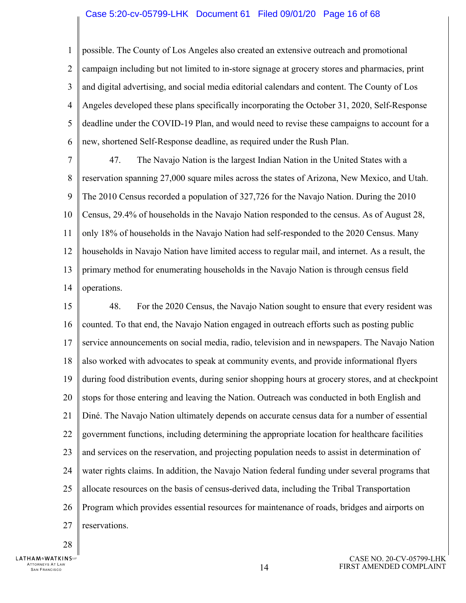#### Case 5:20-cv-05799-LHK Document 61 Filed 09/01/20 Page 16 of 68

1  $\mathcal{D}_{\mathcal{L}}$ 3 4 5 6 possible. The County of Los Angeles also created an extensive outreach and promotional campaign including but not limited to in-store signage at grocery stores and pharmacies, print and digital advertising, and social media editorial calendars and content. The County of Los Angeles developed these plans specifically incorporating the October 31, 2020, Self-Response deadline under the COVID-19 Plan, and would need to revise these campaigns to account for a new, shortened Self-Response deadline, as required under the Rush Plan.

7 8 9 10 11 12 13 14 47. The Navajo Nation is the largest Indian Nation in the United States with a reservation spanning 27,000 square miles across the states of Arizona, New Mexico, and Utah. The 2010 Census recorded a population of 327,726 for the Navajo Nation. During the 2010 Census, 29.4% of households in the Navajo Nation responded to the census. As of August 28, only 18% of households in the Navajo Nation had self-responded to the 2020 Census. Many households in Navajo Nation have limited access to regular mail, and internet. As a result, the primary method for enumerating households in the Navajo Nation is through census field operations.

15 16 17 18 19 20 21 22 23 24 25 26 27 48. For the 2020 Census, the Navajo Nation sought to ensure that every resident was counted. To that end, the Navajo Nation engaged in outreach efforts such as posting public service announcements on social media, radio, television and in newspapers. The Navajo Nation also worked with advocates to speak at community events, and provide informational flyers during food distribution events, during senior shopping hours at grocery stores, and at checkpoint stops for those entering and leaving the Nation. Outreach was conducted in both English and Diné. The Navajo Nation ultimately depends on accurate census data for a number of essential government functions, including determining the appropriate location for healthcare facilities and services on the reservation, and projecting population needs to assist in determination of water rights claims. In addition, the Navajo Nation federal funding under several programs that allocate resources on the basis of census-derived data, including the Tribal Transportation Program which provides essential resources for maintenance of roads, bridges and airports on reservations.

28

**LATHAM&WATKINS**ur ATTORNEYS AT LAW TTORNEYS AT LAW  $14$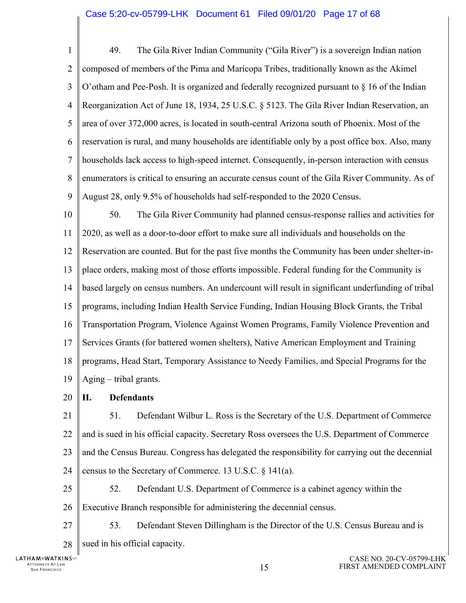1  $\mathcal{D}_{\mathcal{L}}$ 3 4 5 6 7 8 9 49. The Gila River Indian Community ("Gila River") is a sovereign Indian nation composed of members of the Pima and Maricopa Tribes, traditionally known as the Akimel O'otham and Pee-Posh. It is organized and federally recognized pursuant to  $\S$  16 of the Indian Reorganization Act of June 18, 1934, 25 U.S.C. § 5123. The Gila River Indian Reservation, an area of over 372,000 acres, is located in south-central Arizona south of Phoenix. Most of the reservation is rural, and many households are identifiable only by a post office box. Also, many households lack access to high-speed internet. Consequently, in-person interaction with census enumerators is critical to ensuring an accurate census count of the Gila River Community. As of August 28, only 9.5% of households had self-responded to the 2020 Census.

10 11 12 13 14 15 16 17 18 19 50. The Gila River Community had planned census-response rallies and activities for 2020, as well as a door-to-door effort to make sure all individuals and households on the Reservation are counted. But for the past five months the Community has been under shelter-inplace orders, making most of those efforts impossible. Federal funding for the Community is based largely on census numbers. An undercount will result in significant underfunding of tribal programs, including Indian Health Service Funding, Indian Housing Block Grants, the Tribal Transportation Program, Violence Against Women Programs, Family Violence Prevention and Services Grants (for battered women shelters), Native American Employment and Training programs, Head Start, Temporary Assistance to Needy Families, and Special Programs for the Aging – tribal grants.

20 **II. Defendants** 

21 22 23 24 51. Defendant Wilbur L. Ross is the Secretary of the U.S. Department of Commerce and is sued in his official capacity. Secretary Ross oversees the U.S. Department of Commerce and the Census Bureau. Congress has delegated the responsibility for carrying out the decennial census to the Secretary of Commerce. 13 U.S.C. § 141(a).

25 26 52. Defendant U.S. Department of Commerce is a cabinet agency within the Executive Branch responsible for administering the decennial census.

27 28 53. Defendant Steven Dillingham is the Director of the U.S. Census Bureau and is sued in his official capacity.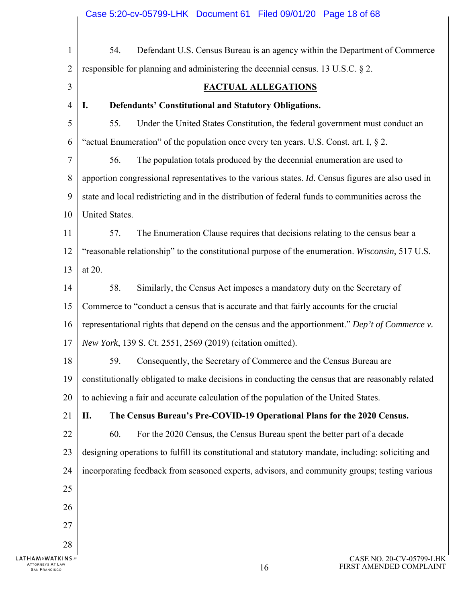| $\mathbf{1}$                                                     | Defendant U.S. Census Bureau is an agency within the Department of Commerce<br>54.                  |
|------------------------------------------------------------------|-----------------------------------------------------------------------------------------------------|
| $\overline{2}$                                                   | responsible for planning and administering the decennial census. 13 U.S.C. § 2.                     |
| 3                                                                | <b>FACTUAL ALLEGATIONS</b>                                                                          |
| $\overline{4}$                                                   | Defendants' Constitutional and Statutory Obligations.<br>I.                                         |
| 5                                                                | Under the United States Constitution, the federal government must conduct an<br>55.                 |
| 6                                                                | "actual Enumeration" of the population once every ten years. U.S. Const. art. I, $\S$ 2.            |
| 7                                                                | The population totals produced by the decennial enumeration are used to<br>56.                      |
| 8                                                                | apportion congressional representatives to the various states. Id. Census figures are also used in  |
| 9                                                                | state and local redistricting and in the distribution of federal funds to communities across the    |
| 10                                                               | United States.                                                                                      |
| 11                                                               | The Enumeration Clause requires that decisions relating to the census bear a<br>57.                 |
| 12                                                               | "reasonable relationship" to the constitutional purpose of the enumeration. Wisconsin, 517 U.S.     |
| 13                                                               | at 20.                                                                                              |
| 14                                                               | Similarly, the Census Act imposes a mandatory duty on the Secretary of<br>58.                       |
| 15                                                               | Commerce to "conduct a census that is accurate and that fairly accounts for the crucial             |
| 16                                                               | representational rights that depend on the census and the apportionment." Dep't of Commerce v.      |
| 17                                                               | New York, 139 S. Ct. 2551, 2569 (2019) (citation omitted).                                          |
| 18                                                               | Consequently, the Secretary of Commerce and the Census Bureau are<br>59.                            |
| 19                                                               | constitutionally obligated to make decisions in conducting the census that are reasonably related   |
| 20                                                               | to achieving a fair and accurate calculation of the population of the United States.                |
| 21                                                               | The Census Bureau's Pre-COVID-19 Operational Plans for the 2020 Census.<br>П.                       |
| 22                                                               | 60.<br>For the 2020 Census, the Census Bureau spent the better part of a decade                     |
| 23                                                               | designing operations to fulfill its constitutional and statutory mandate, including: soliciting and |
| 24                                                               | incorporating feedback from seasoned experts, advisors, and community groups; testing various       |
| 25                                                               |                                                                                                     |
| 26                                                               |                                                                                                     |
| 27                                                               |                                                                                                     |
| 28                                                               |                                                                                                     |
| <b>AM&amp;WATKINS</b><br>ITORNEYS AT LAW<br><b>SAN FRANCISCO</b> | CASE NO. 20-CV-05799-LHK<br>FIRST AMENDED COMPLAINT<br>16                                           |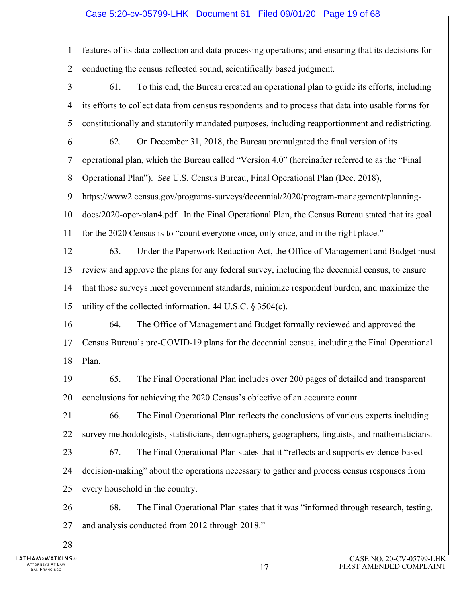# Case 5:20-cv-05799-LHK Document 61 Filed 09/01/20 Page 19 of 68

| 1              | features of its data-collection and data-processing operations; and ensuring that its decisions for |  |  |  |  |
|----------------|-----------------------------------------------------------------------------------------------------|--|--|--|--|
| $\overline{2}$ | conducting the census reflected sound, scientifically based judgment.                               |  |  |  |  |
| 3              | To this end, the Bureau created an operational plan to guide its efforts, including<br>61.          |  |  |  |  |
| $\overline{4}$ | its efforts to collect data from census respondents and to process that data into usable forms for  |  |  |  |  |
| 5              | constitutionally and statutorily mandated purposes, including reapportionment and redistricting.    |  |  |  |  |
| 6              | On December 31, 2018, the Bureau promulgated the final version of its<br>62.                        |  |  |  |  |
| $\tau$         | operational plan, which the Bureau called "Version 4.0" (hereinafter referred to as the "Final      |  |  |  |  |
| 8              | Operational Plan"). See U.S. Census Bureau, Final Operational Plan (Dec. 2018),                     |  |  |  |  |
| 9              | https://www2.census.gov/programs-surveys/decennial/2020/program-management/planning-                |  |  |  |  |
| 10             | docs/2020-oper-plan4.pdf. In the Final Operational Plan, the Census Bureau stated that its goal     |  |  |  |  |
| 11             | for the 2020 Census is to "count everyone once, only once, and in the right place."                 |  |  |  |  |
| 12             | Under the Paperwork Reduction Act, the Office of Management and Budget must<br>63.                  |  |  |  |  |
| 13             | review and approve the plans for any federal survey, including the decennial census, to ensure      |  |  |  |  |
| 14             | that those surveys meet government standards, minimize respondent burden, and maximize the          |  |  |  |  |
| 15             | utility of the collected information. 44 U.S.C. § 3504(c).                                          |  |  |  |  |
| 16             | The Office of Management and Budget formally reviewed and approved the<br>64.                       |  |  |  |  |
| 17             | Census Bureau's pre-COVID-19 plans for the decennial census, including the Final Operational        |  |  |  |  |
| 18             | Plan.                                                                                               |  |  |  |  |
| 19             | 65.<br>The Final Operational Plan includes over 200 pages of detailed and transparent               |  |  |  |  |
| 20             | conclusions for achieving the 2020 Census's objective of an accurate count.                         |  |  |  |  |
| 21             | 66.<br>The Final Operational Plan reflects the conclusions of various experts including             |  |  |  |  |
| 22             | survey methodologists, statisticians, demographers, geographers, linguists, and mathematicians.     |  |  |  |  |
| 23             | The Final Operational Plan states that it "reflects and supports evidence-based<br>67.              |  |  |  |  |
| 24             | decision-making" about the operations necessary to gather and process census responses from         |  |  |  |  |
| 25             | every household in the country.                                                                     |  |  |  |  |
| 26             | 68.<br>The Final Operational Plan states that it was "informed through research, testing,           |  |  |  |  |
| 27             | and analysis conducted from 2012 through 2018."                                                     |  |  |  |  |
| 28             |                                                                                                     |  |  |  |  |

 $\mathbb{I}$ LATHAM&WATKINSuF ATTORNEYS AT LAW  $17$  San Francisco and the set of the set of the set of the set of the set of the set of the set of the set of the set of the set of the set of the set of the set of the set of the set of the set of the s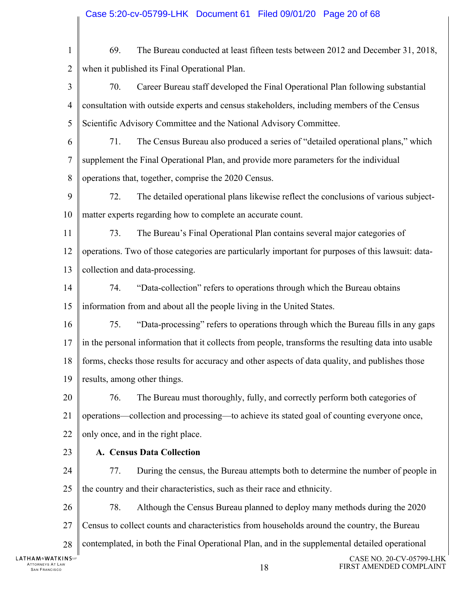| $\mathbf{1}$                                             | 69.                                | The Bureau conducted at least fifteen tests between 2012 and December 31, 2018,                     |                                                     |
|----------------------------------------------------------|------------------------------------|-----------------------------------------------------------------------------------------------------|-----------------------------------------------------|
| 2                                                        |                                    | when it published its Final Operational Plan.                                                       |                                                     |
| 3                                                        | 70.                                | Career Bureau staff developed the Final Operational Plan following substantial                      |                                                     |
| 4                                                        |                                    | consultation with outside experts and census stakeholders, including members of the Census          |                                                     |
| 5                                                        |                                    | Scientific Advisory Committee and the National Advisory Committee.                                  |                                                     |
| 6                                                        | 71.                                | The Census Bureau also produced a series of "detailed operational plans," which                     |                                                     |
| 7                                                        |                                    | supplement the Final Operational Plan, and provide more parameters for the individual               |                                                     |
| 8                                                        |                                    | operations that, together, comprise the 2020 Census.                                                |                                                     |
| 9                                                        | 72.                                | The detailed operational plans likewise reflect the conclusions of various subject-                 |                                                     |
| 10                                                       |                                    | matter experts regarding how to complete an accurate count.                                         |                                                     |
| 11                                                       | 73.                                | The Bureau's Final Operational Plan contains several major categories of                            |                                                     |
| 12                                                       |                                    | operations. Two of those categories are particularly important for purposes of this lawsuit: data-  |                                                     |
| 13                                                       |                                    | collection and data-processing.                                                                     |                                                     |
| 14                                                       | 74.                                | "Data-collection" refers to operations through which the Bureau obtains                             |                                                     |
| 15                                                       |                                    | information from and about all the people living in the United States.                              |                                                     |
| 16                                                       | 75.                                | "Data-processing" refers to operations through which the Bureau fills in any gaps                   |                                                     |
| 17                                                       |                                    | in the personal information that it collects from people, transforms the resulting data into usable |                                                     |
| 18                                                       |                                    | forms, checks those results for accuracy and other aspects of data quality, and publishes those     |                                                     |
|                                                          | 19    results, among other things. |                                                                                                     |                                                     |
| 20                                                       | 76.                                | The Bureau must thoroughly, fully, and correctly perform both categories of                         |                                                     |
| 21                                                       |                                    | operations—collection and processing—to achieve its stated goal of counting everyone once,          |                                                     |
| 22                                                       |                                    | only once, and in the right place.                                                                  |                                                     |
| 23                                                       |                                    | A. Census Data Collection                                                                           |                                                     |
| 24                                                       | 77.                                | During the census, the Bureau attempts both to determine the number of people in                    |                                                     |
| 25                                                       |                                    | the country and their characteristics, such as their race and ethnicity.                            |                                                     |
| 26                                                       | 78.                                | Although the Census Bureau planned to deploy many methods during the 2020                           |                                                     |
| 27                                                       |                                    | Census to collect counts and characteristics from households around the country, the Bureau         |                                                     |
| 28                                                       |                                    | contemplated, in both the Final Operational Plan, and in the supplemental detailed operational      |                                                     |
| HAM&WATKINS℡<br>ATTORNEYS AT LAW<br><b>SAN FRANCISCO</b> |                                    | 18                                                                                                  | CASE NO. 20-CV-05799-LHK<br>FIRST AMENDED COMPLAINT |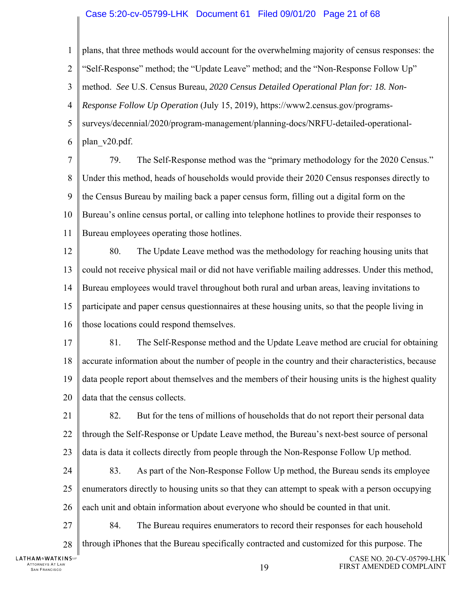#### Case 5:20-cv-05799-LHK Document 61 Filed 09/01/20 Page 21 of 68

1  $\mathcal{D}_{\mathcal{L}}$ 3 4 5 6 7 8 plans, that three methods would account for the overwhelming majority of census responses: the "Self-Response" method; the "Update Leave" method; and the "Non-Response Follow Up" method. *See* U.S. Census Bureau, *2020 Census Detailed Operational Plan for: 18. Non-Response Follow Up Operation* (July 15, 2019), https://www2.census.gov/programssurveys/decennial/2020/program-management/planning-docs/NRFU-detailed-operationalplan\_v20.pdf. 79. The Self-Response method was the "primary methodology for the 2020 Census." Under this method, heads of households would provide their 2020 Census responses directly to

9 10 11 the Census Bureau by mailing back a paper census form, filling out a digital form on the Bureau's online census portal, or calling into telephone hotlines to provide their responses to Bureau employees operating those hotlines.

12 13 14 15 16 80. The Update Leave method was the methodology for reaching housing units that could not receive physical mail or did not have verifiable mailing addresses. Under this method, Bureau employees would travel throughout both rural and urban areas, leaving invitations to participate and paper census questionnaires at these housing units, so that the people living in those locations could respond themselves.

17 18 19 20 81. The Self-Response method and the Update Leave method are crucial for obtaining accurate information about the number of people in the country and their characteristics, because data people report about themselves and the members of their housing units is the highest quality data that the census collects.

21 22 23 82. But for the tens of millions of households that do not report their personal data through the Self-Response or Update Leave method, the Bureau's next-best source of personal data is data it collects directly from people through the Non-Response Follow Up method.

24 25 26 83. As part of the Non-Response Follow Up method, the Bureau sends its employee enumerators directly to housing units so that they can attempt to speak with a person occupying each unit and obtain information about everyone who should be counted in that unit.

27 28 84. The Bureau requires enumerators to record their responses for each household through iPhones that the Bureau specifically contracted and customized for this purpose. The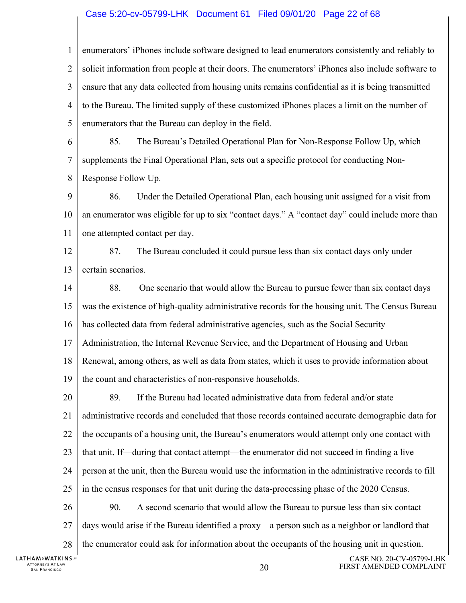#### Case 5:20-cv-05799-LHK Document 61 Filed 09/01/20 Page 22 of 68

1  $\mathcal{D}_{\mathcal{L}}$ 3 4 5 enumerators' iPhones include software designed to lead enumerators consistently and reliably to solicit information from people at their doors. The enumerators' iPhones also include software to ensure that any data collected from housing units remains confidential as it is being transmitted to the Bureau. The limited supply of these customized iPhones places a limit on the number of enumerators that the Bureau can deploy in the field.

6 7 8 85. The Bureau's Detailed Operational Plan for Non-Response Follow Up, which supplements the Final Operational Plan, sets out a specific protocol for conducting Non-Response Follow Up.

9 10 11 86. Under the Detailed Operational Plan, each housing unit assigned for a visit from an enumerator was eligible for up to six "contact days." A "contact day" could include more than one attempted contact per day.

12 13 87. The Bureau concluded it could pursue less than six contact days only under certain scenarios.

14 15 16 17 18 19 88. One scenario that would allow the Bureau to pursue fewer than six contact days was the existence of high-quality administrative records for the housing unit. The Census Bureau has collected data from federal administrative agencies, such as the Social Security Administration, the Internal Revenue Service, and the Department of Housing and Urban Renewal, among others, as well as data from states, which it uses to provide information about the count and characteristics of non-responsive households.

20 21 22 23 24 25 26 27 89. If the Bureau had located administrative data from federal and/or state administrative records and concluded that those records contained accurate demographic data for the occupants of a housing unit, the Bureau's enumerators would attempt only one contact with that unit. If—during that contact attempt—the enumerator did not succeed in finding a live person at the unit, then the Bureau would use the information in the administrative records to fill in the census responses for that unit during the data-processing phase of the 2020 Census. 90. A second scenario that would allow the Bureau to pursue less than six contact days would arise if the Bureau identified a proxy—a person such as a neighbor or landlord that

28 the enumerator could ask for information about the occupants of the housing unit in question.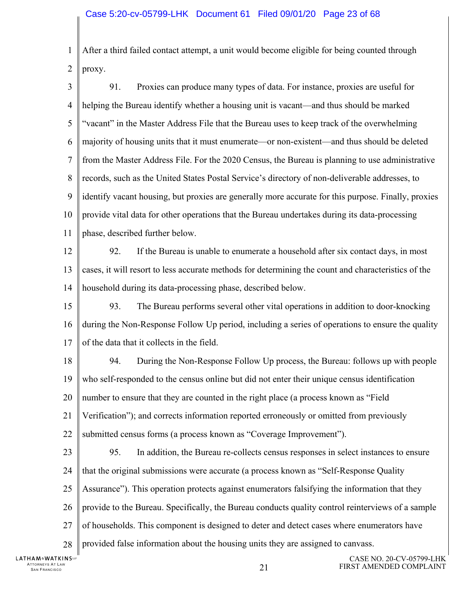1 2 After a third failed contact attempt, a unit would become eligible for being counted through proxy.

3 4 5 6 7 8 9 10 11 91. Proxies can produce many types of data. For instance, proxies are useful for helping the Bureau identify whether a housing unit is vacant—and thus should be marked "vacant" in the Master Address File that the Bureau uses to keep track of the overwhelming majority of housing units that it must enumerate—or non-existent—and thus should be deleted from the Master Address File. For the 2020 Census, the Bureau is planning to use administrative records, such as the United States Postal Service's directory of non-deliverable addresses, to identify vacant housing, but proxies are generally more accurate for this purpose. Finally, proxies provide vital data for other operations that the Bureau undertakes during its data-processing phase, described further below.

12 13 14 92. If the Bureau is unable to enumerate a household after six contact days, in most cases, it will resort to less accurate methods for determining the count and characteristics of the household during its data-processing phase, described below.

15 16 17 93. The Bureau performs several other vital operations in addition to door-knocking during the Non-Response Follow Up period, including a series of operations to ensure the quality of the data that it collects in the field.

18 19 20 21 22 94. During the Non-Response Follow Up process, the Bureau: follows up with people who self-responded to the census online but did not enter their unique census identification number to ensure that they are counted in the right place (a process known as "Field Verification"); and corrects information reported erroneously or omitted from previously submitted census forms (a process known as "Coverage Improvement").

23 24 25 26 27 28 95. In addition, the Bureau re-collects census responses in select instances to ensure that the original submissions were accurate (a process known as "Self-Response Quality Assurance"). This operation protects against enumerators falsifying the information that they provide to the Bureau. Specifically, the Bureau conducts quality control reinterviews of a sample of households. This component is designed to deter and detect cases where enumerators have provided false information about the housing units they are assigned to canvass.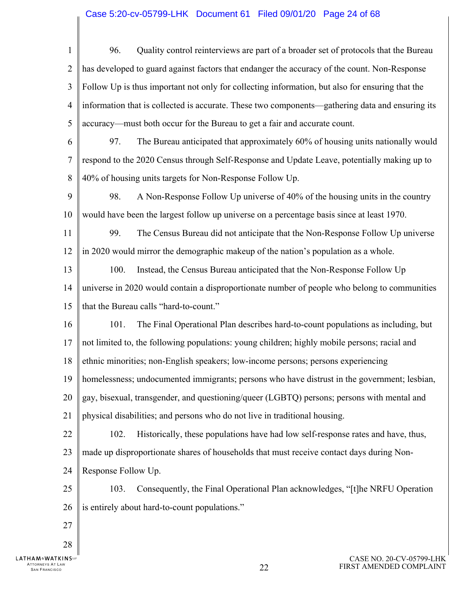#### Case 5:20-cv-05799-LHK Document 61 Filed 09/01/20 Page 24 of 68

1  $\mathcal{D}_{\mathcal{L}}$ 3 4 5 6 7 8 9 10 11 12 13 14 15 16 17 18 19 20 21 22 23 24 25 26 27 28 96. Quality control reinterviews are part of a broader set of protocols that the Bureau has developed to guard against factors that endanger the accuracy of the count. Non-Response Follow Up is thus important not only for collecting information, but also for ensuring that the information that is collected is accurate. These two components—gathering data and ensuring its accuracy—must both occur for the Bureau to get a fair and accurate count. 97. The Bureau anticipated that approximately 60% of housing units nationally would respond to the 2020 Census through Self-Response and Update Leave, potentially making up to 40% of housing units targets for Non-Response Follow Up. 98. A Non-Response Follow Up universe of 40% of the housing units in the country would have been the largest follow up universe on a percentage basis since at least 1970. 99. The Census Bureau did not anticipate that the Non-Response Follow Up universe in 2020 would mirror the demographic makeup of the nation's population as a whole. 100. Instead, the Census Bureau anticipated that the Non-Response Follow Up universe in 2020 would contain a disproportionate number of people who belong to communities that the Bureau calls "hard-to-count." 101. The Final Operational Plan describes hard-to-count populations as including, but not limited to, the following populations: young children; highly mobile persons; racial and ethnic minorities; non-English speakers; low-income persons; persons experiencing homelessness; undocumented immigrants; persons who have distrust in the government; lesbian, gay, bisexual, transgender, and questioning/queer (LGBTQ) persons; persons with mental and physical disabilities; and persons who do not live in traditional housing. 102. Historically, these populations have had low self-response rates and have, thus, made up disproportionate shares of households that must receive contact days during Non-Response Follow Up. 103. Consequently, the Final Operational Plan acknowledges, "[t]he NRFU Operation is entirely about hard-to-count populations."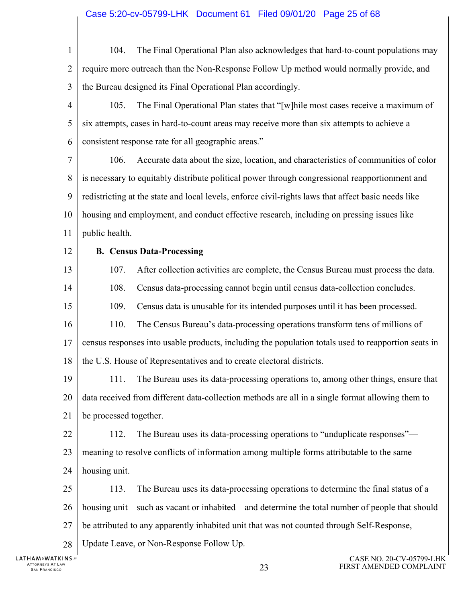CASE NO. 20-CV-05799-LHK 1  $\mathcal{D}_{\mathcal{L}}$ 3 4 5 6 7 8 9 10 11 12 13 14 15 16 17 18 19 20 21 22 23 24 25 26 27 28 104. The Final Operational Plan also acknowledges that hard-to-count populations may require more outreach than the Non-Response Follow Up method would normally provide, and the Bureau designed its Final Operational Plan accordingly. 105. The Final Operational Plan states that "[w]hile most cases receive a maximum of six attempts, cases in hard-to-count areas may receive more than six attempts to achieve a consistent response rate for all geographic areas." 106. Accurate data about the size, location, and characteristics of communities of color is necessary to equitably distribute political power through congressional reapportionment and redistricting at the state and local levels, enforce civil-rights laws that affect basic needs like housing and employment, and conduct effective research, including on pressing issues like public health. **B. Census Data-Processing**  107. After collection activities are complete, the Census Bureau must process the data. 108. Census data-processing cannot begin until census data-collection concludes. 109. Census data is unusable for its intended purposes until it has been processed. 110. The Census Bureau's data-processing operations transform tens of millions of census responses into usable products, including the population totals used to reapportion seats in the U.S. House of Representatives and to create electoral districts. 111. The Bureau uses its data-processing operations to, among other things, ensure that data received from different data-collection methods are all in a single format allowing them to be processed together. 112. The Bureau uses its data-processing operations to "unduplicate responses" meaning to resolve conflicts of information among multiple forms attributable to the same housing unit. 113. The Bureau uses its data-processing operations to determine the final status of a housing unit—such as vacant or inhabited—and determine the total number of people that should be attributed to any apparently inhabited unit that was not counted through Self-Response, Update Leave, or Non-Response Follow Up.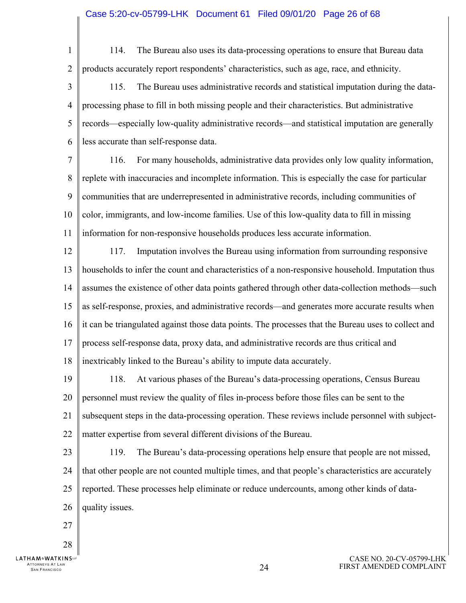1

 $\mathcal{D}_{\mathcal{L}}$ 

114. The Bureau also uses its data-processing operations to ensure that Bureau data products accurately report respondents' characteristics, such as age, race, and ethnicity.

3 4 5 6 115. The Bureau uses administrative records and statistical imputation during the dataprocessing phase to fill in both missing people and their characteristics. But administrative records—especially low-quality administrative records—and statistical imputation are generally less accurate than self-response data.

7 8 9 10 11 116. For many households, administrative data provides only low quality information, replete with inaccuracies and incomplete information. This is especially the case for particular communities that are underrepresented in administrative records, including communities of color, immigrants, and low-income families. Use of this low-quality data to fill in missing information for non-responsive households produces less accurate information.

12 13 14 15 16 17 18 117. Imputation involves the Bureau using information from surrounding responsive households to infer the count and characteristics of a non-responsive household. Imputation thus assumes the existence of other data points gathered through other data-collection methods—such as self-response, proxies, and administrative records—and generates more accurate results when it can be triangulated against those data points. The processes that the Bureau uses to collect and process self-response data, proxy data, and administrative records are thus critical and inextricably linked to the Bureau's ability to impute data accurately.

19 20 21 22 118. At various phases of the Bureau's data-processing operations, Census Bureau personnel must review the quality of files in-process before those files can be sent to the subsequent steps in the data-processing operation. These reviews include personnel with subjectmatter expertise from several different divisions of the Bureau.

23 24 25 26 119. The Bureau's data-processing operations help ensure that people are not missed, that other people are not counted multiple times, and that people's characteristics are accurately reported. These processes help eliminate or reduce undercounts, among other kinds of dataquality issues.

27

28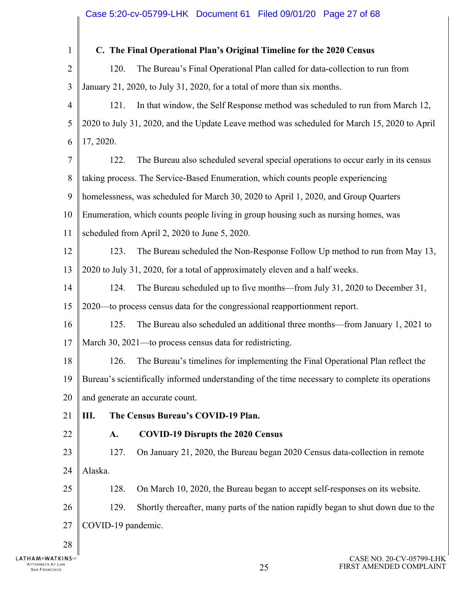1  $\overline{2}$ 3 4 5 6 7 8 9 10 11 12 13 14 15 16 17 18 19 20 21 22 23 24 25 26 27 28 **C. The Final Operational Plan's Original Timeline for the 2020 Census**  120. The Bureau's Final Operational Plan called for data-collection to run from January 21, 2020, to July 31, 2020, for a total of more than six months. 121. In that window, the Self Response method was scheduled to run from March 12, 2020 to July 31, 2020, and the Update Leave method was scheduled for March 15, 2020 to April 17, 2020. 122. The Bureau also scheduled several special operations to occur early in its census taking process. The Service-Based Enumeration, which counts people experiencing homelessness, was scheduled for March 30, 2020 to April 1, 2020, and Group Quarters Enumeration, which counts people living in group housing such as nursing homes, was scheduled from April 2, 2020 to June 5, 2020. 123. The Bureau scheduled the Non-Response Follow Up method to run from May 13, 2020 to July 31, 2020, for a total of approximately eleven and a half weeks. 124. The Bureau scheduled up to five months—from July 31, 2020 to December 31, 2020—to process census data for the congressional reapportionment report. 125. The Bureau also scheduled an additional three months—from January 1, 2021 to March 30, 2021—to process census data for redistricting. 126. The Bureau's timelines for implementing the Final Operational Plan reflect the Bureau's scientifically informed understanding of the time necessary to complete its operations and generate an accurate count. **III. The Census Bureau's COVID-19 Plan. A. COVID-19 Disrupts the 2020 Census**  127. On January 21, 2020, the Bureau began 2020 Census data-collection in remote Alaska. 128. On March 10, 2020, the Bureau began to accept self-responses on its website. 129. Shortly thereafter, many parts of the nation rapidly began to shut down due to the COVID-19 pandemic.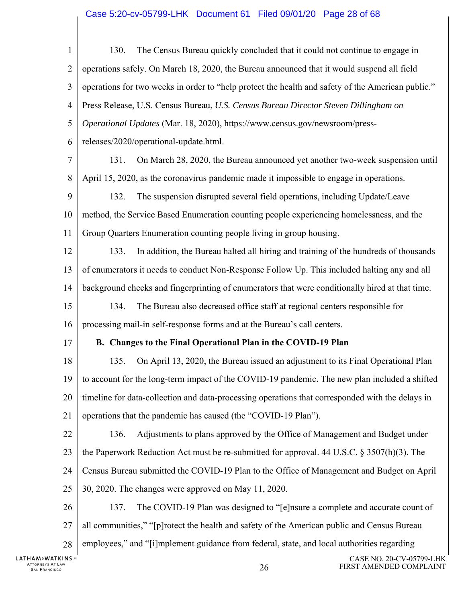# Case 5:20-cv-05799-LHK Document 61 Filed 09/01/20 Page 28 of 68

| $\mathbf{1}$                                                     | The Census Bureau quickly concluded that it could not continue to engage in<br>130.               |
|------------------------------------------------------------------|---------------------------------------------------------------------------------------------------|
| $\overline{2}$                                                   | operations safely. On March 18, 2020, the Bureau announced that it would suspend all field        |
| 3                                                                | operations for two weeks in order to "help protect the health and safety of the American public." |
| 4                                                                | Press Release, U.S. Census Bureau, U.S. Census Bureau Director Steven Dillingham on               |
| 5                                                                | Operational Updates (Mar. 18, 2020), https://www.census.gov/newsroom/press-                       |
| 6                                                                | releases/2020/operational-update.html.                                                            |
| 7                                                                | On March 28, 2020, the Bureau announced yet another two-week suspension until<br>131.             |
| 8                                                                | April 15, 2020, as the coronavirus pandemic made it impossible to engage in operations.           |
| 9                                                                | The suspension disrupted several field operations, including Update/Leave<br>132.                 |
| 10                                                               | method, the Service Based Enumeration counting people experiencing homelessness, and the          |
| 11                                                               | Group Quarters Enumeration counting people living in group housing.                               |
| 12                                                               | In addition, the Bureau halted all hiring and training of the hundreds of thousands<br>133.       |
| 13                                                               | of enumerators it needs to conduct Non-Response Follow Up. This included halting any and all      |
| 14                                                               | background checks and fingerprinting of enumerators that were conditionally hired at that time.   |
| 15                                                               | The Bureau also decreased office staff at regional centers responsible for<br>134.                |
| 16                                                               | processing mail-in self-response forms and at the Bureau's call centers.                          |
| 17                                                               | B. Changes to the Final Operational Plan in the COVID-19 Plan                                     |
| 18                                                               | On April 13, 2020, the Bureau issued an adjustment to its Final Operational Plan<br>135.          |
| 19                                                               | to account for the long-term impact of the COVID-19 pandemic. The new plan included a shifted     |
| 20                                                               | timeline for data-collection and data-processing operations that corresponded with the delays in  |
| 21                                                               | operations that the pandemic has caused (the "COVID-19 Plan").                                    |
| 22                                                               | 136.<br>Adjustments to plans approved by the Office of Management and Budget under                |
| 23                                                               | the Paperwork Reduction Act must be re-submitted for approval. 44 U.S.C. $\S 3507(h)(3)$ . The    |
| 24                                                               | Census Bureau submitted the COVID-19 Plan to the Office of Management and Budget on April         |
| 25                                                               | 30, 2020. The changes were approved on May 11, 2020.                                              |
| 26                                                               | 137.<br>The COVID-19 Plan was designed to "[e]nsure a complete and accurate count of              |
| 27                                                               | all communities," "[p] rotect the health and safety of the American public and Census Bureau      |
| 28                                                               | employees," and "[i]mplement guidance from federal, state, and local authorities regarding        |
| ℲÅℳℰ <b>W</b> ÅℾKℹℕՏ℡<br>'TORNEYS AT LAW<br><b>SAN FRANCISCO</b> | CASE NO. 20-CV-05799-LHK<br>FIRST AMENDED COMPLAINT<br>26                                         |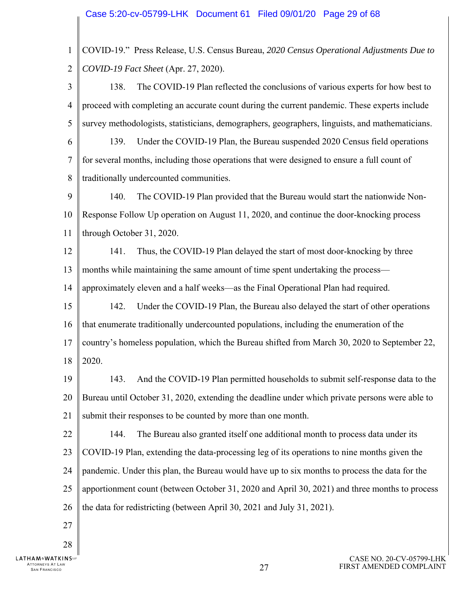1  $\mathcal{D}_{\mathcal{L}}$ 3 4 5 6 7 8 9 10 11 12 13 14 15 16 17 18 19 20 21 22 23 24 25 26 27 28 COVID-19." Press Release, U.S. Census Bureau, *2020 Census Operational Adjustments Due to COVID-19 Fact Sheet* (Apr. 27, 2020). 138. The COVID-19 Plan reflected the conclusions of various experts for how best to proceed with completing an accurate count during the current pandemic. These experts include survey methodologists, statisticians, demographers, geographers, linguists, and mathematicians. 139. Under the COVID-19 Plan, the Bureau suspended 2020 Census field operations for several months, including those operations that were designed to ensure a full count of traditionally undercounted communities. 140. The COVID-19 Plan provided that the Bureau would start the nationwide Non-Response Follow Up operation on August 11, 2020, and continue the door-knocking process through October 31, 2020. 141. Thus, the COVID-19 Plan delayed the start of most door-knocking by three months while maintaining the same amount of time spent undertaking the process approximately eleven and a half weeks—as the Final Operational Plan had required. 142. Under the COVID-19 Plan, the Bureau also delayed the start of other operations that enumerate traditionally undercounted populations, including the enumeration of the country's homeless population, which the Bureau shifted from March 30, 2020 to September 22, 2020. 143. And the COVID-19 Plan permitted households to submit self-response data to the Bureau until October 31, 2020, extending the deadline under which private persons were able to submit their responses to be counted by more than one month. 144. The Bureau also granted itself one additional month to process data under its COVID-19 Plan, extending the data-processing leg of its operations to nine months given the pandemic. Under this plan, the Bureau would have up to six months to process the data for the apportionment count (between October 31, 2020 and April 30, 2021) and three months to process the data for redistricting (between April 30, 2021 and July 31, 2021).

**LATHAM&WATKINS**ur ATTORNEYS AT LAW TTORNEYS AT LAW  $27$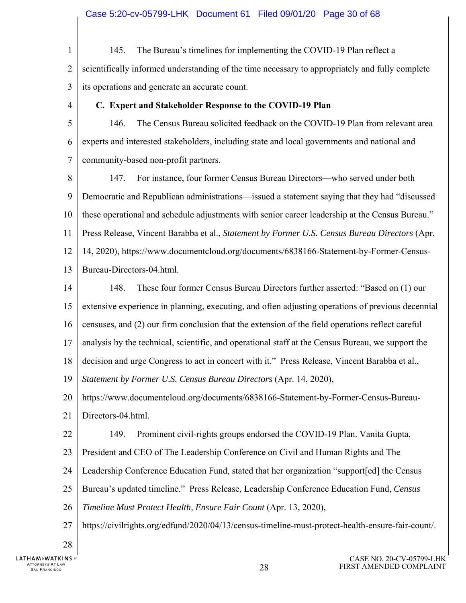- 1  $\mathcal{D}_{\mathcal{L}}$ 3 145. The Bureau's timelines for implementing the COVID-19 Plan reflect a scientifically informed understanding of the time necessary to appropriately and fully complete its operations and generate an accurate count.
- 4

#### **C. Expert and Stakeholder Response to the COVID-19 Plan**

5 6 7 146. The Census Bureau solicited feedback on the COVID-19 Plan from relevant area experts and interested stakeholders, including state and local governments and national and community-based non-profit partners.

8 9 10 11 12 13 147. For instance, four former Census Bureau Directors—who served under both Democratic and Republican administrations—issued a statement saying that they had "discussed these operational and schedule adjustments with senior career leadership at the Census Bureau." Press Release, Vincent Barabba et al., *Statement by Former U.S. Census Bureau Directors* (Apr. 14, 2020), https://www.documentcloud.org/documents/6838166-Statement-by-Former-Census-Bureau-Directors-04.html.

14 15 16 17 18 148. These four former Census Bureau Directors further asserted: "Based on (1) our extensive experience in planning, executing, and often adjusting operations of previous decennial censuses, and (2) our firm conclusion that the extension of the field operations reflect careful analysis by the technical, scientific, and operational staff at the Census Bureau, we support the decision and urge Congress to act in concert with it." Press Release, Vincent Barabba et al.,

19 *Statement by Former U.S. Census Bureau Directors* (Apr. 14, 2020),

20 https://www.documentcloud.org/documents/6838166-Statement-by-Former-Census-Bureau-

21 Directors-04.html.

- 22 149. Prominent civil-rights groups endorsed the COVID-19 Plan. Vanita Gupta,
- 23 President and CEO of The Leadership Conference on Civil and Human Rights and The
- 24 Leadership Conference Education Fund, stated that her organization "support[ed] the Census
- 25 Bureau's updated timeline." Press Release, Leadership Conference Education Fund, *Census*
- 26 *Timeline Must Protect Health, Ensure Fair Count* (Apr. 13, 2020),
- 27 https://civilrights.org/edfund/2020/04/13/census-timeline-must-protect-health-ensure-fair-count/.
- 28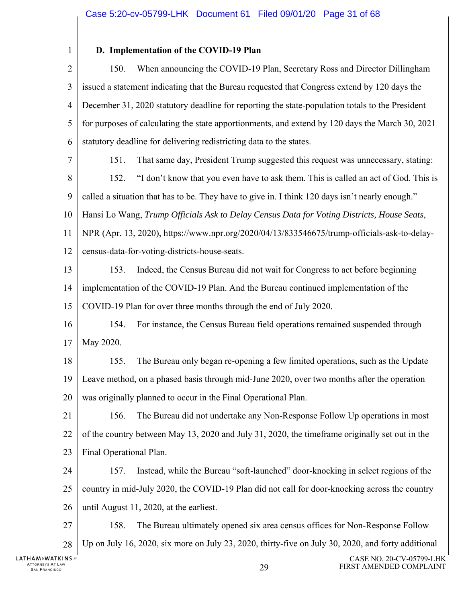1

#### **D. Implementation of the COVID-19 Plan**

 $\mathcal{D}_{\mathcal{L}}$ 3 4 5 6 150. When announcing the COVID-19 Plan, Secretary Ross and Director Dillingham issued a statement indicating that the Bureau requested that Congress extend by 120 days the December 31, 2020 statutory deadline for reporting the state-population totals to the President for purposes of calculating the state apportionments, and extend by 120 days the March 30, 2021 statutory deadline for delivering redistricting data to the states.

7

151. That same day, President Trump suggested this request was unnecessary, stating:

8 9 152. "I don't know that you even have to ask them. This is called an act of God. This is called a situation that has to be. They have to give in. I think 120 days isn't nearly enough."

10 Hansi Lo Wang, *Trump Officials Ask to Delay Census Data for Voting Districts, House Seats*,

11 NPR (Apr. 13, 2020), https://www.npr.org/2020/04/13/833546675/trump-officials-ask-to-delay-

12 census-data-for-voting-districts-house-seats.

13 14 153. Indeed, the Census Bureau did not wait for Congress to act before beginning implementation of the COVID-19 Plan. And the Bureau continued implementation of the

15 COVID-19 Plan for over three months through the end of July 2020.

16 17 154. For instance, the Census Bureau field operations remained suspended through May 2020.

18 19 20 155. The Bureau only began re-opening a few limited operations, such as the Update Leave method, on a phased basis through mid-June 2020, over two months after the operation was originally planned to occur in the Final Operational Plan.

21 22 23 156. The Bureau did not undertake any Non-Response Follow Up operations in most of the country between May 13, 2020 and July 31, 2020, the timeframe originally set out in the Final Operational Plan.

24 25 26 157. Instead, while the Bureau "soft-launched" door-knocking in select regions of the country in mid-July 2020, the COVID-19 Plan did not call for door-knocking across the country until August 11, 2020, at the earliest.

27 28 158. The Bureau ultimately opened six area census offices for Non-Response Follow Up on July 16, 2020, six more on July 23, 2020, thirty-five on July 30, 2020, and forty additional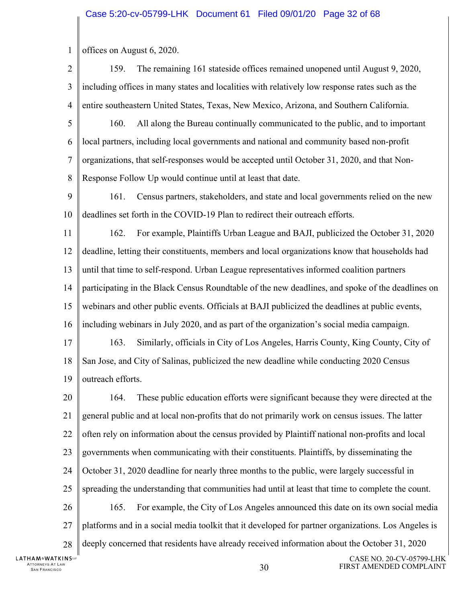1 offices on August 6, 2020.

- $\mathcal{D}_{\mathcal{L}}$ 3 4 159. The remaining 161 stateside offices remained unopened until August 9, 2020, including offices in many states and localities with relatively low response rates such as the entire southeastern United States, Texas, New Mexico, Arizona, and Southern California.
- 5 6 7 8 160. All along the Bureau continually communicated to the public, and to important local partners, including local governments and national and community based non-profit organizations, that self-responses would be accepted until October 31, 2020, and that Non-Response Follow Up would continue until at least that date.
- 9 10 161. Census partners, stakeholders, and state and local governments relied on the new deadlines set forth in the COVID-19 Plan to redirect their outreach efforts.
- 11 12 13 14 15 16 17 18 162. For example, Plaintiffs Urban League and BAJI, publicized the October 31, 2020 deadline, letting their constituents, members and local organizations know that households had until that time to self-respond. Urban League representatives informed coalition partners participating in the Black Census Roundtable of the new deadlines, and spoke of the deadlines on webinars and other public events. Officials at BAJI publicized the deadlines at public events, including webinars in July 2020, and as part of the organization's social media campaign. 163. Similarly, officials in City of Los Angeles, Harris County, King County, City of San Jose, and City of Salinas, publicized the new deadline while conducting 2020 Census
- 19 outreach efforts.

20 21 22 23 24 25 26 27 28 164. These public education efforts were significant because they were directed at the general public and at local non-profits that do not primarily work on census issues. The latter often rely on information about the census provided by Plaintiff national non-profits and local governments when communicating with their constituents. Plaintiffs, by disseminating the October 31, 2020 deadline for nearly three months to the public, were largely successful in spreading the understanding that communities had until at least that time to complete the count. 165. For example, the City of Los Angeles announced this date on its own social media platforms and in a social media toolkit that it developed for partner organizations. Los Angeles is deeply concerned that residents have already received information about the October 31, 2020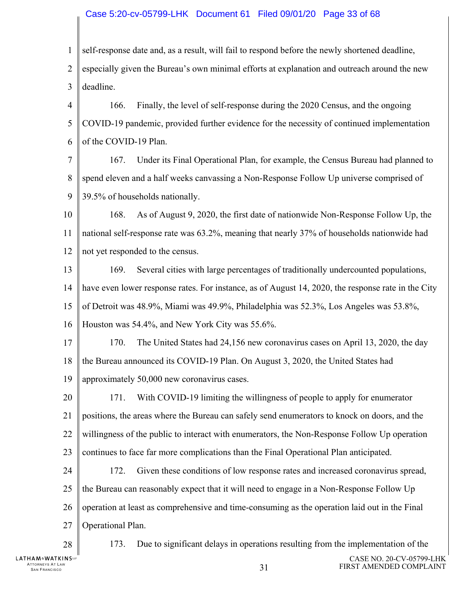#### Case 5:20-cv-05799-LHK Document 61 Filed 09/01/20 Page 33 of 68

1 self-response date and, as a result, will fail to respond before the newly shortened deadline,

 $\mathcal{D}_{\mathcal{L}}$ 3 especially given the Bureau's own minimal efforts at explanation and outreach around the new deadline.

4 5 6 166. Finally, the level of self-response during the 2020 Census, and the ongoing COVID-19 pandemic, provided further evidence for the necessity of continued implementation of the COVID-19 Plan.

7 8 9 167. Under its Final Operational Plan, for example, the Census Bureau had planned to spend eleven and a half weeks canvassing a Non-Response Follow Up universe comprised of 39.5% of households nationally.

10 11 12 168. As of August 9, 2020, the first date of nationwide Non-Response Follow Up, the national self-response rate was 63.2%, meaning that nearly 37% of households nationwide had not yet responded to the census.

13 14 15 16 169. Several cities with large percentages of traditionally undercounted populations, have even lower response rates. For instance, as of August 14, 2020, the response rate in the City of Detroit was 48.9%, Miami was 49.9%, Philadelphia was 52.3%, Los Angeles was 53.8%, Houston was 54.4%, and New York City was 55.6%.

17 18 19 170. The United States had 24,156 new coronavirus cases on April 13, 2020, the day the Bureau announced its COVID-19 Plan. On August 3, 2020, the United States had approximately 50,000 new coronavirus cases.

20 21 22 23 171. With COVID-19 limiting the willingness of people to apply for enumerator positions, the areas where the Bureau can safely send enumerators to knock on doors, and the willingness of the public to interact with enumerators, the Non-Response Follow Up operation continues to face far more complications than the Final Operational Plan anticipated.

24 25 26 27 172. Given these conditions of low response rates and increased coronavirus spread, the Bureau can reasonably expect that it will need to engage in a Non-Response Follow Up operation at least as comprehensive and time-consuming as the operation laid out in the Final Operational Plan.

28

ATTORNEYS AT LAW

**LATHAM&WATKINS**ur

173. Due to significant delays in operations resulting from the implementation of the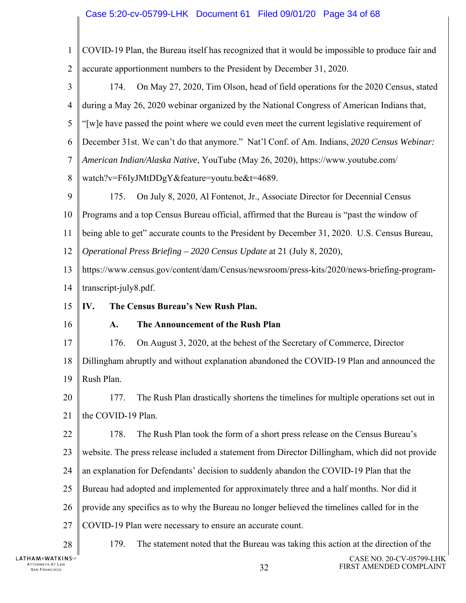# Case 5:20-cv-05799-LHK Document 61 Filed 09/01/20 Page 34 of 68

| $\mathbf{1}$   | COVID-19 Plan, the Bureau itself has recognized that it would be impossible to produce fair and |
|----------------|-------------------------------------------------------------------------------------------------|
| $\overline{2}$ | accurate apportionment numbers to the President by December 31, 2020.                           |
| 3              | On May 27, 2020, Tim Olson, head of field operations for the 2020 Census, stated<br>174.        |
| $\overline{4}$ | during a May 26, 2020 webinar organized by the National Congress of American Indians that,      |
| 5              | "[w]e have passed the point where we could even meet the current legislative requirement of     |
| 6              | December 31st. We can't do that anymore." Nat'l Conf. of Am. Indians, 2020 Census Webinar:      |
| 7              | American Indian/Alaska Native, YouTube (May 26, 2020), https://www.youtube.com/                 |
| $\,8\,$        | watch?v=F6IyJMtDDgY&feature=youtu.be&t=4689.                                                    |
| 9              | On July 8, 2020, Al Fontenot, Jr., Associate Director for Decennial Census<br>175.              |
| 10             | Programs and a top Census Bureau official, affirmed that the Bureau is "past the window of      |
| 11             | being able to get" accurate counts to the President by December 31, 2020. U.S. Census Bureau,   |
| 12             | Operational Press Briefing - 2020 Census Update at 21 (July 8, 2020),                           |
| 13             | https://www.census.gov/content/dam/Census/newsroom/press-kits/2020/news-briefing-program-       |
| 14             | transcript-july8.pdf.                                                                           |
|                |                                                                                                 |
| 15             | IV.<br>The Census Bureau's New Rush Plan.                                                       |
| 16             | The Announcement of the Rush Plan<br>A.                                                         |
| 17             | 176.<br>On August 3, 2020, at the behest of the Secretary of Commerce, Director                 |
| 18             | Dillingham abruptly and without explanation abandoned the COVID-19 Plan and announced the       |
| 19             | Rush Plan.                                                                                      |
| 20             | The Rush Plan drastically shortens the timelines for multiple operations set out in<br>177.     |
| 21             | the COVID-19 Plan.                                                                              |
| 22             | 178.<br>The Rush Plan took the form of a short press release on the Census Bureau's             |
| 23             | website. The press release included a statement from Director Dillingham, which did not provide |
| 24             | an explanation for Defendants' decision to suddenly abandon the COVID-19 Plan that the          |
| 25             | Bureau had adopted and implemented for approximately three and a half months. Nor did it        |
| 26             | provide any specifics as to why the Bureau no longer believed the timelines called for in the   |
| 27             | COVID-19 Plan were necessary to ensure an accurate count.                                       |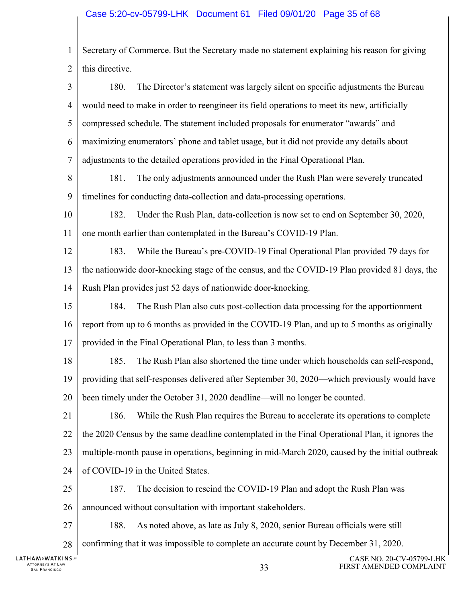# Case 5:20-cv-05799-LHK Document 61 Filed 09/01/20 Page 35 of 68

| $\mathbf{1}$                                             | Secretary of Commerce. But the Secretary made no statement explaining his reason for giving     |
|----------------------------------------------------------|-------------------------------------------------------------------------------------------------|
| $\overline{2}$                                           | this directive.                                                                                 |
| 3                                                        | 180.<br>The Director's statement was largely silent on specific adjustments the Bureau          |
| 4                                                        | would need to make in order to reengineer its field operations to meet its new, artificially    |
| 5                                                        | compressed schedule. The statement included proposals for enumerator "awards" and               |
| 6                                                        | maximizing enumerators' phone and tablet usage, but it did not provide any details about        |
| 7                                                        | adjustments to the detailed operations provided in the Final Operational Plan.                  |
| 8                                                        | 181.<br>The only adjustments announced under the Rush Plan were severely truncated              |
| 9                                                        | timelines for conducting data-collection and data-processing operations.                        |
| 10                                                       | 182.<br>Under the Rush Plan, data-collection is now set to end on September 30, 2020,           |
| 11                                                       | one month earlier than contemplated in the Bureau's COVID-19 Plan.                              |
| 12                                                       | 183.<br>While the Bureau's pre-COVID-19 Final Operational Plan provided 79 days for             |
| 13                                                       | the nationwide door-knocking stage of the census, and the COVID-19 Plan provided 81 days, the   |
| 14                                                       | Rush Plan provides just 52 days of nationwide door-knocking.                                    |
| 15                                                       | 184.<br>The Rush Plan also cuts post-collection data processing for the apportionment           |
| 16                                                       | report from up to 6 months as provided in the COVID-19 Plan, and up to 5 months as originally   |
| 17                                                       | provided in the Final Operational Plan, to less than 3 months.                                  |
| 18                                                       | The Rush Plan also shortened the time under which households can self-respond,<br>185.          |
| 19                                                       | providing that self-responses delivered after September 30, 2020—which previously would have    |
| 20                                                       | been timely under the October 31, 2020 deadline—will no longer be counted.                      |
| 21                                                       | While the Rush Plan requires the Bureau to accelerate its operations to complete<br>186.        |
| 22                                                       | the 2020 Census by the same deadline contemplated in the Final Operational Plan, it ignores the |
| 23                                                       | multiple-month pause in operations, beginning in mid-March 2020, caused by the initial outbreak |
| 24                                                       | of COVID-19 in the United States.                                                               |
| 25                                                       | 187.<br>The decision to rescind the COVID-19 Plan and adopt the Rush Plan was                   |
| 26                                                       | announced without consultation with important stakeholders.                                     |
| 27                                                       | 188.<br>As noted above, as late as July 8, 2020, senior Bureau officials were still             |
| 28                                                       | confirming that it was impossible to complete an accurate count by December 31, 2020.           |
| HAM&WATKINS℡<br>ATTORNEYS AT LAW<br><b>SAN FRANCISCO</b> | CASE NO. 20-CV-05799-LHK<br>FIRST AMENDED COMPLAINT<br>33                                       |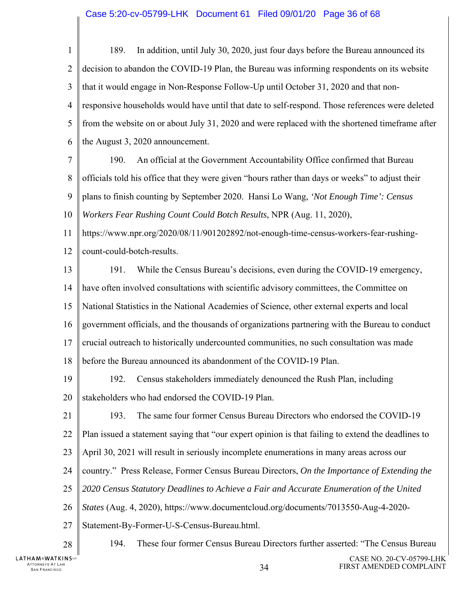#### Case 5:20-cv-05799-LHK Document 61 Filed 09/01/20 Page 36 of 68

1  $\mathcal{D}_{\mathcal{L}}$ 3 4 5 6 7 8 9 10 11 12 13 14 15 16 17 18 19 20 21 22 23 24 25 26 27 28 189. In addition, until July 30, 2020, just four days before the Bureau announced its decision to abandon the COVID-19 Plan, the Bureau was informing respondents on its website that it would engage in Non-Response Follow-Up until October 31, 2020 and that nonresponsive households would have until that date to self-respond. Those references were deleted from the website on or about July 31, 2020 and were replaced with the shortened timeframe after the August 3, 2020 announcement. 190. An official at the Government Accountability Office confirmed that Bureau officials told his office that they were given "hours rather than days or weeks" to adjust their plans to finish counting by September 2020. Hansi Lo Wang, *'Not Enough Time': Census Workers Fear Rushing Count Could Botch Results*, NPR (Aug. 11, 2020), https://www.npr.org/2020/08/11/901202892/not-enough-time-census-workers-fear-rushingcount-could-botch-results. 191. While the Census Bureau's decisions, even during the COVID-19 emergency, have often involved consultations with scientific advisory committees, the Committee on National Statistics in the National Academies of Science, other external experts and local government officials, and the thousands of organizations partnering with the Bureau to conduct crucial outreach to historically undercounted communities, no such consultation was made before the Bureau announced its abandonment of the COVID-19 Plan. 192. Census stakeholders immediately denounced the Rush Plan, including stakeholders who had endorsed the COVID-19 Plan. 193. The same four former Census Bureau Directors who endorsed the COVID-19 Plan issued a statement saying that "our expert opinion is that failing to extend the deadlines to April 30, 2021 will result in seriously incomplete enumerations in many areas across our country." Press Release, Former Census Bureau Directors, *On the Importance of Extending the 2020 Census Statutory Deadlines to Achieve a Fair and Accurate Enumeration of the United States* (Aug. 4, 2020), https://www.documentcloud.org/documents/7013550-Aug-4-2020- Statement-By-Former-U-S-Census-Bureau.html. 194. These four former Census Bureau Directors further asserted: "The Census Bureau

**LATHAM&WATKINS**ur ATTORNEYS AT LAW SAN FRANCISCO 34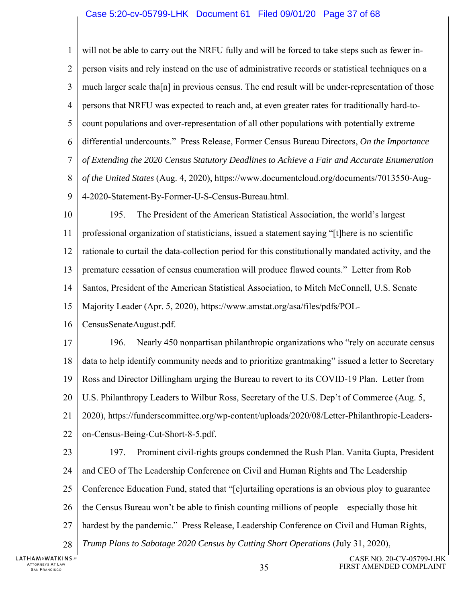#### Case 5:20-cv-05799-LHK Document 61 Filed 09/01/20 Page 37 of 68

1  $\mathcal{D}_{\mathcal{L}}$ 3 4 5 6 7 8 9 will not be able to carry out the NRFU fully and will be forced to take steps such as fewer inperson visits and rely instead on the use of administrative records or statistical techniques on a much larger scale tha[n] in previous census. The end result will be under-representation of those persons that NRFU was expected to reach and, at even greater rates for traditionally hard-tocount populations and over-representation of all other populations with potentially extreme differential undercounts." Press Release, Former Census Bureau Directors, *On the Importance of Extending the 2020 Census Statutory Deadlines to Achieve a Fair and Accurate Enumeration of the United States* (Aug. 4, 2020), https://www.documentcloud.org/documents/7013550-Aug-4-2020-Statement-By-Former-U-S-Census-Bureau.html.

10 11 12 13 14 15 195. The President of the American Statistical Association, the world's largest professional organization of statisticians, issued a statement saying "[t]here is no scientific rationale to curtail the data-collection period for this constitutionally mandated activity, and the premature cessation of census enumeration will produce flawed counts." Letter from Rob Santos, President of the American Statistical Association, to Mitch McConnell, U.S. Senate Majority Leader (Apr. 5, 2020), https://www.amstat.org/asa/files/pdfs/POL-

16 CensusSenateAugust.pdf.

17 18 19 20 21 22 196. Nearly 450 nonpartisan philanthropic organizations who "rely on accurate census data to help identify community needs and to prioritize grantmaking" issued a letter to Secretary Ross and Director Dillingham urging the Bureau to revert to its COVID-19 Plan. Letter from U.S. Philanthropy Leaders to Wilbur Ross, Secretary of the U.S. Dep't of Commerce (Aug. 5, 2020), https://funderscommittee.org/wp-content/uploads/2020/08/Letter-Philanthropic-Leaderson-Census-Being-Cut-Short-8-5.pdf.

23 24 25 26 27 28 197. Prominent civil-rights groups condemned the Rush Plan. Vanita Gupta, President and CEO of The Leadership Conference on Civil and Human Rights and The Leadership Conference Education Fund, stated that "[c]urtailing operations is an obvious ploy to guarantee the Census Bureau won't be able to finish counting millions of people—especially those hit hardest by the pandemic." Press Release, Leadership Conference on Civil and Human Rights, *Trump Plans to Sabotage 2020 Census by Cutting Short Operations* (July 31, 2020),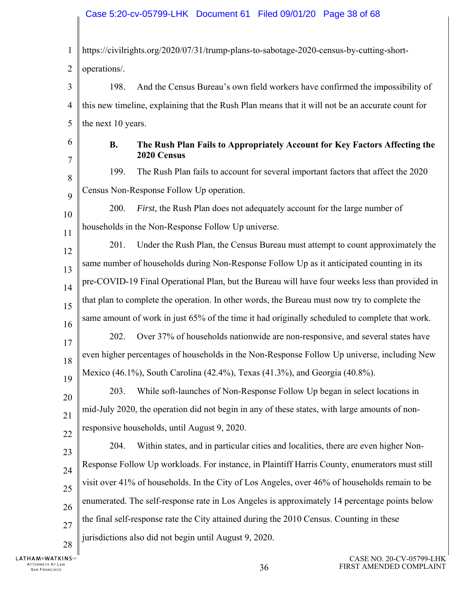1  $\mathcal{D}_{\mathcal{L}}$ 3 4 5 6 7 8  $\mathbf Q$ 10 11 12 13 14 15 16 17 18 19 20 21 22 23 24 25 26 27 28 https://civilrights.org/2020/07/31/trump-plans-to-sabotage-2020-census-by-cutting-shortoperations/. 198. And the Census Bureau's own field workers have confirmed the impossibility of this new timeline, explaining that the Rush Plan means that it will not be an accurate count for the next 10 years. **B. The Rush Plan Fails to Appropriately Account for Key Factors Affecting the 2020 Census**  199. The Rush Plan fails to account for several important factors that affect the 2020 Census Non-Response Follow Up operation. 200. *First*, the Rush Plan does not adequately account for the large number of households in the Non-Response Follow Up universe. 201. Under the Rush Plan, the Census Bureau must attempt to count approximately the same number of households during Non-Response Follow Up as it anticipated counting in its pre-COVID-19 Final Operational Plan, but the Bureau will have four weeks less than provided in that plan to complete the operation. In other words, the Bureau must now try to complete the same amount of work in just 65% of the time it had originally scheduled to complete that work. 202. Over 37% of households nationwide are non-responsive, and several states have even higher percentages of households in the Non-Response Follow Up universe, including New Mexico (46.1%), South Carolina (42.4%), Texas (41.3%), and Georgia (40.8%). 203. While soft-launches of Non-Response Follow Up began in select locations in mid-July 2020, the operation did not begin in any of these states, with large amounts of nonresponsive households, until August 9, 2020. 204. Within states, and in particular cities and localities, there are even higher Non-Response Follow Up workloads. For instance, in Plaintiff Harris County, enumerators must still visit over 41% of households. In the City of Los Angeles, over 46% of households remain to be enumerated. The self-response rate in Los Angeles is approximately 14 percentage points below the final self-response rate the City attained during the 2010 Census. Counting in these jurisdictions also did not begin until August 9, 2020.

**LATHAM&WATKINS** ATTORNEYS AT LAW TTORNEYS AT LAW  $36$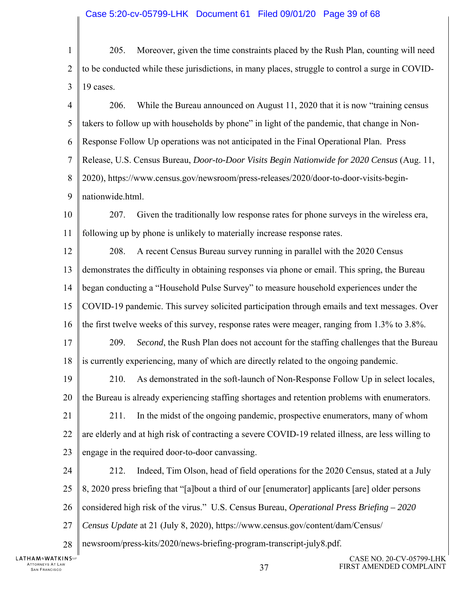#### Case 5:20-cv-05799-LHK Document 61 Filed 09/01/20 Page 39 of 68

1  $\mathcal{D}_{\mathcal{L}}$ 3 205. Moreover, given the time constraints placed by the Rush Plan, counting will need to be conducted while these jurisdictions, in many places, struggle to control a surge in COVID-19 cases.

4 5 6 7 8 9 10 11 12 13 14 15 16 17 18 19 20 21 22 23 24 25 26 27 28 206. While the Bureau announced on August 11, 2020 that it is now "training census takers to follow up with households by phone" in light of the pandemic, that change in Non-Response Follow Up operations was not anticipated in the Final Operational Plan. Press Release, U.S. Census Bureau, *Door-to-Door Visits Begin Nationwide for 2020 Census* (Aug. 11, 2020), https://www.census.gov/newsroom/press-releases/2020/door-to-door-visits-beginnationwide.html. 207. Given the traditionally low response rates for phone surveys in the wireless era, following up by phone is unlikely to materially increase response rates. 208. A recent Census Bureau survey running in parallel with the 2020 Census demonstrates the difficulty in obtaining responses via phone or email. This spring, the Bureau began conducting a "Household Pulse Survey" to measure household experiences under the COVID-19 pandemic. This survey solicited participation through emails and text messages. Over the first twelve weeks of this survey, response rates were meager, ranging from 1.3% to 3.8%. 209. *Second*, the Rush Plan does not account for the staffing challenges that the Bureau is currently experiencing, many of which are directly related to the ongoing pandemic. 210. As demonstrated in the soft-launch of Non-Response Follow Up in select locales, the Bureau is already experiencing staffing shortages and retention problems with enumerators. 211. In the midst of the ongoing pandemic, prospective enumerators, many of whom are elderly and at high risk of contracting a severe COVID-19 related illness, are less willing to engage in the required door-to-door canvassing. 212. Indeed, Tim Olson, head of field operations for the 2020 Census, stated at a July 8, 2020 press briefing that "[a]bout a third of our [enumerator] applicants [are] older persons considered high risk of the virus." U.S. Census Bureau, *Operational Press Briefing – 2020 Census Update* at 21 (July 8, 2020), https://www.census.gov/content/dam/Census/ newsroom/press-kits/2020/news-briefing-program-transcript-july8.pdf.

**LATHAM&WATKINS** ATTORNEYS AT LAW  $37$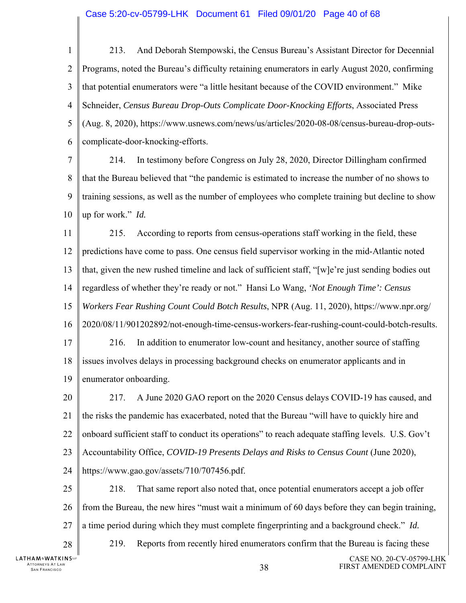- 1  $\mathcal{D}_{\mathcal{L}}$ 3 4 5 6 213. And Deborah Stempowski, the Census Bureau's Assistant Director for Decennial Programs, noted the Bureau's difficulty retaining enumerators in early August 2020, confirming that potential enumerators were "a little hesitant because of the COVID environment." Mike Schneider, *Census Bureau Drop-Outs Complicate Door-Knocking Efforts*, Associated Press (Aug. 8, 2020), https://www.usnews.com/news/us/articles/2020-08-08/census-bureau-drop-outscomplicate-door-knocking-efforts.
- 7 8 9 10 214. In testimony before Congress on July 28, 2020, Director Dillingham confirmed that the Bureau believed that "the pandemic is estimated to increase the number of no shows to training sessions, as well as the number of employees who complete training but decline to show up for work." *Id.*
- 11 12 13 14 15 16 17 18 19 215. According to reports from census-operations staff working in the field, these predictions have come to pass. One census field supervisor working in the mid-Atlantic noted that, given the new rushed timeline and lack of sufficient staff, "[w]e're just sending bodies out regardless of whether they're ready or not." Hansi Lo Wang, *'Not Enough Time': Census Workers Fear Rushing Count Could Botch Results*, NPR (Aug. 11, 2020), https://www.npr.org/ 2020/08/11/901202892/not-enough-time-census-workers-fear-rushing-count-could-botch-results. 216. In addition to enumerator low-count and hesitancy, another source of staffing issues involves delays in processing background checks on enumerator applicants and in enumerator onboarding.
- 20 21 22 23 24 217. A June 2020 GAO report on the 2020 Census delays COVID-19 has caused, and the risks the pandemic has exacerbated, noted that the Bureau "will have to quickly hire and onboard sufficient staff to conduct its operations" to reach adequate staffing levels. U.S. Gov't Accountability Office, *COVID-19 Presents Delays and Risks to Census Count* (June 2020), https://www.gao.gov/assets/710/707456.pdf.
- 25 26 27 28 218. That same report also noted that, once potential enumerators accept a job offer from the Bureau, the new hires "must wait a minimum of 60 days before they can begin training, a time period during which they must complete fingerprinting and a background check." *Id.* 219. Reports from recently hired enumerators confirm that the Bureau is facing these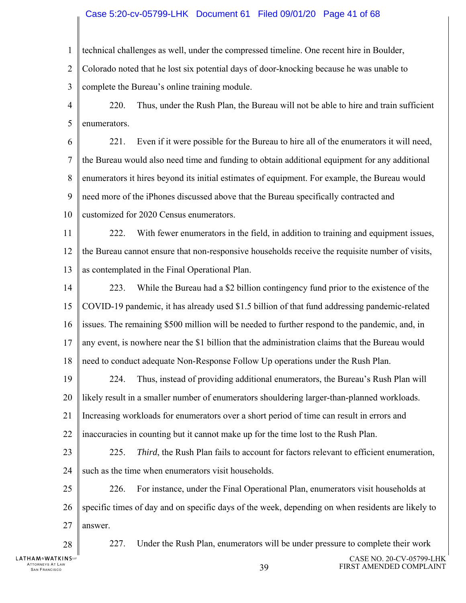#### Case 5:20-cv-05799-LHK Document 61 Filed 09/01/20 Page 41 of 68

1 technical challenges as well, under the compressed timeline. One recent hire in Boulder,

 $\mathcal{D}_{\mathcal{L}}$ Colorado noted that he lost six potential days of door-knocking because he was unable to

3 complete the Bureau's online training module.

4 5 220. Thus, under the Rush Plan, the Bureau will not be able to hire and train sufficient enumerators.

6 7 8 9 221. Even if it were possible for the Bureau to hire all of the enumerators it will need, the Bureau would also need time and funding to obtain additional equipment for any additional enumerators it hires beyond its initial estimates of equipment. For example, the Bureau would need more of the iPhones discussed above that the Bureau specifically contracted and

10 customized for 2020 Census enumerators.

11 12 13 222. With fewer enumerators in the field, in addition to training and equipment issues, the Bureau cannot ensure that non-responsive households receive the requisite number of visits, as contemplated in the Final Operational Plan.

14 15 16 17 18 223. While the Bureau had a \$2 billion contingency fund prior to the existence of the COVID-19 pandemic, it has already used \$1.5 billion of that fund addressing pandemic-related issues. The remaining \$500 million will be needed to further respond to the pandemic, and, in any event, is nowhere near the \$1 billion that the administration claims that the Bureau would need to conduct adequate Non-Response Follow Up operations under the Rush Plan.

19 20 21 22 224. Thus, instead of providing additional enumerators, the Bureau's Rush Plan will likely result in a smaller number of enumerators shouldering larger-than-planned workloads. Increasing workloads for enumerators over a short period of time can result in errors and inaccuracies in counting but it cannot make up for the time lost to the Rush Plan.

23 24 225. *Third*, the Rush Plan fails to account for factors relevant to efficient enumeration, such as the time when enumerators visit households.

25 26 27 226. For instance, under the Final Operational Plan, enumerators visit households at specific times of day and on specific days of the week, depending on when residents are likely to answer.

**LATHAM&WATKINS**ur

28

ATTORNEYS AT LAW

227. Under the Rush Plan, enumerators will be under pressure to complete their work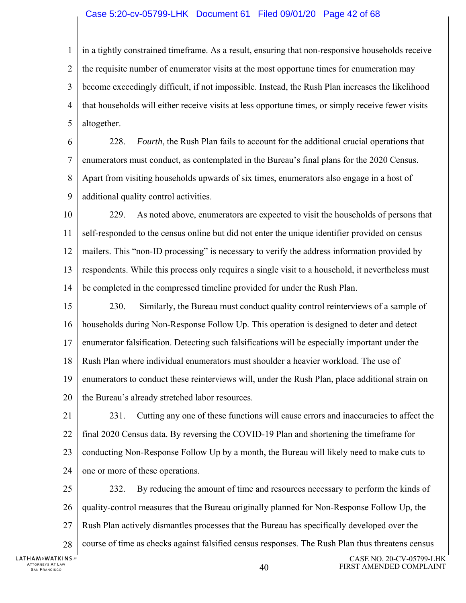#### Case 5:20-cv-05799-LHK Document 61 Filed 09/01/20 Page 42 of 68

1  $\mathcal{D}_{\mathcal{L}}$ 3 4 5 in a tightly constrained timeframe. As a result, ensuring that non-responsive households receive the requisite number of enumerator visits at the most opportune times for enumeration may become exceedingly difficult, if not impossible. Instead, the Rush Plan increases the likelihood that households will either receive visits at less opportune times, or simply receive fewer visits altogether.

6 7 8 9 228. *Fourth*, the Rush Plan fails to account for the additional crucial operations that enumerators must conduct, as contemplated in the Bureau's final plans for the 2020 Census. Apart from visiting households upwards of six times, enumerators also engage in a host of additional quality control activities.

10 11 12 13 14 229. As noted above, enumerators are expected to visit the households of persons that self-responded to the census online but did not enter the unique identifier provided on census mailers. This "non-ID processing" is necessary to verify the address information provided by respondents. While this process only requires a single visit to a household, it nevertheless must be completed in the compressed timeline provided for under the Rush Plan.

15 16 17 18 19 20 230. Similarly, the Bureau must conduct quality control reinterviews of a sample of households during Non-Response Follow Up. This operation is designed to deter and detect enumerator falsification. Detecting such falsifications will be especially important under the Rush Plan where individual enumerators must shoulder a heavier workload. The use of enumerators to conduct these reinterviews will, under the Rush Plan, place additional strain on the Bureau's already stretched labor resources.

21 22 23 24 231. Cutting any one of these functions will cause errors and inaccuracies to affect the final 2020 Census data. By reversing the COVID-19 Plan and shortening the timeframe for conducting Non-Response Follow Up by a month, the Bureau will likely need to make cuts to one or more of these operations.

25 26 27 28 232. By reducing the amount of time and resources necessary to perform the kinds of quality-control measures that the Bureau originally planned for Non-Response Follow Up, the Rush Plan actively dismantles processes that the Bureau has specifically developed over the course of time as checks against falsified census responses. The Rush Plan thus threatens census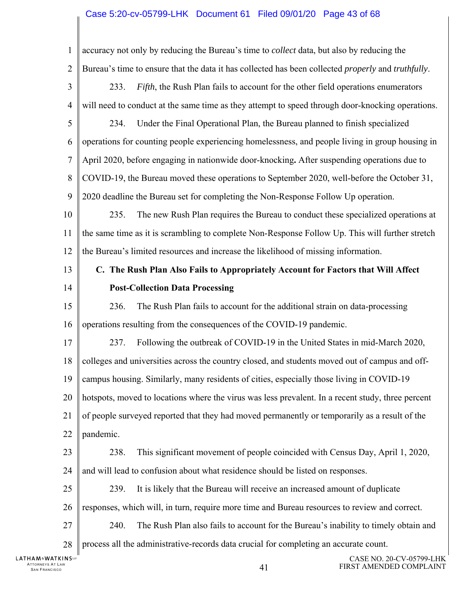#### Case 5:20-cv-05799-LHK Document 61 Filed 09/01/20 Page 43 of 68

ATTORNEYS AT LAW  $41$ CASE NO. 20-CV-05799-LHK 1  $\overline{2}$ 3 4 5 6 7 8 9 10 11 12 13 14 15 16 17 18 19 20 21 22 23 24 25 26 27 28 accuracy not only by reducing the Bureau's time to *collect* data, but also by reducing the Bureau's time to ensure that the data it has collected has been collected *properly* and *truthfully*. 233. *Fifth*, the Rush Plan fails to account for the other field operations enumerators will need to conduct at the same time as they attempt to speed through door-knocking operations. 234. Under the Final Operational Plan, the Bureau planned to finish specialized operations for counting people experiencing homelessness, and people living in group housing in April 2020, before engaging in nationwide door-knocking**.** After suspending operations due to COVID-19, the Bureau moved these operations to September 2020, well-before the October 31, 2020 deadline the Bureau set for completing the Non-Response Follow Up operation. 235. The new Rush Plan requires the Bureau to conduct these specialized operations at the same time as it is scrambling to complete Non-Response Follow Up. This will further stretch the Bureau's limited resources and increase the likelihood of missing information. **C. The Rush Plan Also Fails to Appropriately Account for Factors that Will Affect Post-Collection Data Processing**  236. The Rush Plan fails to account for the additional strain on data-processing operations resulting from the consequences of the COVID-19 pandemic. 237. Following the outbreak of COVID-19 in the United States in mid-March 2020, colleges and universities across the country closed, and students moved out of campus and offcampus housing. Similarly, many residents of cities, especially those living in COVID-19 hotspots, moved to locations where the virus was less prevalent. In a recent study, three percent of people surveyed reported that they had moved permanently or temporarily as a result of the pandemic. 238. This significant movement of people coincided with Census Day, April 1, 2020, and will lead to confusion about what residence should be listed on responses. 239. It is likely that the Bureau will receive an increased amount of duplicate responses, which will, in turn, require more time and Bureau resources to review and correct. 240. The Rush Plan also fails to account for the Bureau's inability to timely obtain and process all the administrative-records data crucial for completing an accurate count.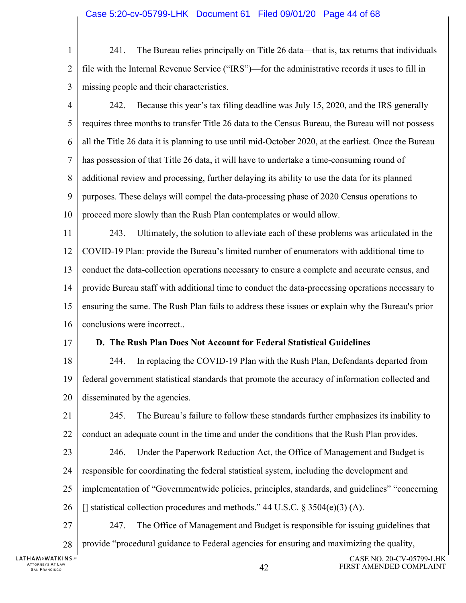- 1  $\mathcal{D}_{\mathcal{L}}$ 3 241. The Bureau relies principally on Title 26 data—that is, tax returns that individuals file with the Internal Revenue Service ("IRS")—for the administrative records it uses to fill in missing people and their characteristics.
- 4 5 6 7 8 9 10 242. Because this year's tax filing deadline was July 15, 2020, and the IRS generally requires three months to transfer Title 26 data to the Census Bureau, the Bureau will not possess all the Title 26 data it is planning to use until mid-October 2020, at the earliest. Once the Bureau has possession of that Title 26 data, it will have to undertake a time-consuming round of additional review and processing, further delaying its ability to use the data for its planned purposes. These delays will compel the data-processing phase of 2020 Census operations to proceed more slowly than the Rush Plan contemplates or would allow.
- 11 12 13 14 15 16 243. Ultimately, the solution to alleviate each of these problems was articulated in the COVID-19 Plan: provide the Bureau's limited number of enumerators with additional time to conduct the data-collection operations necessary to ensure a complete and accurate census, and provide Bureau staff with additional time to conduct the data-processing operations necessary to ensuring the same. The Rush Plan fails to address these issues or explain why the Bureau's prior conclusions were incorrect..
- 17

#### **D. The Rush Plan Does Not Account for Federal Statistical Guidelines**

18 19 20 244. In replacing the COVID-19 Plan with the Rush Plan, Defendants departed from federal government statistical standards that promote the accuracy of information collected and disseminated by the agencies.

21 22 245. The Bureau's failure to follow these standards further emphasizes its inability to conduct an adequate count in the time and under the conditions that the Rush Plan provides.

- 23 24 246. Under the Paperwork Reduction Act, the Office of Management and Budget is responsible for coordinating the federal statistical system, including the development and
- 25 implementation of "Governmentwide policies, principles, standards, and guidelines" "concerning
- 26 [] statistical collection procedures and methods."  $44$  U.S.C.  $\frac{2504(e)(3)}{A}$ .
- 27 28 247. The Office of Management and Budget is responsible for issuing guidelines that provide "procedural guidance to Federal agencies for ensuring and maximizing the quality,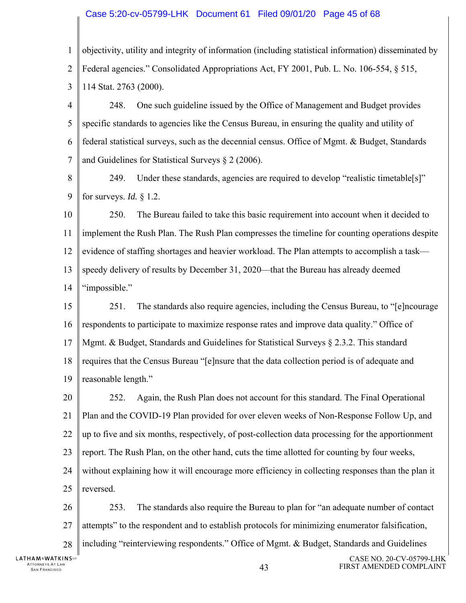#### Case 5:20-cv-05799-LHK Document 61 Filed 09/01/20 Page 45 of 68

- 1  $\mathcal{D}_{\mathcal{L}}$ 3 objectivity, utility and integrity of information (including statistical information) disseminated by Federal agencies." Consolidated Appropriations Act, FY 2001, Pub. L. No. 106-554, § 515, 114 Stat. 2763 (2000).
- 4 5 6 7 248. One such guideline issued by the Office of Management and Budget provides specific standards to agencies like the Census Bureau, in ensuring the quality and utility of federal statistical surveys, such as the decennial census. Office of Mgmt. & Budget, Standards and Guidelines for Statistical Surveys § 2 (2006).
- 8 9 249. Under these standards, agencies are required to develop "realistic timetable[s]" for surveys. *Id.* § 1.2.

10 11 12 13 14 250. The Bureau failed to take this basic requirement into account when it decided to implement the Rush Plan. The Rush Plan compresses the timeline for counting operations despite evidence of staffing shortages and heavier workload. The Plan attempts to accomplish a task speedy delivery of results by December 31, 2020—that the Bureau has already deemed "impossible."

- 15 16 17 18 19 251. The standards also require agencies, including the Census Bureau, to "[e]ncourage respondents to participate to maximize response rates and improve data quality." Office of Mgmt. & Budget, Standards and Guidelines for Statistical Surveys § 2.3.2. This standard requires that the Census Bureau "[e]nsure that the data collection period is of adequate and reasonable length."
- 20 21 22 23 24 25 252. Again, the Rush Plan does not account for this standard. The Final Operational Plan and the COVID-19 Plan provided for over eleven weeks of Non-Response Follow Up, and up to five and six months, respectively, of post-collection data processing for the apportionment report. The Rush Plan, on the other hand, cuts the time allotted for counting by four weeks, without explaining how it will encourage more efficiency in collecting responses than the plan it reversed.

26 27 28 253. The standards also require the Bureau to plan for "an adequate number of contact attempts" to the respondent and to establish protocols for minimizing enumerator falsification, including "reinterviewing respondents." Office of Mgmt. & Budget, Standards and Guidelines

CASE NO. 20-CV-05799-LHK FIRST AMENDED COMPLAINT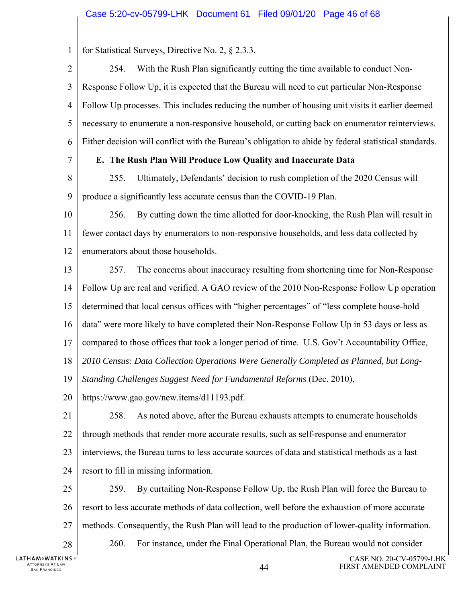1 for Statistical Surveys, Directive No. 2, § 2.3.3.

 $\mathfrak{D}$ 254. With the Rush Plan significantly cutting the time available to conduct Non-3 Response Follow Up, it is expected that the Bureau will need to cut particular Non-Response 4 Follow Up processes. This includes reducing the number of housing unit visits it earlier deemed 5 necessary to enumerate a non-responsive household, or cutting back on enumerator reinterviews. 6 Either decision will conflict with the Bureau's obligation to abide by federal statistical standards. 7 **E. The Rush Plan Will Produce Low Quality and Inaccurate Data**  8 255. Ultimately, Defendants' decision to rush completion of the 2020 Census will 9 produce a significantly less accurate census than the COVID-19 Plan. 10 256. By cutting down the time allotted for door-knocking, the Rush Plan will result in 11 fewer contact days by enumerators to non-responsive households, and less data collected by 12 enumerators about those households. 13 257. The concerns about inaccuracy resulting from shortening time for Non-Response 14 Follow Up are real and verified. A GAO review of the 2010 Non-Response Follow Up operation 15 determined that local census offices with "higher percentages" of "less complete house-hold 16 data" were more likely to have completed their Non-Response Follow Up in 53 days or less as 17 compared to those offices that took a longer period of time. U.S. Gov't Accountability Office, 18 *2010 Census: Data Collection Operations Were Generally Completed as Planned, but Long-*19 *Standing Challenges Suggest Need for Fundamental Reforms* (Dec. 2010), 20 https://www.gao.gov/new.items/d11193.pdf. 21 258. As noted above, after the Bureau exhausts attempts to enumerate households 22 through methods that render more accurate results, such as self-response and enumerator 23 interviews, the Bureau turns to less accurate sources of data and statistical methods as a last 24 resort to fill in missing information. 25 259. By curtailing Non-Response Follow Up, the Rush Plan will force the Bureau to 26 resort to less accurate methods of data collection, well before the exhaustion of more accurate 27 methods. Consequently, the Rush Plan will lead to the production of lower-quality information. 260. For instance, under the Final Operational Plan, the Bureau would not consider 28 **LATHAM&WATKINS**ur CASE NO. 20-CV-05799-LHK ATTORNEYS AT LAW SAN FRANCISCO 44 FIRST AMENDED COMPLAINT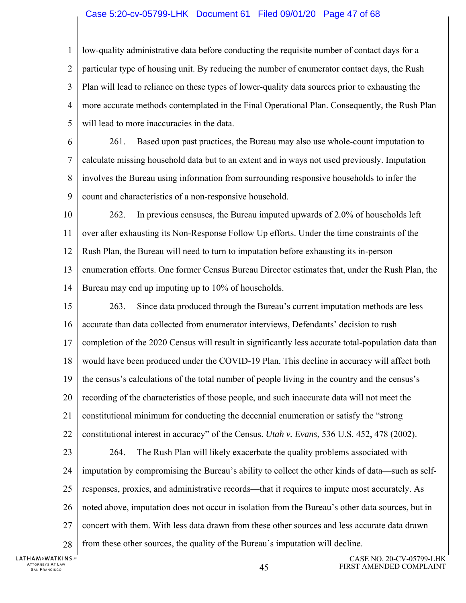#### Case 5:20-cv-05799-LHK Document 61 Filed 09/01/20 Page 47 of 68

1  $\mathcal{D}_{\mathcal{L}}$ 3 4 5 low-quality administrative data before conducting the requisite number of contact days for a particular type of housing unit. By reducing the number of enumerator contact days, the Rush Plan will lead to reliance on these types of lower-quality data sources prior to exhausting the more accurate methods contemplated in the Final Operational Plan. Consequently, the Rush Plan will lead to more inaccuracies in the data.

6 7 8 9 261. Based upon past practices, the Bureau may also use whole-count imputation to calculate missing household data but to an extent and in ways not used previously. Imputation involves the Bureau using information from surrounding responsive households to infer the count and characteristics of a non-responsive household.

10 11 12 13 14 262. In previous censuses, the Bureau imputed upwards of 2.0% of households left over after exhausting its Non-Response Follow Up efforts. Under the time constraints of the Rush Plan, the Bureau will need to turn to imputation before exhausting its in-person enumeration efforts. One former Census Bureau Director estimates that, under the Rush Plan, the Bureau may end up imputing up to 10% of households.

15 16 17 18 19 20 21 22 23 24 25 26 27 28 263. Since data produced through the Bureau's current imputation methods are less accurate than data collected from enumerator interviews, Defendants' decision to rush completion of the 2020 Census will result in significantly less accurate total-population data than would have been produced under the COVID-19 Plan. This decline in accuracy will affect both the census's calculations of the total number of people living in the country and the census's recording of the characteristics of those people, and such inaccurate data will not meet the constitutional minimum for conducting the decennial enumeration or satisfy the "strong constitutional interest in accuracy" of the Census. *Utah v. Evans*, 536 U.S. 452, 478 (2002). 264. The Rush Plan will likely exacerbate the quality problems associated with imputation by compromising the Bureau's ability to collect the other kinds of data—such as selfresponses, proxies, and administrative records—that it requires to impute most accurately. As noted above, imputation does not occur in isolation from the Bureau's other data sources, but in concert with them. With less data drawn from these other sources and less accurate data drawn from these other sources, the quality of the Bureau's imputation will decline.

**LATHAM&WATKINS** ATTORNEYS AT LAW TTORNEYS AT LAW  $45$ <br>San Francisco  $45$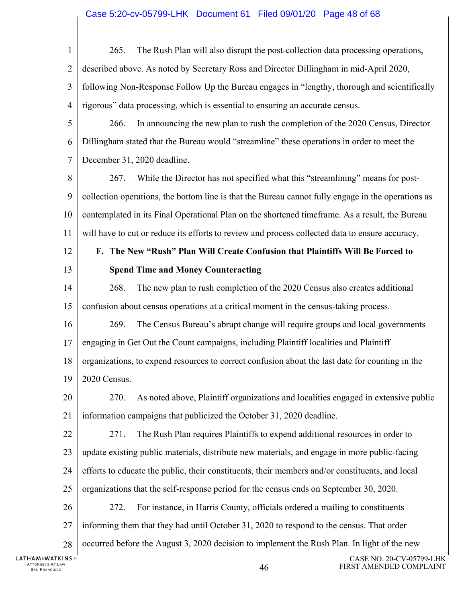#### Case 5:20-cv-05799-LHK Document 61 Filed 09/01/20 Page 48 of 68

ATTORNEYS AT LAW  $\rm A6$  same transition of the contract of the contract of  $46$ CASE NO. 20-CV-05799-LHK FIRST AMENDED COMPLAINT 1  $\mathcal{D}_{\mathcal{L}}$ 3 4 5 6 7 8 9 10 11 12 13 14 15 16 17 18 19 20 21 22 23 24 25 26 27 28 265. The Rush Plan will also disrupt the post-collection data processing operations, described above. As noted by Secretary Ross and Director Dillingham in mid-April 2020, following Non-Response Follow Up the Bureau engages in "lengthy, thorough and scientifically rigorous" data processing, which is essential to ensuring an accurate census. 266. In announcing the new plan to rush the completion of the 2020 Census, Director Dillingham stated that the Bureau would "streamline" these operations in order to meet the December 31, 2020 deadline. 267. While the Director has not specified what this "streamlining" means for postcollection operations, the bottom line is that the Bureau cannot fully engage in the operations as contemplated in its Final Operational Plan on the shortened timeframe. As a result, the Bureau will have to cut or reduce its efforts to review and process collected data to ensure accuracy. **F. The New "Rush" Plan Will Create Confusion that Plaintiffs Will Be Forced to Spend Time and Money Counteracting**  268. The new plan to rush completion of the 2020 Census also creates additional confusion about census operations at a critical moment in the census-taking process. 269. The Census Bureau's abrupt change will require groups and local governments engaging in Get Out the Count campaigns, including Plaintiff localities and Plaintiff organizations, to expend resources to correct confusion about the last date for counting in the 2020 Census. 270. As noted above, Plaintiff organizations and localities engaged in extensive public information campaigns that publicized the October 31, 2020 deadline. 271. The Rush Plan requires Plaintiffs to expend additional resources in order to update existing public materials, distribute new materials, and engage in more public-facing efforts to educate the public, their constituents, their members and/or constituents, and local organizations that the self-response period for the census ends on September 30, 2020. 272. For instance, in Harris County, officials ordered a mailing to constituents informing them that they had until October 31, 2020 to respond to the census. That order occurred before the August 3, 2020 decision to implement the Rush Plan. In light of the new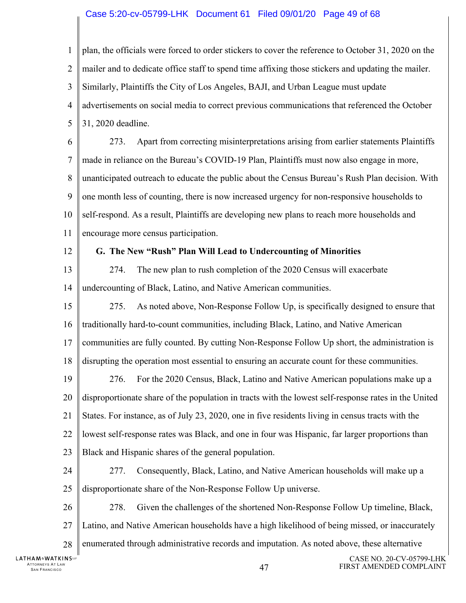#### Case 5:20-cv-05799-LHK Document 61 Filed 09/01/20 Page 49 of 68

SAN FRANCISCO 47 CASE NO. 20-CV-05799-LHK 1  $\mathcal{D}_{\mathcal{L}}$ 3 4 5 6 7 8 9 10 11 12 13 14 15 16 17 18 19 20 21 22 23 24 25 26 27 28 plan, the officials were forced to order stickers to cover the reference to October 31, 2020 on the mailer and to dedicate office staff to spend time affixing those stickers and updating the mailer. Similarly, Plaintiffs the City of Los Angeles, BAJI, and Urban League must update advertisements on social media to correct previous communications that referenced the October 31, 2020 deadline. 273. Apart from correcting misinterpretations arising from earlier statements Plaintiffs made in reliance on the Bureau's COVID-19 Plan, Plaintiffs must now also engage in more, unanticipated outreach to educate the public about the Census Bureau's Rush Plan decision. With one month less of counting, there is now increased urgency for non-responsive households to self-respond. As a result, Plaintiffs are developing new plans to reach more households and encourage more census participation. **G. The New "Rush" Plan Will Lead to Undercounting of Minorities**  274. The new plan to rush completion of the 2020 Census will exacerbate undercounting of Black, Latino, and Native American communities. 275. As noted above, Non-Response Follow Up, is specifically designed to ensure that traditionally hard-to-count communities, including Black, Latino, and Native American communities are fully counted. By cutting Non-Response Follow Up short, the administration is disrupting the operation most essential to ensuring an accurate count for these communities. 276. For the 2020 Census, Black, Latino and Native American populations make up a disproportionate share of the population in tracts with the lowest self-response rates in the United States. For instance, as of July 23, 2020, one in five residents living in census tracts with the lowest self-response rates was Black, and one in four was Hispanic, far larger proportions than Black and Hispanic shares of the general population. 277. Consequently, Black, Latino, and Native American households will make up a disproportionate share of the Non-Response Follow Up universe. 278. Given the challenges of the shortened Non-Response Follow Up timeline, Black, Latino, and Native American households have a high likelihood of being missed, or inaccurately enumerated through administrative records and imputation. As noted above, these alternative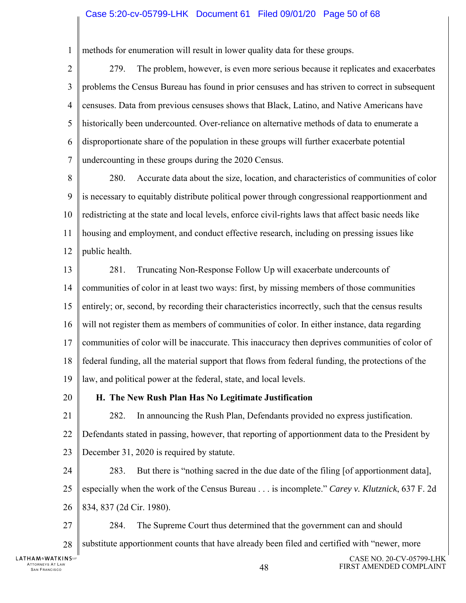#### Case 5:20-cv-05799-LHK Document 61 Filed 09/01/20 Page 50 of 68

1 methods for enumeration will result in lower quality data for these groups.

 $\mathcal{D}_{\mathcal{L}}$ 3 4 5 6 7 279. The problem, however, is even more serious because it replicates and exacerbates problems the Census Bureau has found in prior censuses and has striven to correct in subsequent censuses. Data from previous censuses shows that Black, Latino, and Native Americans have historically been undercounted. Over-reliance on alternative methods of data to enumerate a disproportionate share of the population in these groups will further exacerbate potential undercounting in these groups during the 2020 Census.

8 9 10 11 12 280. Accurate data about the size, location, and characteristics of communities of color is necessary to equitably distribute political power through congressional reapportionment and redistricting at the state and local levels, enforce civil-rights laws that affect basic needs like housing and employment, and conduct effective research, including on pressing issues like public health.

13 14 15 16 17 18 19 281. Truncating Non-Response Follow Up will exacerbate undercounts of communities of color in at least two ways: first, by missing members of those communities entirely; or, second, by recording their characteristics incorrectly, such that the census results will not register them as members of communities of color. In either instance, data regarding communities of color will be inaccurate. This inaccuracy then deprives communities of color of federal funding, all the material support that flows from federal funding, the protections of the law, and political power at the federal, state, and local levels.

20

#### **H. The New Rush Plan Has No Legitimate Justification**

21 22 23 282. In announcing the Rush Plan, Defendants provided no express justification. Defendants stated in passing, however, that reporting of apportionment data to the President by December 31, 2020 is required by statute.

24 25 26 283. But there is "nothing sacred in the due date of the filing [of apportionment data], especially when the work of the Census Bureau . . . is incomplete." *Carey v. Klutznick*, 637 F. 2d 834, 837 (2d Cir. 1980).

27 28 284. The Supreme Court thus determined that the government can and should substitute apportionment counts that have already been filed and certified with "newer, more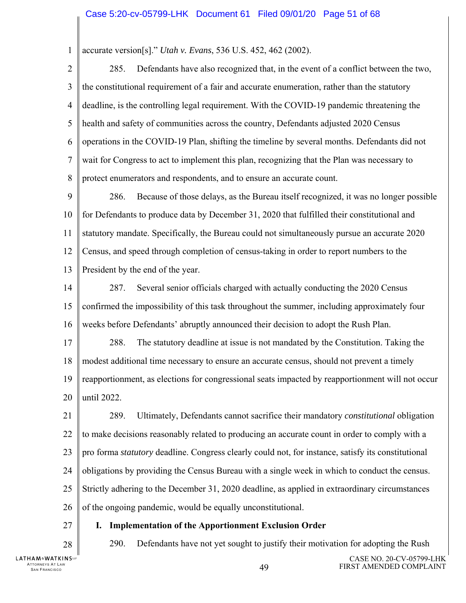#### 1 accurate version[s]." *Utah v. Evans*, 536 U.S. 452, 462 (2002).

 $\mathfrak{D}$ 3 4 5 6 7 8 285. Defendants have also recognized that, in the event of a conflict between the two, the constitutional requirement of a fair and accurate enumeration, rather than the statutory deadline, is the controlling legal requirement. With the COVID-19 pandemic threatening the health and safety of communities across the country, Defendants adjusted 2020 Census operations in the COVID-19 Plan, shifting the timeline by several months. Defendants did not wait for Congress to act to implement this plan, recognizing that the Plan was necessary to protect enumerators and respondents, and to ensure an accurate count.

9 10 11 12 13 286. Because of those delays, as the Bureau itself recognized, it was no longer possible for Defendants to produce data by December 31, 2020 that fulfilled their constitutional and statutory mandate. Specifically, the Bureau could not simultaneously pursue an accurate 2020 Census, and speed through completion of census-taking in order to report numbers to the President by the end of the year.

14 15 16 287. Several senior officials charged with actually conducting the 2020 Census confirmed the impossibility of this task throughout the summer, including approximately four weeks before Defendants' abruptly announced their decision to adopt the Rush Plan.

17 18 288. The statutory deadline at issue is not mandated by the Constitution. Taking the modest additional time necessary to ensure an accurate census, should not prevent a timely

19 20 reapportionment, as elections for congressional seats impacted by reapportionment will not occur until 2022.

21 22 23 24 25 26 289. Ultimately, Defendants cannot sacrifice their mandatory *constitutional* obligation to make decisions reasonably related to producing an accurate count in order to comply with a pro forma *statutory* deadline. Congress clearly could not, for instance, satisfy its constitutional obligations by providing the Census Bureau with a single week in which to conduct the census. Strictly adhering to the December 31, 2020 deadline, as applied in extraordinary circumstances of the ongoing pandemic, would be equally unconstitutional.

### **I. Implementation of the Apportionment Exclusion Order**

28

27

290. Defendants have not yet sought to justify their motivation for adopting the Rush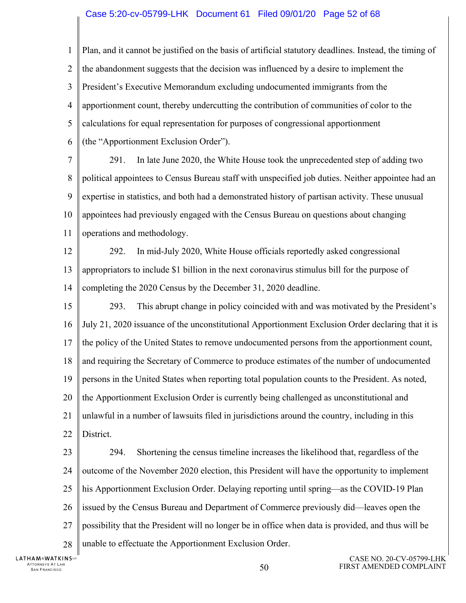#### Case 5:20-cv-05799-LHK Document 61 Filed 09/01/20 Page 52 of 68

1  $\mathcal{D}_{\mathcal{L}}$ 3 4 5 6 Plan, and it cannot be justified on the basis of artificial statutory deadlines. Instead, the timing of the abandonment suggests that the decision was influenced by a desire to implement the President's Executive Memorandum excluding undocumented immigrants from the apportionment count, thereby undercutting the contribution of communities of color to the calculations for equal representation for purposes of congressional apportionment (the "Apportionment Exclusion Order").

7 8 9 10 11 291. In late June 2020, the White House took the unprecedented step of adding two political appointees to Census Bureau staff with unspecified job duties. Neither appointee had an expertise in statistics, and both had a demonstrated history of partisan activity. These unusual appointees had previously engaged with the Census Bureau on questions about changing operations and methodology.

12 13 14 292. In mid-July 2020, White House officials reportedly asked congressional appropriators to include \$1 billion in the next coronavirus stimulus bill for the purpose of completing the 2020 Census by the December 31, 2020 deadline.

15 16 17 18 19 20 21 22 293. This abrupt change in policy coincided with and was motivated by the President's July 21, 2020 issuance of the unconstitutional Apportionment Exclusion Order declaring that it is the policy of the United States to remove undocumented persons from the apportionment count, and requiring the Secretary of Commerce to produce estimates of the number of undocumented persons in the United States when reporting total population counts to the President. As noted, the Apportionment Exclusion Order is currently being challenged as unconstitutional and unlawful in a number of lawsuits filed in jurisdictions around the country, including in this District.

23 24 25 26 27 28 294. Shortening the census timeline increases the likelihood that, regardless of the outcome of the November 2020 election, this President will have the opportunity to implement his Apportionment Exclusion Order. Delaying reporting until spring—as the COVID-19 Plan issued by the Census Bureau and Department of Commerce previously did—leaves open the possibility that the President will no longer be in office when data is provided, and thus will be unable to effectuate the Apportionment Exclusion Order.

**LATHAM&WATKINS** ATTORNEYS AT LAW TTORNEYS AT LAW  $50$  states that the state of the state of the state of  $50$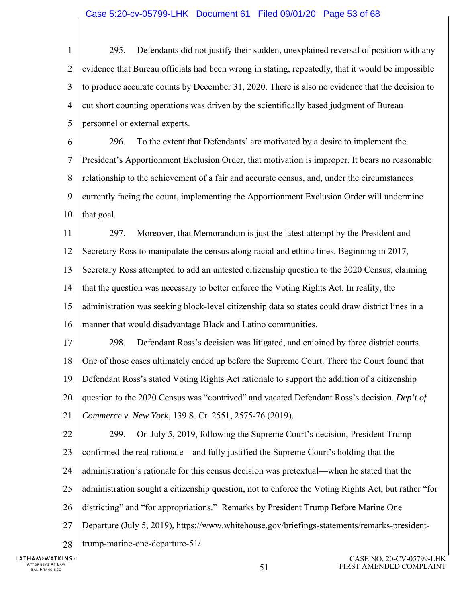#### Case 5:20-cv-05799-LHK Document 61 Filed 09/01/20 Page 53 of 68

1  $\mathcal{D}_{\mathcal{L}}$ 3 4 5 6 7 8 9 10 11 12 13 14 15 16 295. Defendants did not justify their sudden, unexplained reversal of position with any evidence that Bureau officials had been wrong in stating, repeatedly, that it would be impossible to produce accurate counts by December 31, 2020. There is also no evidence that the decision to cut short counting operations was driven by the scientifically based judgment of Bureau personnel or external experts. 296. To the extent that Defendants' are motivated by a desire to implement the President's Apportionment Exclusion Order, that motivation is improper. It bears no reasonable relationship to the achievement of a fair and accurate census, and, under the circumstances currently facing the count, implementing the Apportionment Exclusion Order will undermine that goal. 297. Moreover, that Memorandum is just the latest attempt by the President and Secretary Ross to manipulate the census along racial and ethnic lines. Beginning in 2017, Secretary Ross attempted to add an untested citizenship question to the 2020 Census, claiming that the question was necessary to better enforce the Voting Rights Act. In reality, the administration was seeking block-level citizenship data so states could draw district lines in a manner that would disadvantage Black and Latino communities.

17 18 19 20 298. Defendant Ross's decision was litigated, and enjoined by three district courts. One of those cases ultimately ended up before the Supreme Court. There the Court found that Defendant Ross's stated Voting Rights Act rationale to support the addition of a citizenship question to the 2020 Census was "contrived" and vacated Defendant Ross's decision. *Dep't of* 

21 *Commerce v. New York*, 139 S. Ct. 2551, 2575-76 (2019).

22 23 24 25 26 27 28 299. On July 5, 2019, following the Supreme Court's decision, President Trump confirmed the real rationale—and fully justified the Supreme Court's holding that the administration's rationale for this census decision was pretextual—when he stated that the administration sought a citizenship question, not to enforce the Voting Rights Act, but rather "for districting" and "for appropriations." Remarks by President Trump Before Marine One Departure (July 5, 2019), https://www.whitehouse.gov/briefings-statements/remarks-presidenttrump-marine-one-departure-51/.

**LATHAM&WATKINS** ATTORNEYS AT LAW TTORNEYS AT LAW  $51$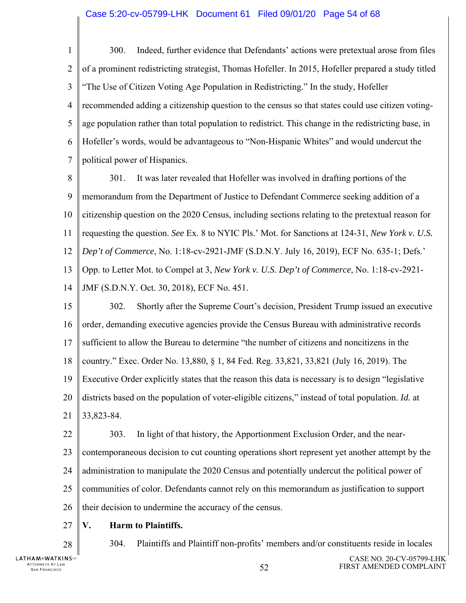1  $\overline{2}$ 3 4 5 6 7 300. Indeed, further evidence that Defendants' actions were pretextual arose from files of a prominent redistricting strategist, Thomas Hofeller. In 2015, Hofeller prepared a study titled "The Use of Citizen Voting Age Population in Redistricting." In the study, Hofeller recommended adding a citizenship question to the census so that states could use citizen votingage population rather than total population to redistrict. This change in the redistricting base, in Hofeller's words, would be advantageous to "Non-Hispanic Whites" and would undercut the political power of Hispanics.

8 9 10 11 12 13 14 301. It was later revealed that Hofeller was involved in drafting portions of the memorandum from the Department of Justice to Defendant Commerce seeking addition of a citizenship question on the 2020 Census, including sections relating to the pretextual reason for requesting the question. *See* Ex. 8 to NYIC Pls.' Mot. for Sanctions at 124-31, *New York v. U.S. Dep't of Commerce*, No. 1:18-cv-2921-JMF (S.D.N.Y. July 16, 2019), ECF No. 635-1; Defs.' Opp. to Letter Mot. to Compel at 3, *New York v. U.S. Dep't of Commerce*, No. 1:18-cv-2921- JMF (S.D.N.Y. Oct. 30, 2018), ECF No. 451.

15 16 17 18 19 20 21 302. Shortly after the Supreme Court's decision, President Trump issued an executive order, demanding executive agencies provide the Census Bureau with administrative records sufficient to allow the Bureau to determine "the number of citizens and noncitizens in the country." Exec. Order No. 13,880, § 1, 84 Fed. Reg. 33,821, 33,821 (July 16, 2019). The Executive Order explicitly states that the reason this data is necessary is to design "legislative districts based on the population of voter-eligible citizens," instead of total population. *Id.* at 33,823-84.

22 23 24 25 26 303. In light of that history, the Apportionment Exclusion Order, and the nearcontemporaneous decision to cut counting operations short represent yet another attempt by the administration to manipulate the 2020 Census and potentially undercut the political power of communities of color. Defendants cannot rely on this memorandum as justification to support their decision to undermine the accuracy of the census.

- 27 **V. Harm to Plaintiffs.**
- 28

304. Plaintiffs and Plaintiff non-profits' members and/or constituents reside in locales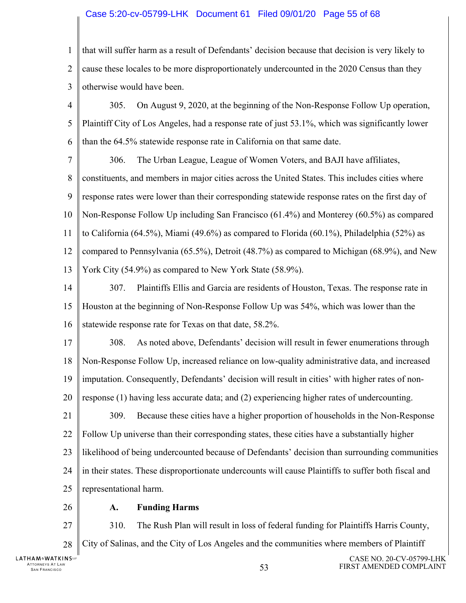#### Case 5:20-cv-05799-LHK Document 61 Filed 09/01/20 Page 55 of 68

- 1  $\mathcal{D}_{\mathcal{L}}$ 3 that will suffer harm as a result of Defendants' decision because that decision is very likely to cause these locales to be more disproportionately undercounted in the 2020 Census than they otherwise would have been.
- 4 5 6 305. On August 9, 2020, at the beginning of the Non-Response Follow Up operation, Plaintiff City of Los Angeles, had a response rate of just 53.1%, which was significantly lower than the 64.5% statewide response rate in California on that same date.
- 7 8 9 10 11 12 13 306. The Urban League, League of Women Voters, and BAJI have affiliates, constituents, and members in major cities across the United States. This includes cities where response rates were lower than their corresponding statewide response rates on the first day of Non-Response Follow Up including San Francisco (61.4%) and Monterey (60.5%) as compared to California (64.5%), Miami (49.6%) as compared to Florida (60.1%), Philadelphia (52%) as compared to Pennsylvania (65.5%), Detroit (48.7%) as compared to Michigan (68.9%), and New York City (54.9%) as compared to New York State (58.9%).
- 14 15 16 307. Plaintiffs Ellis and Garcia are residents of Houston, Texas. The response rate in Houston at the beginning of Non-Response Follow Up was 54%, which was lower than the statewide response rate for Texas on that date, 58.2%.
- 17 18 19 308. As noted above, Defendants' decision will result in fewer enumerations through Non-Response Follow Up, increased reliance on low-quality administrative data, and increased imputation. Consequently, Defendants' decision will result in cities' with higher rates of non-
- 20 response (1) having less accurate data; and (2) experiencing higher rates of undercounting.
- 21 22 23 24 25 309. Because these cities have a higher proportion of households in the Non-Response Follow Up universe than their corresponding states, these cities have a substantially higher likelihood of being undercounted because of Defendants' decision than surrounding communities in their states. These disproportionate undercounts will cause Plaintiffs to suffer both fiscal and representational harm.
	- **A. Funding Harms**
- 27 310. The Rush Plan will result in loss of federal funding for Plaintiffs Harris County,
- 28 City of Salinas, and the City of Los Angeles and the communities where members of Plaintiff

26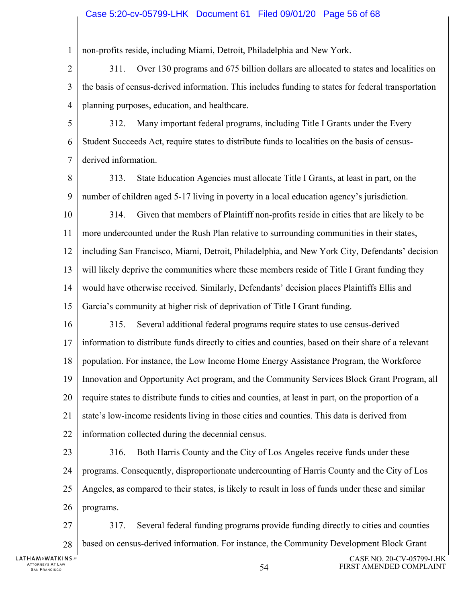#### Case 5:20-cv-05799-LHK Document 61 Filed 09/01/20 Page 56 of 68

1 non-profits reside, including Miami, Detroit, Philadelphia and New York.

 $\mathcal{D}_{\mathcal{L}}$ 3 4 311. Over 130 programs and 675 billion dollars are allocated to states and localities on the basis of census-derived information. This includes funding to states for federal transportation planning purposes, education, and healthcare.

5 6 7 312. Many important federal programs, including Title I Grants under the Every Student Succeeds Act, require states to distribute funds to localities on the basis of censusderived information.

8 9 313. State Education Agencies must allocate Title I Grants, at least in part, on the number of children aged 5-17 living in poverty in a local education agency's jurisdiction.

10 11 12 13 14 15 314. Given that members of Plaintiff non-profits reside in cities that are likely to be more undercounted under the Rush Plan relative to surrounding communities in their states, including San Francisco, Miami, Detroit, Philadelphia, and New York City, Defendants' decision will likely deprive the communities where these members reside of Title I Grant funding they would have otherwise received. Similarly, Defendants' decision places Plaintiffs Ellis and Garcia's community at higher risk of deprivation of Title I Grant funding.

16 17 18 19 20 21 22 315. Several additional federal programs require states to use census-derived information to distribute funds directly to cities and counties, based on their share of a relevant population. For instance, the Low Income Home Energy Assistance Program, the Workforce Innovation and Opportunity Act program, and the Community Services Block Grant Program, all require states to distribute funds to cities and counties, at least in part, on the proportion of a state's low-income residents living in those cities and counties. This data is derived from information collected during the decennial census.

23 24 25 26 316. Both Harris County and the City of Los Angeles receive funds under these programs. Consequently, disproportionate undercounting of Harris County and the City of Los Angeles, as compared to their states, is likely to result in loss of funds under these and similar programs.

27 28 317. Several federal funding programs provide funding directly to cities and counties based on census-derived information. For instance, the Community Development Block Grant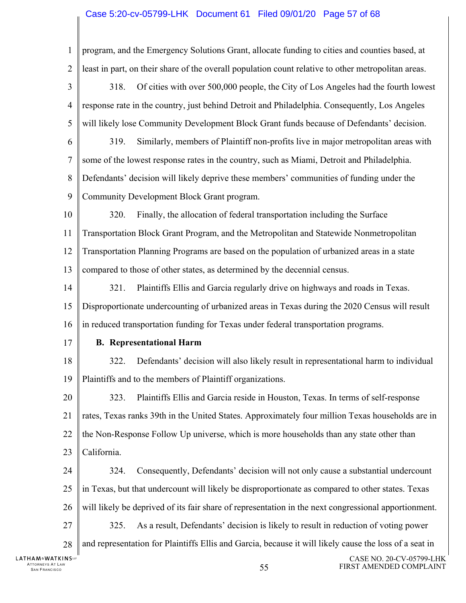#### Case 5:20-cv-05799-LHK Document 61 Filed 09/01/20 Page 57 of 68

1 program, and the Emergency Solutions Grant, allocate funding to cities and counties based, at  $\mathcal{D}_{\mathcal{L}}$ least in part, on their share of the overall population count relative to other metropolitan areas. 3 318. Of cities with over 500,000 people, the City of Los Angeles had the fourth lowest 4 response rate in the country, just behind Detroit and Philadelphia. Consequently, Los Angeles 5 will likely lose Community Development Block Grant funds because of Defendants' decision. 6 319. Similarly, members of Plaintiff non-profits live in major metropolitan areas with 7 some of the lowest response rates in the country, such as Miami, Detroit and Philadelphia. 8 Defendants' decision will likely deprive these members' communities of funding under the 9 Community Development Block Grant program. 10 320. Finally, the allocation of federal transportation including the Surface 11 Transportation Block Grant Program, and the Metropolitan and Statewide Nonmetropolitan 12 Transportation Planning Programs are based on the population of urbanized areas in a state 13 compared to those of other states, as determined by the decennial census. 14 321. Plaintiffs Ellis and Garcia regularly drive on highways and roads in Texas. 15 Disproportionate undercounting of urbanized areas in Texas during the 2020 Census will result 16 in reduced transportation funding for Texas under federal transportation programs. 17 **B. Representational Harm**  18 322. Defendants' decision will also likely result in representational harm to individual 19 Plaintiffs and to the members of Plaintiff organizations. 20 323. Plaintiffs Ellis and Garcia reside in Houston, Texas. In terms of self-response 21 rates, Texas ranks 39th in the United States. Approximately four million Texas households are in 22 the Non-Response Follow Up universe, which is more households than any state other than 23 California. 24 324. Consequently, Defendants' decision will not only cause a substantial undercount 25 in Texas, but that undercount will likely be disproportionate as compared to other states. Texas 26 will likely be deprived of its fair share of representation in the next congressional apportionment. 27 325. As a result, Defendants' decision is likely to result in reduction of voting power and representation for Plaintiffs Ellis and Garcia, because it will likely cause the loss of a seat in 28 **LATHAM&WATKINS** CASE NO. 20-CV-05799-LHK ATTORNEYS AT LAW TORNEYS AT LAW **SAN FRANCISCO SERVER SERVER TO A SERVER SHOW SAN FRANCISCO STATES SOME SERVER SHOWS SERVER SHOWS** FIRST AMENDED COMPLAINT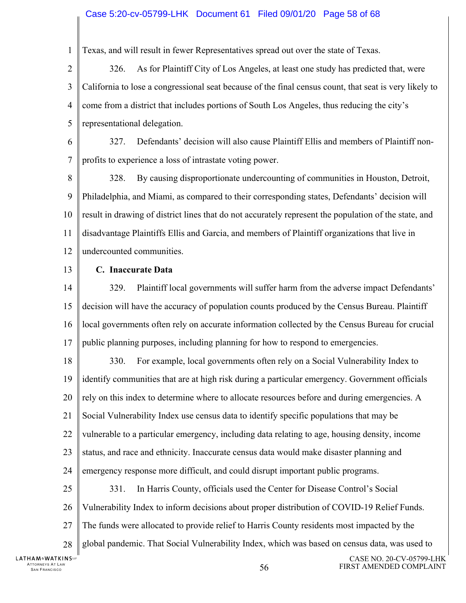#### Case 5:20-cv-05799-LHK Document 61 Filed 09/01/20 Page 58 of 68

1 Texas, and will result in fewer Representatives spread out over the state of Texas.

 $\mathcal{D}_{\mathcal{L}}$ 3 4 5 326. As for Plaintiff City of Los Angeles, at least one study has predicted that, were California to lose a congressional seat because of the final census count, that seat is very likely to come from a district that includes portions of South Los Angeles, thus reducing the city's representational delegation.

6 7 327. Defendants' decision will also cause Plaintiff Ellis and members of Plaintiff nonprofits to experience a loss of intrastate voting power.

8 9 10 11 12 328. By causing disproportionate undercounting of communities in Houston, Detroit, Philadelphia, and Miami, as compared to their corresponding states, Defendants' decision will result in drawing of district lines that do not accurately represent the population of the state, and disadvantage Plaintiffs Ellis and Garcia, and members of Plaintiff organizations that live in undercounted communities.

13

#### **C. Inaccurate Data**

14 15 16 17 329. Plaintiff local governments will suffer harm from the adverse impact Defendants' decision will have the accuracy of population counts produced by the Census Bureau. Plaintiff local governments often rely on accurate information collected by the Census Bureau for crucial public planning purposes, including planning for how to respond to emergencies.

18 19 20 21 22 23 24 25 26 27 28 330. For example, local governments often rely on a Social Vulnerability Index to identify communities that are at high risk during a particular emergency. Government officials rely on this index to determine where to allocate resources before and during emergencies. A Social Vulnerability Index use census data to identify specific populations that may be vulnerable to a particular emergency, including data relating to age, housing density, income status, and race and ethnicity. Inaccurate census data would make disaster planning and emergency response more difficult, and could disrupt important public programs. 331. In Harris County, officials used the Center for Disease Control's Social Vulnerability Index to inform decisions about proper distribution of COVID-19 Relief Funds. The funds were allocated to provide relief to Harris County residents most impacted by the global pandemic. That Social Vulnerability Index, which was based on census data, was used to

**LATHAM&WATKINS** ATTORNEYS AT LAW TTORNEYS AT LAW  $56$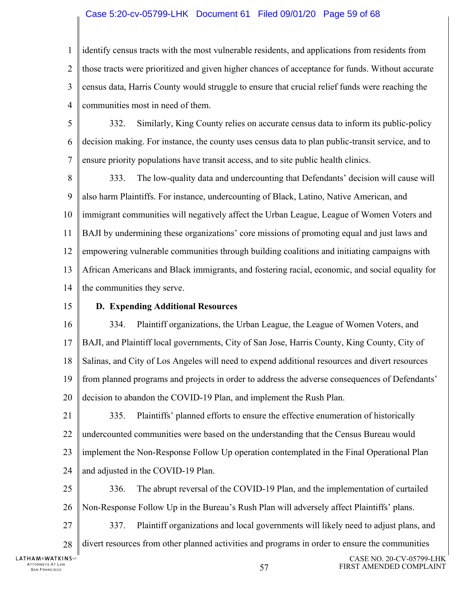#### Case 5:20-cv-05799-LHK Document 61 Filed 09/01/20 Page 59 of 68

1  $\mathcal{D}_{\mathcal{L}}$ 3 4 identify census tracts with the most vulnerable residents, and applications from residents from those tracts were prioritized and given higher chances of acceptance for funds. Without accurate census data, Harris County would struggle to ensure that crucial relief funds were reaching the communities most in need of them.

5 6 7 332. Similarly, King County relies on accurate census data to inform its public-policy decision making. For instance, the county uses census data to plan public-transit service, and to ensure priority populations have transit access, and to site public health clinics.

8 9 10 11 12 13 14 333. The low-quality data and undercounting that Defendants' decision will cause will also harm Plaintiffs. For instance, undercounting of Black, Latino, Native American, and immigrant communities will negatively affect the Urban League, League of Women Voters and BAJI by undermining these organizations' core missions of promoting equal and just laws and empowering vulnerable communities through building coalitions and initiating campaigns with African Americans and Black immigrants, and fostering racial, economic, and social equality for the communities they serve.

15

#### **D. Expending Additional Resources**

16 17 18 19 20 334. Plaintiff organizations, the Urban League, the League of Women Voters, and BAJI, and Plaintiff local governments, City of San Jose, Harris County, King County, City of Salinas, and City of Los Angeles will need to expend additional resources and divert resources from planned programs and projects in order to address the adverse consequences of Defendants' decision to abandon the COVID-19 Plan, and implement the Rush Plan.

21 22 23 24 335. Plaintiffs' planned efforts to ensure the effective enumeration of historically undercounted communities were based on the understanding that the Census Bureau would implement the Non-Response Follow Up operation contemplated in the Final Operational Plan and adjusted in the COVID-19 Plan.

25 26 336. The abrupt reversal of the COVID-19 Plan, and the implementation of curtailed Non-Response Follow Up in the Bureau's Rush Plan will adversely affect Plaintiffs' plans.

27 337. Plaintiff organizations and local governments will likely need to adjust plans, and

28 divert resources from other planned activities and programs in order to ensure the communities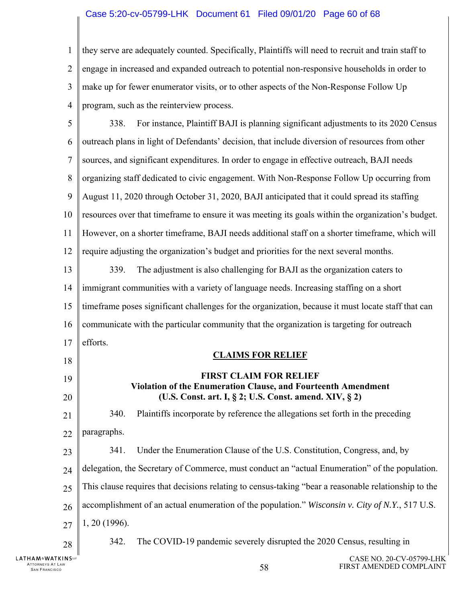#### Case 5:20-cv-05799-LHK Document 61 Filed 09/01/20 Page 60 of 68

1 2 3 4 they serve are adequately counted. Specifically, Plaintiffs will need to recruit and train staff to engage in increased and expanded outreach to potential non-responsive households in order to make up for fewer enumerator visits, or to other aspects of the Non-Response Follow Up program, such as the reinterview process.

| 5              | For instance, Plaintiff BAJI is planning significant adjustments to its 2020 Census<br>338.                             |
|----------------|-------------------------------------------------------------------------------------------------------------------------|
| 6              | outreach plans in light of Defendants' decision, that include diversion of resources from other                         |
| $\overline{7}$ | sources, and significant expenditures. In order to engage in effective outreach, BAJI needs                             |
| 8              | organizing staff dedicated to civic engagement. With Non-Response Follow Up occurring from                              |
| 9              | August 11, 2020 through October 31, 2020, BAJI anticipated that it could spread its staffing                            |
| 10             | resources over that timeframe to ensure it was meeting its goals within the organization's budget.                      |
| 11             | However, on a shorter timeframe, BAJI needs additional staff on a shorter timeframe, which will                         |
| 12             | require adjusting the organization's budget and priorities for the next several months.                                 |
| 13             | The adjustment is also challenging for BAJI as the organization caters to<br>339.                                       |
| 14             | immigrant communities with a variety of language needs. Increasing staffing on a short                                  |
| 15             | timeframe poses significant challenges for the organization, because it must locate staff that can                      |
| 16             | communicate with the particular community that the organization is targeting for outreach                               |
|                | efforts.                                                                                                                |
| 17             |                                                                                                                         |
| 18             | <b>CLAIMS FOR RELIEF</b>                                                                                                |
| 19             | <b>FIRST CLAIM FOR RELIEF</b>                                                                                           |
| 20             | Violation of the Enumeration Clause, and Fourteenth Amendment<br>(U.S. Const. art. I, § 2; U.S. Const. amend. XIV, § 2) |
| 21             | Plaintiffs incorporate by reference the allegations set forth in the preceding<br>340.                                  |
| 22             | paragraphs.                                                                                                             |
| 23             | Under the Enumeration Clause of the U.S. Constitution, Congress, and, by<br>341.                                        |
| 24             | delegation, the Secretary of Commerce, must conduct an "actual Enumeration" of the population.                          |
| 25             | This clause requires that decisions relating to census-taking "bear a reasonable relationship to the                    |
| 26             | accomplishment of an actual enumeration of the population." Wisconsin v. City of N.Y., 517 U.S.                         |
| 27             | $1, 20$ (1996).                                                                                                         |
| 28             | The COVID-19 pandemic severely disrupted the 2020 Census, resulting in<br>342.                                          |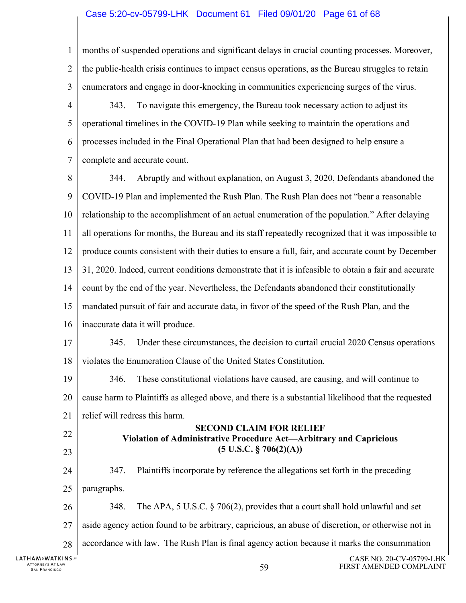#### Case 5:20-cv-05799-LHK Document 61 Filed 09/01/20 Page 61 of 68

CASE NO. 20-CV-05799-LHK 1  $\mathfrak{D}$ 3 4 5 6 7 8 9 10 11 12 13 14 15 16 17 18 19 20 21 22 23 24 25 26 27 28 months of suspended operations and significant delays in crucial counting processes. Moreover, the public-health crisis continues to impact census operations, as the Bureau struggles to retain enumerators and engage in door-knocking in communities experiencing surges of the virus. 343. To navigate this emergency, the Bureau took necessary action to adjust its operational timelines in the COVID-19 Plan while seeking to maintain the operations and processes included in the Final Operational Plan that had been designed to help ensure a complete and accurate count. 344. Abruptly and without explanation, on August 3, 2020, Defendants abandoned the COVID-19 Plan and implemented the Rush Plan. The Rush Plan does not "bear a reasonable relationship to the accomplishment of an actual enumeration of the population." After delaying all operations for months, the Bureau and its staff repeatedly recognized that it was impossible to produce counts consistent with their duties to ensure a full, fair, and accurate count by December 31, 2020. Indeed, current conditions demonstrate that it is infeasible to obtain a fair and accurate count by the end of the year. Nevertheless, the Defendants abandoned their constitutionally mandated pursuit of fair and accurate data, in favor of the speed of the Rush Plan, and the inaccurate data it will produce. 345. Under these circumstances, the decision to curtail crucial 2020 Census operations violates the Enumeration Clause of the United States Constitution. 346. These constitutional violations have caused, are causing, and will continue to cause harm to Plaintiffs as alleged above, and there is a substantial likelihood that the requested relief will redress this harm. **SECOND CLAIM FOR RELIEF Violation of Administrative Procedure Act—Arbitrary and Capricious (5 U.S.C. § 706(2)(A))**  347. Plaintiffs incorporate by reference the allegations set forth in the preceding paragraphs. 348. The APA, 5 U.S.C. § 706(2), provides that a court shall hold unlawful and set aside agency action found to be arbitrary, capricious, an abuse of discretion, or otherwise not in accordance with law. The Rush Plan is final agency action because it marks the consummation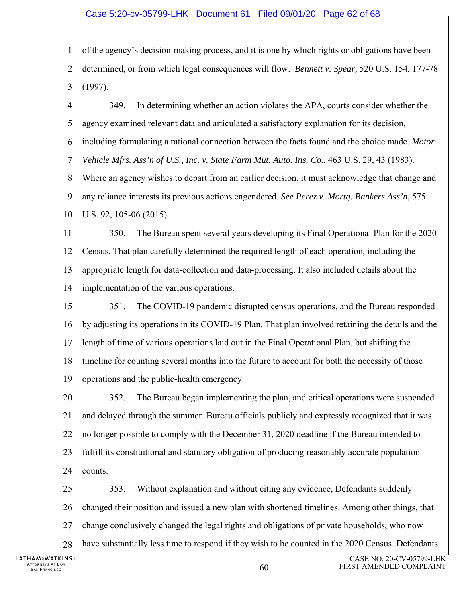#### Case 5:20-cv-05799-LHK Document 61 Filed 09/01/20 Page 62 of 68

1  $\mathfrak{D}$ 3 of the agency's decision-making process, and it is one by which rights or obligations have been determined, or from which legal consequences will flow. *Bennett v. Spear,* 520 U.S. 154, 177-78 (1997).

4 5 6 7 8 9 10 349. In determining whether an action violates the APA, courts consider whether the agency examined relevant data and articulated a satisfactory explanation for its decision, including formulating a rational connection between the facts found and the choice made. *Motor Vehicle Mfrs. Ass'n of U.S., Inc. v. State Farm Mut. Auto. Ins. Co.*, 463 U.S. 29, 43 (1983). Where an agency wishes to depart from an earlier decision, it must acknowledge that change and any reliance interests its previous actions engendered. *See Perez v. Mortg. Bankers Ass'n*, 575 U.S. 92, 105-06 (2015).

11 12 13 14 350. The Bureau spent several years developing its Final Operational Plan for the 2020 Census. That plan carefully determined the required length of each operation, including the appropriate length for data-collection and data-processing. It also included details about the implementation of the various operations.

15 16 17 18 19 351. The COVID-19 pandemic disrupted census operations, and the Bureau responded by adjusting its operations in its COVID-19 Plan. That plan involved retaining the details and the length of time of various operations laid out in the Final Operational Plan, but shifting the timeline for counting several months into the future to account for both the necessity of those operations and the public-health emergency.

20 21 22 23 24 352. The Bureau began implementing the plan, and critical operations were suspended and delayed through the summer. Bureau officials publicly and expressly recognized that it was no longer possible to comply with the December 31, 2020 deadline if the Bureau intended to fulfill its constitutional and statutory obligation of producing reasonably accurate population counts.

25 26 27 28 353. Without explanation and without citing any evidence, Defendants suddenly changed their position and issued a new plan with shortened timelines. Among other things, that change conclusively changed the legal rights and obligations of private households, who now have substantially less time to respond if they wish to be counted in the 2020 Census. Defendants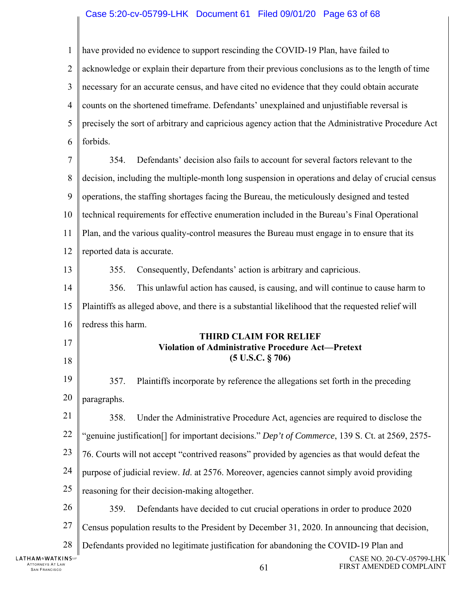#### Case 5:20-cv-05799-LHK Document 61 Filed 09/01/20 Page 63 of 68

1 have provided no evidence to support rescinding the COVID-19 Plan, have failed to  $\mathfrak{D}$ acknowledge or explain their departure from their previous conclusions as to the length of time 3 necessary for an accurate census, and have cited no evidence that they could obtain accurate 4 counts on the shortened timeframe. Defendants' unexplained and unjustifiable reversal is 5 precisely the sort of arbitrary and capricious agency action that the Administrative Procedure Act 6 forbids. 7 354. Defendants' decision also fails to account for several factors relevant to the 8 decision, including the multiple-month long suspension in operations and delay of crucial census 9 operations, the staffing shortages facing the Bureau, the meticulously designed and tested 10 technical requirements for effective enumeration included in the Bureau's Final Operational 11 Plan, and the various quality-control measures the Bureau must engage in to ensure that its 12 reported data is accurate. 13 355. Consequently, Defendants' action is arbitrary and capricious. 14 356. This unlawful action has caused, is causing, and will continue to cause harm to 15 Plaintiffs as alleged above, and there is a substantial likelihood that the requested relief will 16 redress this harm. **THIRD CLAIM FOR RELIEF**  17 **Violation of Administrative Procedure Act—Pretext (5 U.S.C. § 706)**  18 19 357. Plaintiffs incorporate by reference the allegations set forth in the preceding 20 paragraphs. 21 358. Under the Administrative Procedure Act, agencies are required to disclose the 22 "genuine justification[] for important decisions." *Dep't of Commerce*, 139 S. Ct. at 2569, 2575- 23 76. Courts will not accept "contrived reasons" provided by agencies as that would defeat the 24 purpose of judicial review. *Id*. at 2576. Moreover, agencies cannot simply avoid providing 25 reasoning for their decision-making altogether. 26 359. Defendants have decided to cut crucial operations in order to produce 2020 27 Census population results to the President by December 31, 2020. In announcing that decision, 28 Defendants provided no legitimate justification for abandoning the COVID-19 Plan and **LATHAM&WATKINS** CASE NO. 20-CV-05799-LHK ATTORNEYS AT LAW TTORNEYS AT LAW  $61$ <br>San Francisco  $61$ FIRST AMENDED COMPLAINT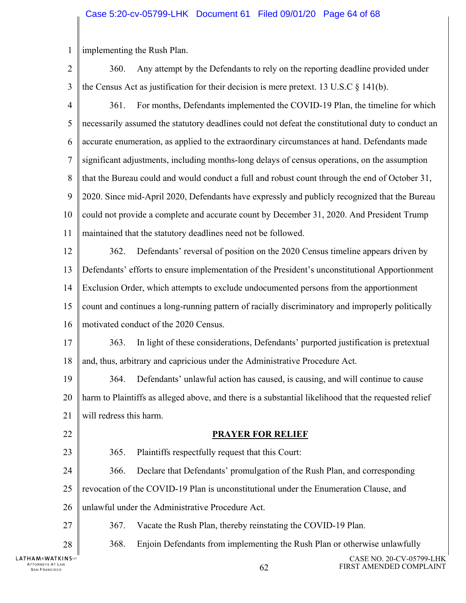#### Case 5:20-cv-05799-LHK Document 61 Filed 09/01/20 Page 64 of 68

1 implementing the Rush Plan.

 $\mathfrak{D}$ 3 4 5 6 7 8 9 10 11 12 13 14 15 16 17 18 19 20 21 22 23 24 25 26 27 28 360. Any attempt by the Defendants to rely on the reporting deadline provided under the Census Act as justification for their decision is mere pretext. 13 U.S.C  $\S$  141(b). 361. For months, Defendants implemented the COVID-19 Plan, the timeline for which necessarily assumed the statutory deadlines could not defeat the constitutional duty to conduct an accurate enumeration, as applied to the extraordinary circumstances at hand. Defendants made significant adjustments, including months-long delays of census operations, on the assumption that the Bureau could and would conduct a full and robust count through the end of October 31, 2020. Since mid-April 2020, Defendants have expressly and publicly recognized that the Bureau could not provide a complete and accurate count by December 31, 2020. And President Trump maintained that the statutory deadlines need not be followed. 362. Defendants' reversal of position on the 2020 Census timeline appears driven by Defendants' efforts to ensure implementation of the President's unconstitutional Apportionment Exclusion Order, which attempts to exclude undocumented persons from the apportionment count and continues a long-running pattern of racially discriminatory and improperly politically motivated conduct of the 2020 Census. 363. In light of these considerations, Defendants' purported justification is pretextual and, thus, arbitrary and capricious under the Administrative Procedure Act. 364. Defendants' unlawful action has caused, is causing, and will continue to cause harm to Plaintiffs as alleged above, and there is a substantial likelihood that the requested relief will redress this harm. **PRAYER FOR RELIEF**  365. Plaintiffs respectfully request that this Court: 366. Declare that Defendants' promulgation of the Rush Plan, and corresponding revocation of the COVID-19 Plan is unconstitutional under the Enumeration Clause, and unlawful under the Administrative Procedure Act. 367. Vacate the Rush Plan, thereby reinstating the COVID-19 Plan. 368. Enjoin Defendants from implementing the Rush Plan or otherwise unlawfully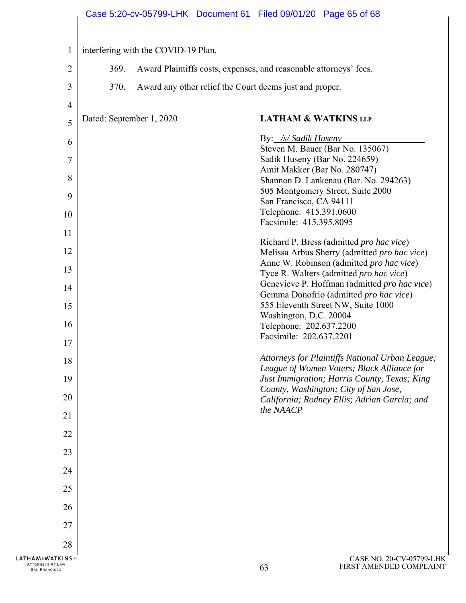# Case 5:20-cv-05799-LHK Document 61 Filed 09/01/20 Page 65 of 68

| $\mathbf{1}$                                                                                                                        |                          | interfering with the COVID-19 Plan.                               |                                                                                                                                                                                                                                                                                                                                                                                    |                                                                                                                                                                                                                                                                                                                                                                                                                                                                                                                                                              |
|-------------------------------------------------------------------------------------------------------------------------------------|--------------------------|-------------------------------------------------------------------|------------------------------------------------------------------------------------------------------------------------------------------------------------------------------------------------------------------------------------------------------------------------------------------------------------------------------------------------------------------------------------|--------------------------------------------------------------------------------------------------------------------------------------------------------------------------------------------------------------------------------------------------------------------------------------------------------------------------------------------------------------------------------------------------------------------------------------------------------------------------------------------------------------------------------------------------------------|
| $\overline{2}$                                                                                                                      | 369.                     | Award Plaintiffs costs, expenses, and reasonable attorneys' fees. |                                                                                                                                                                                                                                                                                                                                                                                    |                                                                                                                                                                                                                                                                                                                                                                                                                                                                                                                                                              |
| 3                                                                                                                                   | 370.                     | Award any other relief the Court deems just and proper.           |                                                                                                                                                                                                                                                                                                                                                                                    |                                                                                                                                                                                                                                                                                                                                                                                                                                                                                                                                                              |
| $\overline{4}$                                                                                                                      |                          |                                                                   |                                                                                                                                                                                                                                                                                                                                                                                    |                                                                                                                                                                                                                                                                                                                                                                                                                                                                                                                                                              |
| 5                                                                                                                                   | Dated: September 1, 2020 |                                                                   | <b>LATHAM &amp; WATKINS LLP</b>                                                                                                                                                                                                                                                                                                                                                    |                                                                                                                                                                                                                                                                                                                                                                                                                                                                                                                                                              |
| 6<br>$\overline{7}$<br>8<br>9<br>10<br>11<br>12<br>13<br>14<br>15<br>16<br>17<br>18<br>19<br>20<br>21<br>22<br>23<br>24<br>25<br>26 |                          |                                                                   | By: /s/ Sadik Huseny<br>Steven M. Bauer (Bar No. 135067)<br>Sadik Huseny (Bar No. 224659)<br>Amit Makker (Bar No. 280747)<br>505 Montgomery Street, Suite 2000<br>San Francisco, CA 94111<br>Telephone: 415.391.0600<br>Facsimile: 415.395.8095<br>555 Eleventh Street NW, Suite 1000<br>Washington, D.C. 20004<br>Telephone: 202.637.2200<br>Facsimile: 202.637.2201<br>the NAACP | Shannon D. Lankenau (Bar. No. 294263)<br>Richard P. Bress (admitted pro hac vice)<br>Melissa Arbus Sherry (admitted pro hac vice)<br>Anne W. Robinson (admitted pro hac vice)<br>Tyce R. Walters (admitted pro hac vice)<br>Genevieve P. Hoffman (admitted pro hac vice)<br>Gemma Donofrio (admitted pro hac vice)<br>Attorneys for Plaintiffs National Urban League;<br>League of Women Voters; Black Alliance for<br>Just Immigration; Harris County, Texas; King<br>County, Washington; City of San Jose,<br>California; Rodney Ellis; Adrian Garcia; and |
| 27<br>28                                                                                                                            |                          |                                                                   |                                                                                                                                                                                                                                                                                                                                                                                    |                                                                                                                                                                                                                                                                                                                                                                                                                                                                                                                                                              |
| LATHAM&WATKINSLF<br>ATTORNEYS AT LAW<br><b>SAN FRANCISCO</b>                                                                        |                          |                                                                   | 63                                                                                                                                                                                                                                                                                                                                                                                 | CASE NO. 20-CV-05799-LHK<br>FIRST AMENDED COMPLAINT                                                                                                                                                                                                                                                                                                                                                                                                                                                                                                          |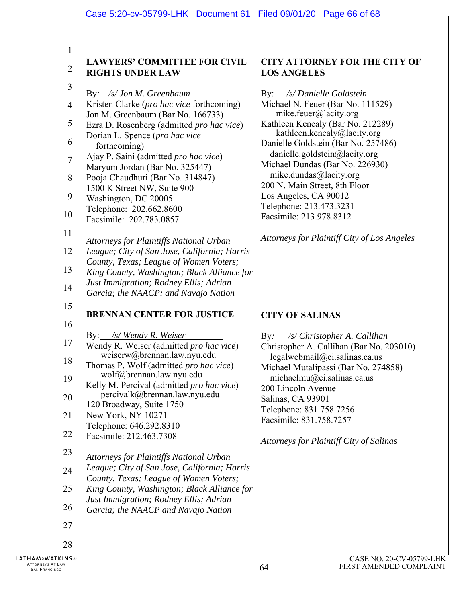1

#### **LAWYERS' COMMITTEE FOR CIVIL RIGHTS UNDER LAW**

| ï<br>. . |
|----------|
|          |
| ╯<br>×   |

 $\overline{2}$ 

|  | By: /s/ Jon M. Greenbaum |  |
|--|--------------------------|--|
|  |                          |  |

| 4 | Kristen Clarke ( <i>pro hac vice</i> forthcoming) |
|---|---------------------------------------------------|
|   | Jon M. Greenbaum (Bar No. 166733)                 |
| 5 | Ezra D. Rosenberg (admitted pro hac vice)         |
| 6 | Dorian L. Spence (pro hac vice                    |
|   | forthcoming)                                      |
| 7 | Ajay P. Saini (admitted pro hac vice)             |
|   | Maryum Jordan (Bar No. 325447)                    |
| 8 | Pooja Chaudhuri (Bar No. 314847)                  |
|   | 1500 K Street NW, Suite 900                       |
| 9 | Washington, DC 20005                              |
| Λ | Telephone: 202.662.8600                           |

#### 10 Facsimile: 202.783.0857

11

*Attorneys for Plaintiffs National Urban* 

| 12   League; City of San Jose, California; Harris                                                                |
|------------------------------------------------------------------------------------------------------------------|
| $\parallel$ County, Texas; League of Women Voters;<br>$\begin{bmatrix} 13 \end{bmatrix}$ county, results, League |
|                                                                                                                  |

- 13 *King County, Washington; Black Alliance for*
- 14 *Just Immigration; Rodney Ellis; Adrian*
- *Garcia; the NAACP; and Navajo Nation*
- 15 **BRENNAN CENTER FOR JUSTICE**
- 16
- 
- 17 By: */s/ Wendy R. Weiser*  Wendy R. Weiser (admitted *pro hac vice*) weiserw@brennan.law.nyu.edu
- 18 19 Thomas P. Wolf (admitted *pro hac vice*) wolf@brennan.law.nyu.edu
- 20 Kelly M. Percival (admitted *pro hac vice*) percivalk@brennan.law.nyu.edu
- 21 120 Broadway, Suite 1750 New York, NY 10271
- Telephone: 646.292.8310
- 22 Facsimile: 212.463.7308
- 23
- *Attorneys for Plaintiffs National Urban*
- 24 *League; City of San Jose, California; Harris*
- 25 *County, Texas; League of Women Voters; King County, Washington; Black Alliance for*
- *Just Immigration; Rodney Ellis; Adrian*
- 26 *Garcia; the NAACP and Navajo Nation*
- 27

28

## **CITY ATTORNEY FOR THE CITY OF LOS ANGELES**

By: */s/ Danielle Goldstein*  Michael N. Feuer (Bar No. 111529) mike.feuer@lacity.org Kathleen Kenealy (Bar No. 212289) kathleen.kenealy@lacity.org Danielle Goldstein (Bar No. 257486) danielle.goldstein@lacity.org Michael Dundas (Bar No. 226930) mike.dundas@lacity.org 200 N. Main Street, 8th Floor Los Angeles, CA 90012 Telephone: 213.473.3231 Facsimile: 213.978.8312

*Attorneys for Plaintiff City of Los Angeles* 

### **CITY OF SALINAS**

| By: /s/ Christopher A. Callihan          |  |  |  |  |
|------------------------------------------|--|--|--|--|
| Christopher A. Callihan (Bar No. 203010) |  |  |  |  |
| legalwebmail@ci.salinas.ca.us            |  |  |  |  |
| Michael Mutalipassi (Bar No. 274858)     |  |  |  |  |
| michaelmu@ci.salinas.ca.us               |  |  |  |  |
| 200 Lincoln Avenue                       |  |  |  |  |
| Salinas, CA 93901                        |  |  |  |  |
| Telephone: 831.758.7256                  |  |  |  |  |
| Facsimile: 831.758.7257                  |  |  |  |  |

*Attorneys for Plaintiff City of Salinas*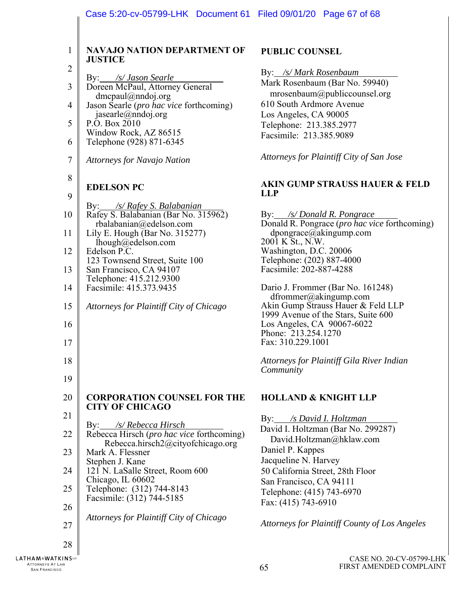| $\mathbf{1}$   | <b>NAVAJO NATION DEPARTMENT OF</b><br><b>JUSTICE</b>                                                                                                                                    |  |  |  |  |
|----------------|-----------------------------------------------------------------------------------------------------------------------------------------------------------------------------------------|--|--|--|--|
| $\overline{c}$ |                                                                                                                                                                                         |  |  |  |  |
| 3              | By: /s/ Jason Searle<br>Doreen McPaul, Attorney General<br>dmcpaul@nndoj.org                                                                                                            |  |  |  |  |
| $\overline{4}$ | Jason Searle ( <i>pro hac vice</i> forthcoming)                                                                                                                                         |  |  |  |  |
| 5              | jasearle@nndoj.org<br>P.O. Box 2010<br>Window Rock, AZ 86515                                                                                                                            |  |  |  |  |
| 6              | Telephone (928) 871-6345                                                                                                                                                                |  |  |  |  |
| 7              | <b>Attorneys for Navajo Nation</b>                                                                                                                                                      |  |  |  |  |
| 8              |                                                                                                                                                                                         |  |  |  |  |
| 9              | <b>EDELSON PC</b>                                                                                                                                                                       |  |  |  |  |
| 10             | By: /s/ Rafey S. Balabanian<br>Rafey S. Balabanian (Bar No. 315962)                                                                                                                     |  |  |  |  |
| 11             | rbalabanian@edelson.com<br>Lily E. Hough (Bar No. 315277)<br>lhough@edelson.com<br>Edelson P.C.<br>123 Townsend Street, Suite 100<br>San Francisco, CA 94107<br>Telephone: 415.212.9300 |  |  |  |  |
| 12             |                                                                                                                                                                                         |  |  |  |  |
| 13             |                                                                                                                                                                                         |  |  |  |  |
| 14             | Facsimile: 415.373.9435                                                                                                                                                                 |  |  |  |  |
| 15             | Attorneys for Plaintiff City of Chicago                                                                                                                                                 |  |  |  |  |
| 16             |                                                                                                                                                                                         |  |  |  |  |
| 17             |                                                                                                                                                                                         |  |  |  |  |
| 18             |                                                                                                                                                                                         |  |  |  |  |
| 19             |                                                                                                                                                                                         |  |  |  |  |
| 20             | <b>CORPORATION COUNSEL FOR THE</b>                                                                                                                                                      |  |  |  |  |
| 21             | <b>CITY OF CHICAGO</b>                                                                                                                                                                  |  |  |  |  |
| 22             | By: /s/ Rebecca Hirsch<br>Rebecca Hirsch (pro hac vice forthcoming)<br>Rebecca.hirsch2@cityofchicago.org                                                                                |  |  |  |  |
| 23             | Mark A. Flessner                                                                                                                                                                        |  |  |  |  |
| 24             | Stephen J. Kane<br>121 N. LaSalle Street, Room 600                                                                                                                                      |  |  |  |  |
| 25             | Chicago, IL 60602<br>Telephone: (312) 744-8143                                                                                                                                          |  |  |  |  |
| 26             | Facsimile: (312) 744-5185                                                                                                                                                               |  |  |  |  |
| 27             | Attorneys for Plaintiff City of Chicago                                                                                                                                                 |  |  |  |  |
| 28             |                                                                                                                                                                                         |  |  |  |  |

# **PUBLIC COUNSEL**

By: */s/ Mark Rosenbaum* 

# Mark Rosenbaum (Bar No. 59940) mrosenbaum@publiccounsel.org 610 South Ardmore Avenue Los Angeles, CA 90005 Telephone: 213.385.2977 Facsimile: 213.385.9089 *Attorneys for Plaintiff City of San Jose*  **AKIN GUMP STRAUSS HAUER & FELD LLP**  By: */s/ Donald R. Pongrace*  Donald R. Pongrace (*pro hac vice* forthcoming) dpongrace@akingump.com 2001 K St., N.W. Washington, D.C. 20006 Telephone: (202) 887-4000 Facsimile: 202-887-4288 Dario J. Frommer (Bar No. 161248) dfrommer@akingump.com Akin Gump Strauss Hauer & Feld LLP 1999 Avenue of the Stars, Suite 600 Los Angeles, CA 90067-6022 Phone: 213.254.1270 Fax: 310.229.1001 *Attorneys for Plaintiff Gila River Indian Community*  **HOLLAND & KNIGHT LLP**  By: */s David I. Holtzman*  David I. Holtzman (Bar No. 299287)

David.Holtzman@hklaw.com

*Attorneys for Plaintiff County of Los Angeles*

50 California Street, 28th Floor San Francisco, CA 94111 Telephone: (415) 743-6970

Daniel P. Kappes Jacqueline N. Harvey

Fax: (415) 743-6910

CASE NO. 20-CV-05799-LHK FIRST AMENDED COMPLAINT